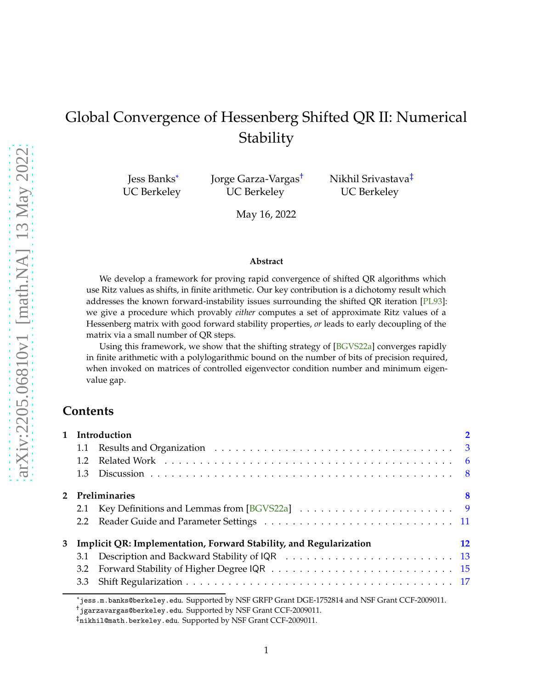# <span id="page-0-0"></span>Global Convergence of Hessenberg Shifted QR II: Numerical Stability

Jess Banks\* UC Berkeley Jorge Garza-Vargas† UC Berkeley

Nikhil Srivastava‡ UC Berkeley

May 16, 2022

#### **Abstract**

We develop a framework for proving rapid convergence of shifted QR algorithms which use Ritz values as shifts, in finite arithmetic. Our key contribution is a dichotomy result which addresses the known forward-instability issues surrounding the shifted QR iteration [\[PL93\]](#page-39-0): we give a procedure which provably *either* computes a set of approximate Ritz values of a Hessenberg matrix with good forward stability properties, *or* leads to early decoupling of the matrix via a small number of QR steps.

Using this framework, we show that the shifting strategy of [\[BGVS22a\]](#page-38-0) converges rapidly in finite arithmetic with a polylogarithmic bound on the number of bits of precision required, when invoked on matrices of controlled eigenvector condition number and minimum eigenvalue gap.

### **Contents**

| $1.2^{\circ}$ |                                                                                                                              |
|---------------|------------------------------------------------------------------------------------------------------------------------------|
| 1.3           |                                                                                                                              |
|               | 8                                                                                                                            |
|               |                                                                                                                              |
|               |                                                                                                                              |
|               | 12                                                                                                                           |
|               |                                                                                                                              |
|               |                                                                                                                              |
|               |                                                                                                                              |
|               | 1 Introduction<br>1.1<br>2 Preliminaries<br>Implicit QR: Implementation, Forward Stability, and Regularization<br>3.1<br>3.2 |

<sup>\*</sup>jess.m.banks@berkeley.edu. Supported by NSF GRFP Grant DGE-1752814 and NSF Grant CCF-2009011.

<sup>†</sup>jgarzavargas@berkeley.edu. Supported by NSF Grant CCF-2009011.

 $^\ddag$ nikhil@math.berkeley.edu. Supported by NSF Grant CCF-2009011.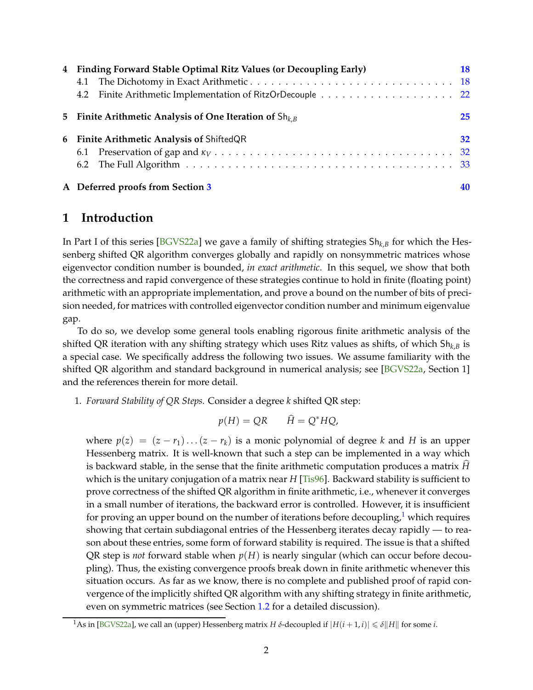<span id="page-1-2"></span>

| 4 Finding Forward Stable Optimal Ritz Values (or Decoupling Early) | 18 |
|--------------------------------------------------------------------|----|
|                                                                    |    |
|                                                                    |    |
| 5 Finite Arithmetic Analysis of One Iteration of $\text{Sh}_{k,B}$ | 25 |
| 6 Finite Arithmetic Analysis of ShiftedQR                          | 32 |
|                                                                    |    |
|                                                                    |    |
| A Deferred proofs from Section 3                                   | 40 |

## <span id="page-1-0"></span>**1 Introduction**

In Part I of this series [\[BGVS22a\]](#page-38-0) we gave a family of shifting strategies Sh*k*,*<sup>B</sup>* for which the Hessenberg shifted QR algorithm converges globally and rapidly on nonsymmetric matrices whose eigenvector condition number is bounded, *in exact arithmetic*. In this sequel, we show that both the correctness and rapid convergence of these strategies continue to hold in finite (floating point) arithmetic with an appropriate implementation, and prove a bound on the number of bits of precision needed, for matrices with controlled eigenvector condition number and minimum eigenvalue gap.

To do so, we develop some general tools enabling rigorous finite arithmetic analysis of the shifted QR iteration with any shifting strategy which uses Ritz values as shifts, of which Sh*k*,*<sup>B</sup>* is a special case. We specifically address the following two issues. We assume familiarity with the shifted QR algorithm and standard background in numerical analysis; see [\[BGVS22a,](#page-38-0) Section 1] and the references therein for more detail.

1. *Forward Stability of QR Steps.* Consider a degree *k* shifted QR step:

$$
p(H) = QR \qquad \widehat{H} = Q^*HQ,
$$

where  $p(z) = (z - r_1) \dots (z - r_k)$  is a monic polynomial of degree *k* and *H* is an upper Hessenberg matrix. It is well-known that such a step can be implemented in a way which is backward stable, in the sense that the finite arithmetic computation produces a matrix *H*b which is the unitary conjugation of a matrix near *H* [\[Tis96\]](#page-39-2). Backward stability is sufficient to prove correctness of the shifted QR algorithm in finite arithmetic, i.e., whenever it converges in a small number of iterations, the backward error is controlled. However, it is insufficient for proving an upper bound on the number of iterations before decoupling, $1$  which requires showing that certain subdiagonal entries of the Hessenberg iterates decay rapidly — to reason about these entries, some form of forward stability is required. The issue is that a shifted QR step is *not* forward stable when  $p(H)$  is nearly singular (which can occur before decoupling). Thus, the existing convergence proofs break down in finite arithmetic whenever this situation occurs. As far as we know, there is no complete and published proof of rapid convergence of the implicitly shifted QR algorithm with any shifting strategy in finite arithmetic, even on symmetric matrices (see Section [1.2](#page-5-0) for a detailed discussion).

<span id="page-1-1"></span><sup>&</sup>lt;sup>1</sup>As in [\[BGVS22a\]](#page-38-0), we call an (upper) Hessenberg matrix *H δ*-decoupled if  $|H(i+1,i)| \le \delta ||H||$  for some *i*.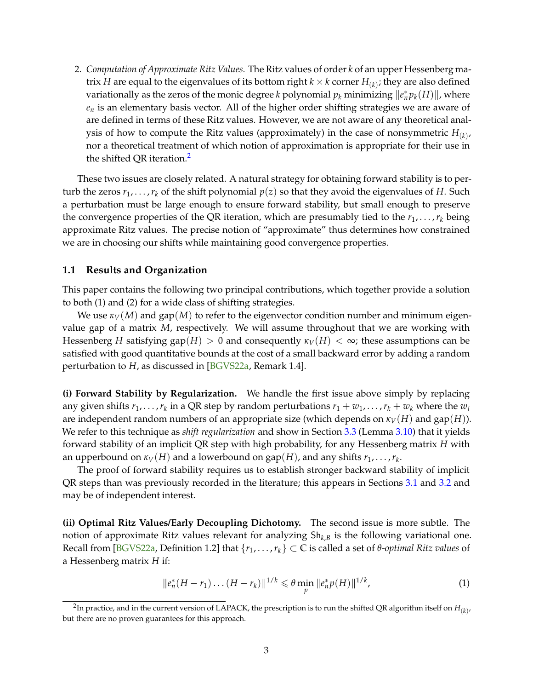<span id="page-2-3"></span>2. *Computation of Approximate Ritz Values.* The Ritz values of order *k* of an upper Hessenberg matrix  $H$  are equal to the eigenvalues of its bottom right  $k\times k$  corner  $H_{(k)}$ ; they are also defined variationally as the zeros of the monic degree *k* polynomial  $p_k$  minimizing  $\|e_n^*p_k(H)\|$ , where *e<sup>n</sup>* is an elementary basis vector. All of the higher order shifting strategies we are aware of are defined in terms of these Ritz values. However, we are not aware of any theoretical analysis of how to compute the Ritz values (approximately) in the case of nonsymmetric  $H_{(k)}$ , nor a theoretical treatment of which notion of approximation is appropriate for their use in the shifted QR iteration.[2](#page-2-1)

These two issues are closely related. A natural strategy for obtaining forward stability is to perturb the zeros  $r_1, \ldots, r_k$  of the shift polynomial  $p(z)$  so that they avoid the eigenvalues of *H*. Such a perturbation must be large enough to ensure forward stability, but small enough to preserve the convergence properties of the QR iteration, which are presumably tied to the  $r_1, \ldots, r_k$  being approximate Ritz values. The precise notion of "approximate" thus determines how constrained we are in choosing our shifts while maintaining good convergence properties.

#### <span id="page-2-0"></span>**1.1 Results and Organization**

This paper contains the following two principal contributions, which together provide a solution to both (1) and (2) for a wide class of shifting strategies.

We use  $\kappa_V(M)$  and gap(*M*) to refer to the eigenvector condition number and minimum eigenvalue gap of a matrix *M*, respectively. We will assume throughout that we are working with Hessenberg *H* satisfying gap(*H*) > 0 and consequently  $\kappa_V(H) < \infty$ ; these assumptions can be satisfied with good quantitative bounds at the cost of a small backward error by adding a random perturbation to *H*, as discussed in [\[BGVS22a,](#page-38-0) Remark 1.4].

**(i) Forward Stability by Regularization.** We handle the first issue above simply by replacing any given shifts  $r_1, \ldots, r_k$  in a QR step by random perturbations  $r_1 + w_1, \ldots, r_k + w_k$  where the  $w_i$ are independent random numbers of an appropriate size (which depends on  $\kappa_V(H)$  and gap(*H*)). We refer to this technique as *shift regularization* and show in Section [3.3](#page-16-0) (Lemma [3.10\)](#page-16-1) that it yields forward stability of an implicit QR step with high probability, for any Hessenberg matrix *H* with an upperbound on  $\kappa_V(H)$  and a lowerbound on  $\mathrm{gap}(H)$ , and any shifts  $r_1,\ldots,r_k.$ 

The proof of forward stability requires us to establish stronger backward stability of implicit QR steps than was previously recorded in the literature; this appears in Sections [3.1](#page-12-0) and [3.2](#page-14-0) and may be of independent interest.

**(ii) Optimal Ritz Values/Early Decoupling Dichotomy.** The second issue is more subtle. The notion of approximate Ritz values relevant for analyzing Sh*k*,*<sup>B</sup>* is the following variational one. Recall from [\[BGVS22a,](#page-38-0) Definition 1.2] that  $\{r_1, \ldots, r_k\} \subset \mathbb{C}$  is called a set of  $\theta$ -*optimal Ritz values* of a Hessenberg matrix *H* if:

<span id="page-2-2"></span>
$$
||e_n^*(H - r_1)\dots(H - r_k)||^{1/k} \leq \theta \min_p ||e_n^* p(H)||^{1/k}, \tag{1}
$$

<span id="page-2-1"></span> $^2$ In practice, and in the current version of LAPACK, the prescription is to run the shifted QR algorithm itself on  $H_{(k)}$ , but there are no proven guarantees for this approach.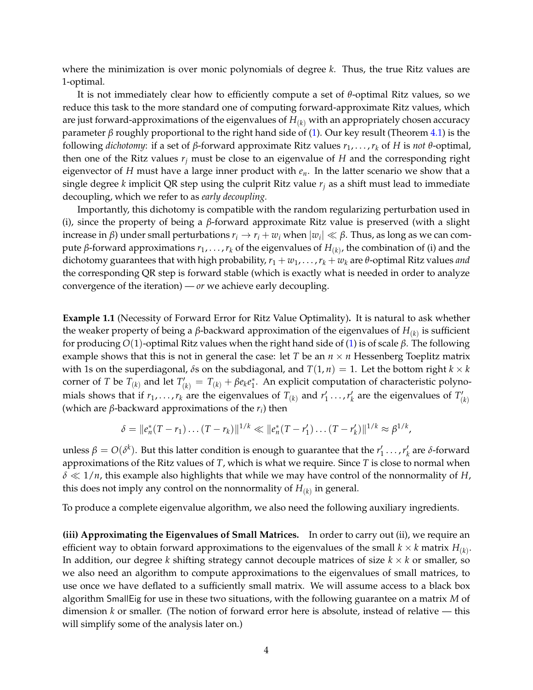where the minimization is over monic polynomials of degree *k*. Thus, the true Ritz values are 1-optimal.

It is not immediately clear how to efficiently compute a set of *θ*-optimal Ritz values, so we reduce this task to the more standard one of computing forward-approximate Ritz values, which are just forward-approximations of the eigenvalues of *H*(*k*) with an appropriately chosen accuracy parameter *β* roughly proportional to the right hand side of [\(1\)](#page-2-2). Our key result (Theorem [4.1\)](#page-17-2) is the following *dichotomy*: if a set of *β*-forward approximate Ritz values *r*1, . . . ,*r<sup>k</sup>* of *H* is *not θ*-optimal, then one of the Ritz values  $r_j$  must be close to an eigenvalue of  $H$  and the corresponding right eigenvector of *H* must have a large inner product with *en*. In the latter scenario we show that a single degree *k* implicit QR step using the culprit Ritz value *r<sup>j</sup>* as a shift must lead to immediate decoupling, which we refer to as *early decoupling.*

Importantly, this dichotomy is compatible with the random regularizing perturbation used in (i), since the property of being a *β*-forward approximate Ritz value is preserved (with a slight increase in *β*) under small perturbations  $r_i \to r_i + w_i$  when  $|w_i| \ll \beta$ . Thus, as long as we can compute *β*-forward approximations *r*1, . . . ,*r<sup>k</sup>* of the eigenvalues of *H*(*k*) , the combination of (i) and the dichotomy guarantees that with high probability,  $r_1 + w_1, \ldots, r_k + w_k$  are  $\theta$ -optimal Ritz values *and* the corresponding QR step is forward stable (which is exactly what is needed in order to analyze convergence of the iteration) — *or* we achieve early decoupling.

**Example 1.1** (Necessity of Forward Error for Ritz Value Optimality)**.** It is natural to ask whether the weaker property of being a *β*-backward approximation of the eigenvalues of *H*(*k*) is sufficient for producing *O*(1)-optimal Ritz values when the right hand side of [\(1\)](#page-2-2) is of scale *β*. The following example shows that this is not in general the case: let *T* be an *n* × *n* Hessenberg Toeplitz matrix with 1s on the superdiagonal,  $\delta$ s on the subdiagonal, and  $T(1, n) = 1$ . Let the bottom right  $k \times k$ corner of *T* be  $T_{(k)}$  and let  $T'_{(k)} = T_{(k)} + \beta e_k e_1^*$ . An explicit computation of characteristic polynomials shows that if  $r_1,\ldots,r_k$  are the eigenvalues of  $T_{(k)}$  and  $r'_1\ldots,r'_k$  are the eigenvalues of  $T'_{(k)}$ (which are *β*-backward approximations of the *r<sup>i</sup>* ) then

$$
\delta = ||e_n^*(T - r_1) \dots (T - r_k)||^{1/k} \ll ||e_n^*(T - r'_1) \dots (T - r'_k)||^{1/k} \approx \beta^{1/k},
$$

unless  $β = O(δ<sup>k</sup>)$ . But this latter condition is enough to guarantee that the  $r'_1$ ...,  $r'_k$  are *δ*-forward approximations of the Ritz values of *T*, which is what we require. Since *T* is close to normal when *δ* ≪ 1/*n*, this example also highlights that while we may have control of the nonnormality of *H*, this does not imply any control on the nonnormality of  $H_{(k)}$  in general.

To produce a complete eigenvalue algorithm, we also need the following auxiliary ingredients.

<span id="page-3-0"></span>**(iii) Approximating the Eigenvalues of Small Matrices.** In order to carry out (ii), we require an efficient way to obtain forward approximations to the eigenvalues of the small  $k \times k$  matrix  $H_{(k)}.$ In addition, our degree *k* shifting strategy cannot decouple matrices of size  $k \times k$  or smaller, so we also need an algorithm to compute approximations to the eigenvalues of small matrices, to use once we have deflated to a sufficiently small matrix. We will assume access to a black box algorithm SmallEig for use in these two situations, with the following guarantee on a matrix *M* of dimension *k* or smaller. (The notion of forward error here is absolute, instead of relative — this will simplify some of the analysis later on.)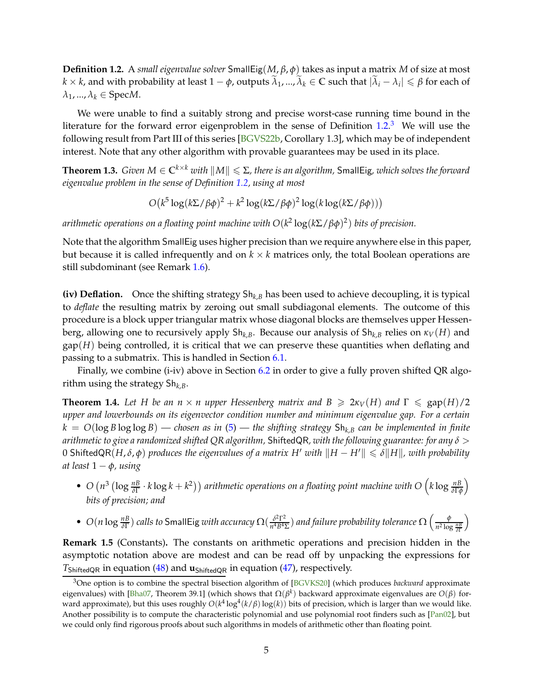<span id="page-4-3"></span>**Definition 1.2.** A *small eigenvalue solver* SmallEig(*M*, *β*, *φ*) takes as input a matrix *M* of size at most  $k \times k$ , and with probability at least  $1 - \phi$ , outputs  $\widetilde{\lambda}_1, ..., \widetilde{\lambda}_k \in \mathbb{C}$  such that  $|\widetilde{\lambda}_i - \lambda_i| \leqslant \beta$  for each of  $\lambda_1$ , ...,  $\lambda_k \in \text{Spec} M$ .

We were unable to find a suitably strong and precise worst-case running time bound in the literature for the forward error eigenproblem in the sense of Definition [1.2.](#page-3-0)<sup>[3](#page-4-0)</sup> We will use the following result from Part III of this series [\[BGVS22b,](#page-38-1) Corollary 1.3], which may be of independent interest. Note that any other algorithm with provable guarantees may be used in its place.

 $\bf{Theorem~1.3.}$  *Given*  $M \in \mathbb{C}^{k \times k}$  *with*  $\|M\| \leqslant \Sigma$ *, there is an algorithm, <code>SmallEig</code>, which solves the forward eigenvalue problem in the sense of Definition [1.2,](#page-3-0) using at most*

 $O(k^5 \log(k \sum / \beta \phi)^2 + k^2 \log(k \sum / \beta \phi)^2 \log(k \log(k \sum / \beta \phi)))$ 

*arithmetic operations on a floating point machine with O*(*k* 2 log(*k*Σ/*βφ*) 2 ) *bits of precision.*

Note that the algorithm SmallEig uses higher precision than we require anywhere else in this paper, but because it is called infrequently and on  $k \times k$  matrices only, the total Boolean operations are still subdominant (see Remark [1.6\)](#page-4-1).

**(iv) Deflation.** Once the shifting strategy Sh*k*,*<sup>B</sup>* has been used to achieve decoupling, it is typical to *deflate* the resulting matrix by zeroing out small subdiagonal elements. The outcome of this procedure is a block upper triangular matrix whose diagonal blocks are themselves upper Hessenberg, allowing one to recursively apply  $Sh_{k,B}$ . Because our analysis of  $Sh_{k,B}$  relies on  $\kappa_V(H)$  and  $\text{gap}(H)$  being controlled, it is critical that we can preserve these quantities when deflating and passing to a submatrix. This is handled in Section [6.1.](#page-31-1)

<span id="page-4-2"></span>Finally, we combine (i-iv) above in Section [6.2](#page-32-0) in order to give a fully proven shifted QR algorithm using the strategy Sh*k*,*B*.

**Theorem 1.4.** Let H be an  $n \times n$  upper Hessenberg matrix and  $B \geq 2\kappa_V(H)$  and  $\Gamma \leq \text{gap}(H)/2$ *upper and lowerbounds on its eigenvector condition number and minimum eigenvalue gap. For a certain*  $k = O(\log B \log \log B)$  *— chosen as in* [\(5\)](#page-10-1) — the shifting strategy  $Sh_{k,B}$  can be implemented in finite *arithmetic to give a randomized shifted QR algorithm,* ShiftedQR*, with the following guarantee: for any δ* > 0 ShiftedQR( $H, \delta, \phi$ ) produces the eigenvalues of a matrix H' with  $\|H - H'\| \leq \delta \|H\|$ , with probability *at least* 1 − *φ, using*

- $O(n^3 (\log \frac{nB}{\delta\Gamma} \cdot k \log k + k^2))$  arithmetic operations on a floating point machine with  $O(k \log \frac{nB}{\delta\Gamma \phi})$  $\overline{ }$ *bits of precision; and*
- $O(n \log \frac{n}{\delta}C)$  *calls to* SmallEig *with accuracy*  $\Omega(\frac{\delta^2 \Gamma^2}{n^4 B^4})$  $\frac{\delta^2 \Gamma^2}{n^4 B^4 \Sigma}$ ) and failure probability tolerance  $\Omega\left(\frac{\phi}{n^2 \log n}\right)$ *n* 2 log *nB δ*Γ  $\overline{ }$

**Remark 1.5** (Constants)**.** The constants on arithmetic operations and precision hidden in the asymptotic notation above are modest and can be read off by unpacking the expressions for *T*<sub>ShiftedQR</sub> in equation [\(48\)](#page-33-0) and **u**<sub>ShiftedQR</sub> in equation [\(47\)](#page-33-1), respectively.

<span id="page-4-1"></span><span id="page-4-0"></span><sup>3</sup>One option is to combine the spectral bisection algorithm of [\[BGVKS20\]](#page-38-2) (which produces *backward* approximate eigenvalues) with [\[Bha07,](#page-38-3) Theorem 39.1] (which shows that  $\Omega(\beta^k)$  backward approximate eigenvalues are  $O(\beta)$  forward approximate), but this uses roughly  $O(k^4\log^4(k/\beta)\log(k))$  bits of precision, which is larger than we would like. Another possibility is to compute the characteristic polynomial and use polynomial root finders such as [\[Pan02\]](#page-39-3), but we could only find rigorous proofs about such algorithms in models of arithmetic other than floating point.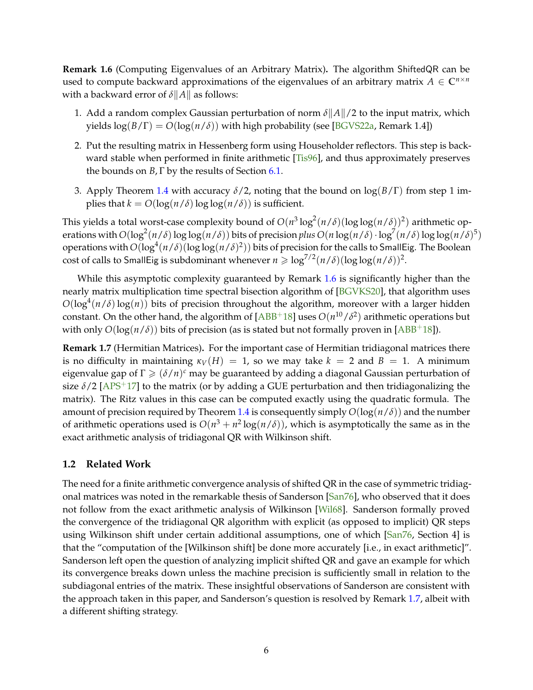<span id="page-5-2"></span>**Remark 1.6** (Computing Eigenvalues of an Arbitrary Matrix)**.** The algorithm ShiftedQR can be used to compute backward approximations of the eigenvalues of an arbitrary matrix  $A \in \mathbb{C}^{n \times n}$ with a backward error of  $\delta ||A||$  as follows:

- 1. Add a random complex Gaussian perturbation of norm  $\delta ||A||/2$  to the input matrix, which yields  $\log(B/\Gamma) = O(\log(n/\delta))$  with high probability (see [\[BGVS22a,](#page-38-0) Remark 1.4])
- 2. Put the resulting matrix in Hessenberg form using Householder reflectors. This step is backward stable when performed in finite arithmetic [\[Tis96\]](#page-39-2), and thus approximately preserves the bounds on *B*,  $\Gamma$  by the results of Section [6.1.](#page-31-1)
- 3. Apply Theorem [1.4](#page-4-2) with accuracy *δ*/2, noting that the bound on log(*B*/Γ) from step 1 implies that  $k = O(\log(n/\delta) \log \log(n/\delta))$  is sufficient.

This yields a total worst-case complexity bound of  $O(n^3 \log^2(n/\delta) (\log \log(n/\delta))^2)$  arithmetic operations with  $O(log^2(n/\delta) \log \log(n/\delta))$  bits of precision *plus*  $O(n \log(n/\delta) \cdot \log^7(n/\delta) \log \log(n/\delta)^5)$ operations with  $O(\log^4(n/\delta)(\log\log(n/\delta)^2))$  bits of precision for the calls to SmallEig. The Boolean cost of calls to SmallEig is subdominant whenever  $n \geqslant \log^{7/2}(n/\delta)(\log \log(n/\delta))^2$ .

While this asymptotic complexity guaranteed by Remark [1.6](#page-4-1) is significantly higher than the nearly matrix multiplication time spectral bisection algorithm of [\[BGVKS20\]](#page-38-2), that algorithm uses  $O(log^4(n/\delta)log(n))$  bits of precision throughout the algorithm, moreover with a larger hidden constant. On the other hand, the algorithm of  $[ABB^+18]$  uses  $O(n^{10}/\delta^2)$  arithmetic operations but with only  $O(log(n/\delta))$  bits of precision (as is stated but not formally proven in [\[ABB](#page-38-4)<sup>+</sup>18]).

<span id="page-5-1"></span>**Remark 1.7** (Hermitian Matrices)**.** For the important case of Hermitian tridiagonal matrices there is no difficulty in maintaining  $\kappa_V(H) = 1$ , so we may take  $k = 2$  and  $B = 1$ . A minimum eigenvalue gap of Γ > (*δ*/*n*) *<sup>c</sup>* may be guaranteed by adding a diagonal Gaussian perturbation of size  $\delta/2$  [\[APS](#page-38-5)<sup>+</sup>17] to the matrix (or by adding a GUE perturbation and then tridiagonalizing the matrix). The Ritz values in this case can be computed exactly using the quadratic formula. The amount of precision required by Theorem [1.4](#page-4-2) is consequently simply  $O(log(n/\delta))$  and the number of arithmetic operations used is  $O(n^3 + n^2 \log(n/\delta))$ , which is asymptotically the same as in the exact arithmetic analysis of tridiagonal QR with Wilkinson shift.

### <span id="page-5-0"></span>**1.2 Related Work**

The need for a finite arithmetic convergence analysis of shifted QR in the case of symmetric tridiagonal matrices was noted in the remarkable thesis of Sanderson [\[San76\]](#page-39-4), who observed that it does not follow from the exact arithmetic analysis of Wilkinson [\[Wil68\]](#page-39-5). Sanderson formally proved the convergence of the tridiagonal QR algorithm with explicit (as opposed to implicit) QR steps using Wilkinson shift under certain additional assumptions, one of which [\[San76,](#page-39-4) Section 4] is that the "computation of the [Wilkinson shift] be done more accurately [i.e., in exact arithmetic]". Sanderson left open the question of analyzing implicit shifted QR and gave an example for which its convergence breaks down unless the machine precision is sufficiently small in relation to the subdiagonal entries of the matrix. These insightful observations of Sanderson are consistent with the approach taken in this paper, and Sanderson's question is resolved by Remark [1.7,](#page-5-1) albeit with a different shifting strategy.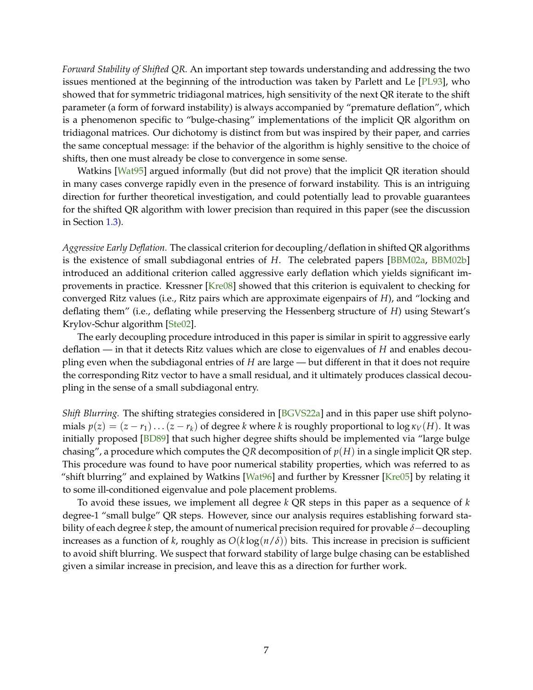<span id="page-6-0"></span>*Forward Stability of Shifted QR.* An important step towards understanding and addressing the two issues mentioned at the beginning of the introduction was taken by Parlett and Le [\[PL93\]](#page-39-0), who showed that for symmetric tridiagonal matrices, high sensitivity of the next QR iterate to the shift parameter (a form of forward instability) is always accompanied by "premature deflation", which is a phenomenon specific to "bulge-chasing" implementations of the implicit QR algorithm on tridiagonal matrices. Our dichotomy is distinct from but was inspired by their paper, and carries the same conceptual message: if the behavior of the algorithm is highly sensitive to the choice of shifts, then one must already be close to convergence in some sense.

Watkins [\[Wat95\]](#page-39-6) argued informally (but did not prove) that the implicit QR iteration should in many cases converge rapidly even in the presence of forward instability. This is an intriguing direction for further theoretical investigation, and could potentially lead to provable guarantees for the shifted QR algorithm with lower precision than required in this paper (see the discussion in Section [1.3\)](#page-7-0).

*Aggressive Early Deflation.* The classical criterion for decoupling/deflation in shifted QR algorithms is the existence of small subdiagonal entries of *H*. The celebrated papers [\[BBM02a,](#page-38-6) [BBM02b\]](#page-38-7) introduced an additional criterion called aggressive early deflation which yields significant improvements in practice. Kressner [\[Kre08\]](#page-39-7) showed that this criterion is equivalent to checking for converged Ritz values (i.e., Ritz pairs which are approximate eigenpairs of *H*), and "locking and deflating them" (i.e., deflating while preserving the Hessenberg structure of *H*) using Stewart's Krylov-Schur algorithm [\[Ste02\]](#page-39-8).

The early decoupling procedure introduced in this paper is similar in spirit to aggressive early deflation — in that it detects Ritz values which are close to eigenvalues of *H* and enables decoupling even when the subdiagonal entries of *H* are large — but different in that it does not require the corresponding Ritz vector to have a small residual, and it ultimately produces classical decoupling in the sense of a small subdiagonal entry.

*Shift Blurring.* The shifting strategies considered in [\[BGVS22a\]](#page-38-0) and in this paper use shift polynomials  $p(z) = (z - r_1) \dots (z - r_k)$  of degree *k* where *k* is roughly proportional to  $\log \kappa_V(H)$ . It was initially proposed [\[BD89\]](#page-38-8) that such higher degree shifts should be implemented via "large bulge chasing", a procedure which computes the *QR* decomposition of *p*(*H*) in a single implicit QR step. This procedure was found to have poor numerical stability properties, which was referred to as "shift blurring" and explained by Watkins [\[Wat96\]](#page-39-9) and further by Kressner [\[Kre05\]](#page-38-9) by relating it to some ill-conditioned eigenvalue and pole placement problems.

To avoid these issues, we implement all degree *k* QR steps in this paper as a sequence of *k* degree-1 "small bulge" QR steps. However, since our analysis requires establishing forward stability of each degree *k* step, the amount of numerical precision required for provable *δ*−decoupling increases as a function of *k*, roughly as  $O(k \log(n/\delta))$  bits. This increase in precision is sufficient to avoid shift blurring. We suspect that forward stability of large bulge chasing can be established given a similar increase in precision, and leave this as a direction for further work.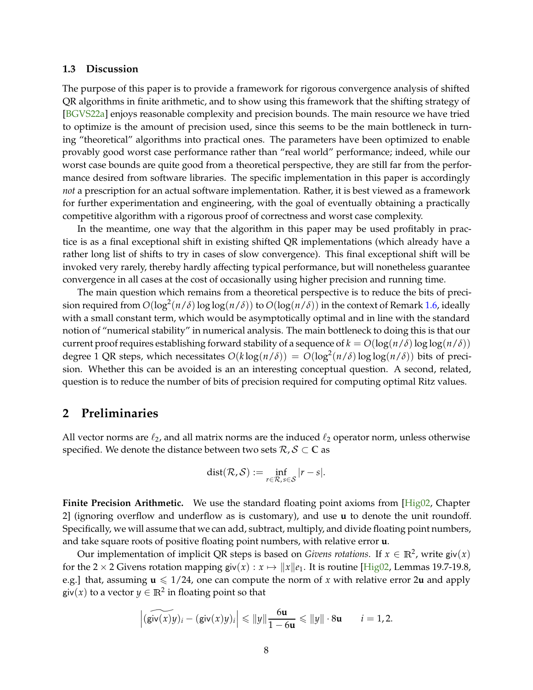#### <span id="page-7-2"></span><span id="page-7-0"></span>**1.3 Discussion**

The purpose of this paper is to provide a framework for rigorous convergence analysis of shifted QR algorithms in finite arithmetic, and to show using this framework that the shifting strategy of [\[BGVS22a\]](#page-38-0) enjoys reasonable complexity and precision bounds. The main resource we have tried to optimize is the amount of precision used, since this seems to be the main bottleneck in turning "theoretical" algorithms into practical ones. The parameters have been optimized to enable provably good worst case performance rather than "real world" performance; indeed, while our worst case bounds are quite good from a theoretical perspective, they are still far from the performance desired from software libraries. The specific implementation in this paper is accordingly *not* a prescription for an actual software implementation. Rather, it is best viewed as a framework for further experimentation and engineering, with the goal of eventually obtaining a practically competitive algorithm with a rigorous proof of correctness and worst case complexity.

In the meantime, one way that the algorithm in this paper may be used profitably in practice is as a final exceptional shift in existing shifted QR implementations (which already have a rather long list of shifts to try in cases of slow convergence). This final exceptional shift will be invoked very rarely, thereby hardly affecting typical performance, but will nonetheless guarantee convergence in all cases at the cost of occasionally using higher precision and running time.

The main question which remains from a theoretical perspective is to reduce the bits of precision required from  $O(\log^2(n/\delta)\log\log(n/\delta))$  to  $O(\log(n/\delta))$  in the context of Remark [1.6,](#page-4-1) ideally with a small constant term, which would be asymptotically optimal and in line with the standard notion of "numerical stability" in numerical analysis. The main bottleneck to doing this is that our current proof requires establishing forward stability of a sequence of  $k = O(\log(n/\delta) \log \log(n/\delta))$ degree 1 QR steps, which necessitates  $O(k \log(n/\delta)) = O(\log^2(n/\delta) \log \log(n/\delta))$  bits of precision. Whether this can be avoided is an an interesting conceptual question. A second, related, question is to reduce the number of bits of precision required for computing optimal Ritz values.

### <span id="page-7-1"></span>**2 Preliminaries**

All vector norms are  $\ell_2$ , and all matrix norms are the induced  $\ell_2$  operator norm, unless otherwise specified. We denote the distance between two sets  $\mathcal{R}, \mathcal{S} \subset \mathbb{C}$  as

$$
dist(\mathcal{R}, \mathcal{S}) := \inf_{r \in \mathcal{R}, s \in \mathcal{S}} |r - s|.
$$

**Finite Precision Arithmetic.** We use the standard floating point axioms from [\[Hig02,](#page-38-10) Chapter] 2] (ignoring overflow and underflow as is customary), and use **u** to denote the unit roundoff. Specifically, we will assume that we can add, subtract, multiply, and divide floating point numbers, and take square roots of positive floating point numbers, with relative error **u**.

Our implementation of implicit QR steps is based on *Givens rotations*. If  $x \in \mathbb{R}^2$ , write  $\textsf{giv}(x)$ for the 2 × 2 Givens rotation mapping  $\text{giv}(x) : x \mapsto ||x||e_1$ . It is routine [\[Hig02,](#page-38-10) Lemmas 19.7-19.8, e.g.] that, assuming  $u \le 1/24$ , one can compute the norm of x with relative error 2*u* and apply giv $(x)$  to a vector  $y \in \mathbb{R}^2$  in floating point so that

$$
\left| \widetilde{(\mathsf{giv}(x)y)_i} - (\mathsf{giv}(x)y)_i \right| \leq \|y\| \frac{6\mathbf{u}}{1 - 6\mathbf{u}} \leq \|y\| \cdot 8\mathbf{u} \qquad i = 1, 2.
$$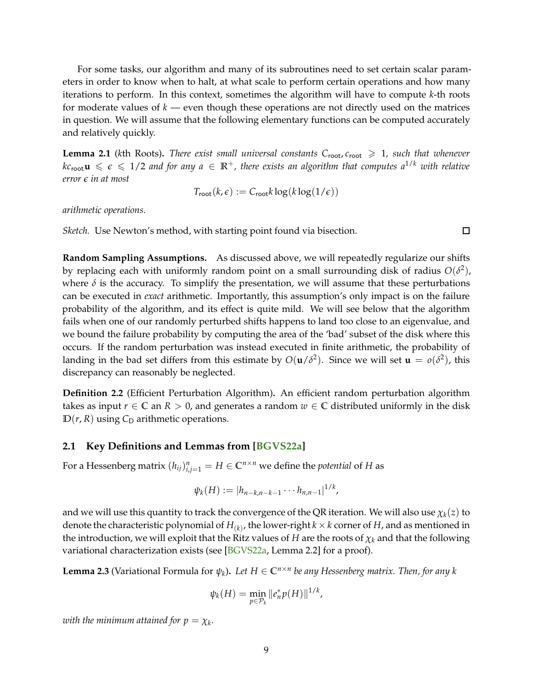<span id="page-8-3"></span>For some tasks, our algorithm and many of its subroutines need to set certain scalar parameters in order to know when to halt, at what scale to perform certain operations and how many iterations to perform. In this context, sometimes the algorithm will have to compute *k*-th roots for moderate values of *k* — even though these operations are not directly used on the matrices in question. We will assume that the following elementary functions can be computed accurately and relatively quickly.

<span id="page-8-2"></span>**Lemma 2.1** (kth Roots). *There exist small universal constants*  $C_{\text{root}}$ ,  $c_{\text{root}} \geq 1$ , such that whenever  $k c_{\text{root}} \mathbf{u} \leqslant \epsilon \leqslant 1/2$  and for any  $a \in \mathbb{R}^+$ , there exists an algorithm that computes  $a^{1/k}$  with relative *error ǫ in at most*

$$
T_{\text{root}}(k,\epsilon) := C_{\text{root}}k \log(k \log(1/\epsilon))
$$

 $\Box$ 

*arithmetic operations.*

*Sketch.* Use Newton's method, with starting point found via bisection.

**Random Sampling Assumptions.** As discussed above, we will repeatedly regularize our shifts by replacing each with uniformly random point on a small surrounding disk of radius  $O(\delta^2)$ , where  $\delta$  is the accuracy. To simplify the presentation, we will assume that these perturbations can be executed in *exact* arithmetic. Importantly, this assumption's only impact is on the failure probability of the algorithm, and its effect is quite mild. We will see below that the algorithm fails when one of our randomly perturbed shifts happens to land too close to an eigenvalue, and we bound the failure probability by computing the area of the 'bad' subset of the disk where this occurs. If the random perturbation was instead executed in finite arithmetic, the probability of landing in the bad set differs from this estimate by  $O(\mathbf{u}/\delta^2)$ . Since we will set  $\mathbf{u} = o(\delta^2)$ , this discrepancy can reasonably be neglected.

**Definition 2.2** (Efficient Perturbation Algorithm)**.** An efficient random perturbation algorithm takes as input  $r \in \mathbb{C}$  an  $R > 0$ , and generates a random  $w \in \mathbb{C}$  distributed uniformly in the disk  $D(r, R)$  using  $C_D$  arithmetic operations.

#### <span id="page-8-0"></span>**2.1 Key Definitions and Lemmas from [\[BGVS22a\]](#page-38-0)**

For a Hessenberg matrix  $(h_{ij})_{i,j=1}^n = H \in \mathbb{C}^{n \times n}$  we define the *potential* of  $H$  as

$$
\psi_k(H) := |h_{n-k,n-k-1} \cdots h_{n,n-1}|^{1/k},
$$

and we will use this quantity to track the convergence of the QR iteration. We will also use  $\chi_k(z)$  to denote the characteristic polynomial of  $H_{(k)}$ , the lower-right  $k\times k$  corner of  $H$ , and as mentioned in the introduction, we will exploit that the Ritz values of *H* are the roots of *χ<sup>k</sup>* and that the following variational characterization exists (see [\[BGVS22a,](#page-38-0) Lemma 2.2] for a proof).

<span id="page-8-1"></span>**Lemma 2.3** (Variational Formula for  $\psi_k$ ). Let  $H \in \mathbb{C}^{n \times n}$  be any Hessenberg matrix. Then, for any k

$$
\psi_k(H) = \min_{p \in \mathcal{P}_k} \|e_n^* p(H)\|^{1/k},
$$

 $\omega$ *ith the minimum attained for*  $p = \chi_k$ *.*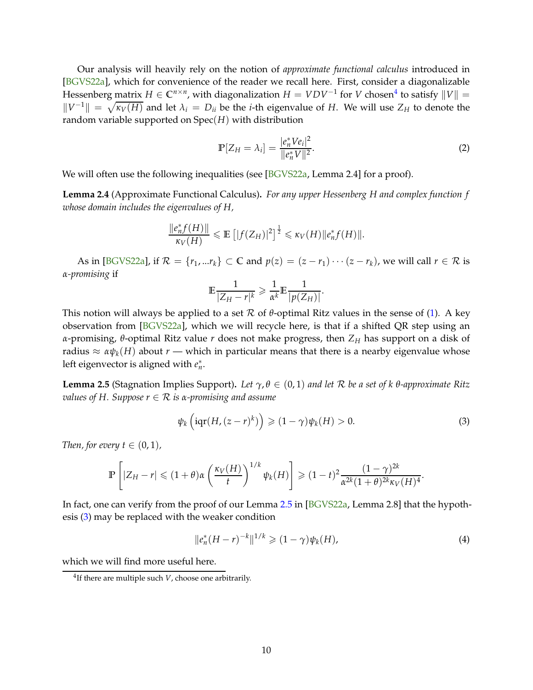<span id="page-9-4"></span>Our analysis will heavily rely on the notion of *approximate functional calculus* introduced in [\[BGVS22a\]](#page-38-0), which for convenience of the reader we recall here. First, consider a diagonalizable Hessenberg matrix  $H \in \mathbb{C}^{n \times n}$ , with diagonalization  $H = VDV^{-1}$  for *V* chosen<sup>[4](#page-9-0)</sup> to satisfy  $||V|| =$  $||V^{-1}|| = \sqrt{\kappa_V(H)}$  and let  $\lambda_i = D_{ii}$  be the *i*-th eigenvalue of *H*. We will use  $Z_H$  to denote the random variable supported on Spec(*H*) with distribution

$$
\mathbb{P}[Z_H = \lambda_i] = \frac{|e_n^* V e_i|^2}{\|e_n^* V\|^2}.
$$
\n(2)

<span id="page-9-3"></span>We will often use the following inequalities (see [\[BGVS22a,](#page-38-0) Lemma 2.4] for a proof).

**Lemma 2.4** (Approximate Functional Calculus)**.** *For any upper Hessenberg H and complex function f whose domain includes the eigenvalues of H,*

$$
\frac{\|e_n^*f(H)\|}{\kappa_V(H)} \leqslant \mathbb{E}\left[|f(Z_H)|^2\right]^{\frac{1}{2}} \leqslant \kappa_V(H)\|e_n^*f(H)\|.
$$

As in [\[BGVS22a\]](#page-38-0), if  $\mathcal{R} = \{r_1, ... r_k\} \subset \mathbb{C}$  and  $p(z) = (z - r_1) \cdots (z - r_k)$ , we will call  $r \in \mathcal{R}$  is *α-promising* if

$$
\mathbb{E}\frac{1}{|Z_H-r|^k} \geq \frac{1}{\alpha^k}\mathbb{E}\frac{1}{|p(Z_H)|}.
$$

This notion will always be applied to a set R of  $\theta$ -optimal Ritz values in the sense of [\(1\)](#page-2-2). A key observation from [\[BGVS22a\]](#page-38-0), which we will recycle here, is that if a shifted QR step using an *α*-promising, *θ*-optimal Ritz value *r* does not make progress, then *Z<sup>H</sup>* has support on a disk of radius  $\approx \alpha \psi_k(H)$  about  $r$  — which in particular means that there is a nearby eigenvalue whose left eigenvector is aligned with  $e_n^*$ .

<span id="page-9-1"></span>**Lemma 2.5** (Stagnation Implies Support). Let  $\gamma$ ,  $\theta \in (0,1)$  and let R be a set of k  $\theta$ -approximate Ritz *values of H. Suppose*  $r \in \mathcal{R}$  *is a-promising and assume* 

<span id="page-9-2"></span>
$$
\psi_k\left(\operatorname{iqr}(H,(z-r)^k)\right) \geqslant (1-\gamma)\psi_k(H) > 0. \tag{3}
$$

*Then, for every*  $t \in (0, 1)$ *,* 

$$
\mathbb{P}\left[|Z_H-r| \leq (1+\theta)\alpha\left(\frac{\kappa_V(H)}{t}\right)^{1/k}\psi_k(H)\right] \geq (1-t)^2 \frac{(1-\gamma)^{2k}}{\alpha^{2k}(1+\theta)^{2k}\kappa_V(H)^4}.
$$

In fact, one can verify from the proof of our Lemma [2.5](#page-9-1) in [\[BGVS22a,](#page-38-0) Lemma 2.8] that the hypothesis [\(3\)](#page-9-2) may be replaced with the weaker condition

$$
||e_n^*(H - r)^{-k}||^{1/k} \geq (1 - \gamma)\psi_k(H),
$$
\n(4)

which we will find more useful here.

<span id="page-9-0"></span><sup>4</sup> If there are multiple such *V*, choose one arbitrarily.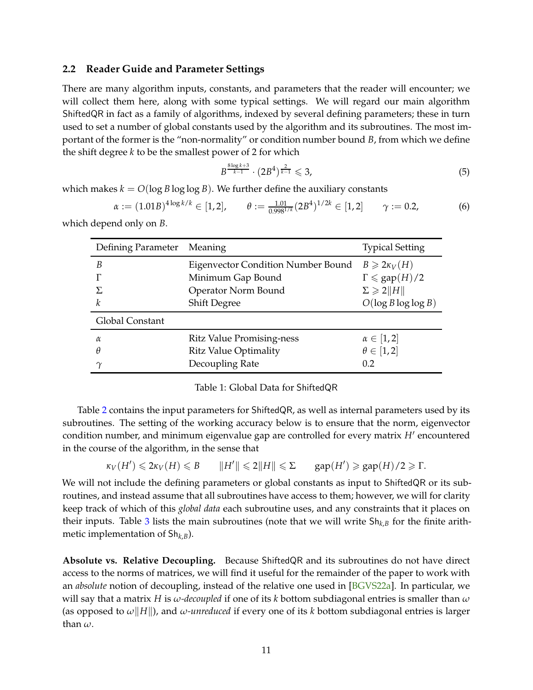#### <span id="page-10-4"></span><span id="page-10-0"></span>**2.2 Reader Guide and Parameter Settings**

There are many algorithm inputs, constants, and parameters that the reader will encounter; we will collect them here, along with some typical settings. We will regard our main algorithm ShiftedQR in fact as a family of algorithms, indexed by several defining parameters; these in turn used to set a number of global constants used by the algorithm and its subroutines. The most important of the former is the "non-normality" or condition number bound *B*, from which we define the shift degree *k* to be the smallest power of 2 for which

<span id="page-10-1"></span>
$$
B^{\frac{8\log k+3}{k-1}} \cdot (2B^4)^{\frac{2}{k-1}} \leq 3,\tag{5}
$$

which makes  $k = O(\log B \log \log B)$ . We further define the auxiliary constants

<span id="page-10-2"></span>
$$
\alpha := (1.01B)^{4\log k/k} \in [1,2], \qquad \theta := \frac{1.01}{0.998^{1/k}} (2B^4)^{1/2k} \in [1,2] \qquad \gamma := 0.2,\tag{6}
$$

<span id="page-10-3"></span>which depend only on *B*.

| Defining Parameter Meaning |                                           | <b>Typical Setting</b>    |  |
|----------------------------|-------------------------------------------|---------------------------|--|
| B                          | <b>Eigenvector Condition Number Bound</b> | $B\geqslant 2\kappa_V(H)$ |  |
|                            | Minimum Gap Bound                         | $\Gamma \leq$ gap $(H)/2$ |  |
|                            | Operator Norm Bound                       | $\Sigma \geqslant 2  H  $ |  |
| k                          | <b>Shift Degree</b>                       | $O(\log B \log \log B)$   |  |
| Global Constant            |                                           |                           |  |
| $\alpha$                   | <b>Ritz Value Promising-ness</b>          | $\alpha \in [1,2]$        |  |
| $\theta$                   | <b>Ritz Value Optimality</b>              | $\theta \in [1,2]$        |  |
| $\sim$                     | Decoupling Rate                           | 0.2                       |  |

Table [2](#page-11-1) contains the input parameters for ShiftedQR, as well as internal parameters used by its subroutines. The setting of the working accuracy below is to ensure that the norm, eigenvector condition number, and minimum eigenvalue gap are controlled for every matrix  $H'$  encountered in the course of the algorithm, in the sense that

$$
\kappa_V(H')\leq 2\kappa_V(H)\leq B\qquad\|H'\|\leq 2\|H\|\leq \Sigma\qquad \text{gap}(H')\geq \text{gap}(H)/2\geq \Gamma.
$$

We will not include the defining parameters or global constants as input to ShiftedQR or its subroutines, and instead assume that all subroutines have access to them; however, we will for clarity keep track of which of this *global data* each subroutine uses, and any constraints that it places on their inputs. Table [3](#page-11-2) lists the main subroutines (note that we will write Sh*k*,*<sup>B</sup>* for the finite arithmetic implementation of Sh*k*,*B*).

**Absolute vs. Relative Decoupling.** Because ShiftedQR and its subroutines do not have direct access to the norms of matrices, we will find it useful for the remainder of the paper to work with an *absolute* notion of decoupling, instead of the relative one used in [\[BGVS22a\]](#page-38-0). In particular, we will say that a matrix *H* is *ω-decoupled* if one of its *k* bottom subdiagonal entries is smaller than *ω* (as opposed to  $\omega$  |*H*||), and  $\omega$ *-unreduced* if every one of its *k* bottom subdiagonal entries is larger than *ω*.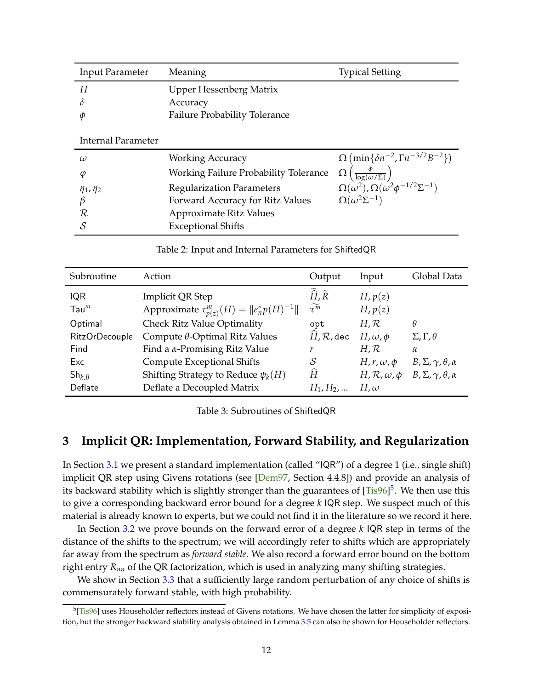<span id="page-11-4"></span><span id="page-11-1"></span>

| <b>Input Parameter</b> | Meaning                               | <b>Typical Setting</b>                                                                                               |
|------------------------|---------------------------------------|----------------------------------------------------------------------------------------------------------------------|
| H                      | Upper Hessenberg Matrix               |                                                                                                                      |
| δ                      | Accuracy                              |                                                                                                                      |
|                        | <b>Failure Probability Tolerance</b>  |                                                                                                                      |
|                        |                                       |                                                                                                                      |
| Internal Parameter     |                                       |                                                                                                                      |
| $\omega$               | <b>Working Accuracy</b>               | $\Omega$ (min{ $\delta n^{-2}$ , $\Gamma n^{-3/2}B^{-2}$ )                                                           |
| φ                      | Working Failure Probability Tolerance | Ω                                                                                                                    |
| $\eta_1, \eta_2$       | <b>Regularization Parameters</b>      | $\frac{\Omega\left(\frac{\nu}{\log(\omega/\Sigma)}\right)}{\Omega(\omega^2),\Omega(\omega^2\phi^{-1/2}\Sigma^{-1})}$ |
| $\beta$                | Forward Accuracy for Ritz Values      | $\Omega(\omega^2\Sigma^{-1})$                                                                                        |
| $\mathcal R$           | Approximate Ritz Values               |                                                                                                                      |
| S                      | <b>Exceptional Shifts</b>             |                                                                                                                      |

Table 2: Input and Internal Parameters for ShiftedQR

<span id="page-11-2"></span>

| Subroutine            | Action                                                                                     | Output                                                  | Input                       | Global Data                                                        |
|-----------------------|--------------------------------------------------------------------------------------------|---------------------------------------------------------|-----------------------------|--------------------------------------------------------------------|
| <b>IQR</b>            | Implicit QR Step                                                                           | $\tilde{\hat{H}}$ , $\tilde{R}$<br>$\widetilde{\tau^m}$ | $H$ , $p(z)$                |                                                                    |
| $Tau^m$<br>Optimal    | Approximate $\tau_{p(z)}^m(H) =   e_n^* p(H)^{-1}  $<br><b>Check Ritz Value Optimality</b> | opt                                                     | H, p(z)<br>$H, \mathcal{R}$ | θ                                                                  |
| <b>RitzOrDecouple</b> | Compute $\theta$ -Optimal Ritz Values                                                      | $\widehat{H}$ , $\mathcal{R}$ , dec                     | $H, \omega, \phi$           | $\Sigma, \Gamma, \theta$                                           |
| Find                  | Find a $\alpha$ -Promising Ritz Value                                                      | r                                                       | $H, \mathcal{R}$            | $\alpha$                                                           |
| Exc                   | <b>Compute Exceptional Shifts</b>                                                          | S                                                       | $H, r, \omega, \phi$        | $B, \Sigma, \gamma, \theta, \alpha$                                |
| $Sh_{k,B}$            | Shifting Strategy to Reduce $\psi_k(H)$                                                    | Ĥ                                                       |                             | $H, \mathcal{R}, \omega, \phi$ $B, \Sigma, \gamma, \theta, \alpha$ |
| Deflate               | Deflate a Decoupled Matrix                                                                 | $H_1, H_2, $                                            | $H, \omega$                 |                                                                    |

Table 3: Subroutines of ShiftedQR

## <span id="page-11-0"></span>**3 Implicit QR: Implementation, Forward Stability, and Regularization**

In Section [3.1](#page-12-0) we present a standard implementation (called "IQR") of a degree 1 (i.e., single shift) implicit QR step using Givens rotations (see [\[Dem97,](#page-38-11) Section 4.4.8]) and provide an analysis of its backward stability which is slightly stronger than the guarantees of [\[Tis96\]](#page-39-2) $^5$  $^5$ . We then use this to give a corresponding backward error bound for a degree *k* IQR step. We suspect much of this material is already known to experts, but we could not find it in the literature so we record it here.

In Section [3.2](#page-14-0) we prove bounds on the forward error of a degree *k* IQR step in terms of the distance of the shifts to the spectrum; we will accordingly refer to shifts which are appropriately far away from the spectrum as *forward stable*. We also record a forward error bound on the bottom right entry *Rnn* of the QR factorization, which is used in analyzing many shifting strategies.

We show in Section [3.3](#page-16-0) that a sufficiently large random perturbation of any choice of shifts is commensurately forward stable, with high probability.

<span id="page-11-3"></span> $5$ [Tis $96$ ] uses Householder reflectors instead of Givens rotations. We have chosen the latter for simplicity of exposition, but the stronger backward stability analysis obtained in Lemma [3.5](#page-13-0) can also be shown for Householder reflectors.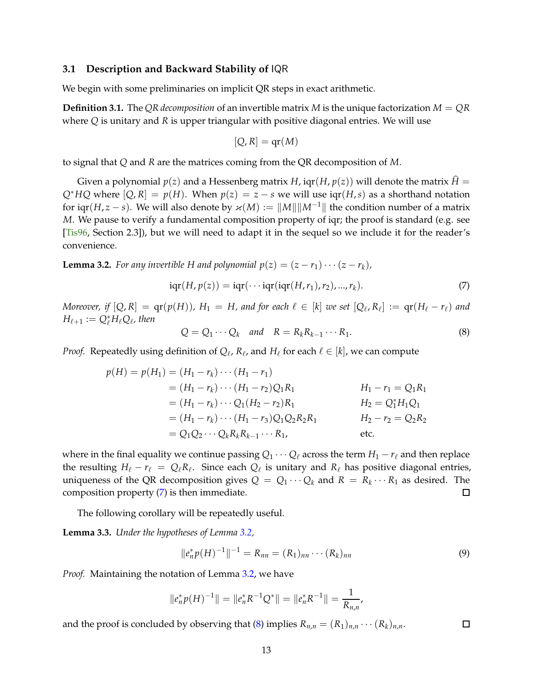#### <span id="page-12-5"></span><span id="page-12-0"></span>**3.1 Description and Backward Stability of** IQR

We begin with some preliminaries on implicit QR steps in exact arithmetic.

**Definition 3.1.** The *QR decomposition* of an invertible matrix *M* is the unique factorization *M* = *QR* where *Q* is unitary and *R* is upper triangular with positive diagonal entries. We will use

$$
[Q, R] = qr(M)
$$

to signal that *Q* and *R* are the matrices coming from the QR decomposition of *M*.

Given a polynomial  $p(z)$  and a Hessenberg matrix *H*,  $\text{iqr}(H, p(z))$  will denote the matrix  $\hat{H} =$  $Q^*HQ$  where  $[Q, R] = p(H)$ . When  $p(z) = z - s$  we will use  $iqr(H, s)$  as a shorthand notation for iqr(*H*, *z* − *s*). We will also denote by  $\varkappa(M) := ||M|| ||M^{-1}||$  the condition number of a matrix *M*. We pause to verify a fundamental composition property of iqr; the proof is standard (e.g. see [\[Tis96,](#page-39-2) Section 2.3]), but we will need to adapt it in the sequel so we include it for the reader's convenience.

<span id="page-12-2"></span>**Lemma 3.2.** *For any invertible H and polynomial*  $p(z) = (z - r_1) \cdots (z - r_k)$ *,* 

<span id="page-12-1"></span>
$$
iqr(H, p(z)) = iqr(\cdots iqr(iqr(H, r_1), r_2), \dots, r_k).
$$
\n<sup>(7)</sup>

*Moreover, if*  $[Q, R] = qr(p(H))$ *,*  $H_1 = H$ *, and for each*  $\ell \in [k]$  *we set*  $[Q_{\ell}, R_{\ell}] := qr(H_{\ell} - r_{\ell})$  *and*  $H_{\ell+1} := Q_{\ell}^* H_{\ell} Q_{\ell}$ , then

<span id="page-12-3"></span>
$$
Q = Q_1 \cdots Q_k \quad \text{and} \quad R = R_k R_{k-1} \cdots R_1. \tag{8}
$$

*Proof.* Repeatedly using definition of  $Q_{\ell}$ ,  $R_{\ell}$ , and  $H_{\ell}$  for each  $\ell \in [k]$ , we can compute

$$
p(H) = p(H_1) = (H_1 - r_k) \cdots (H_1 - r_1)
$$
  
=  $(H_1 - r_k) \cdots (H_1 - r_2)Q_1R_1$   $H_1 - r_1 = Q_1R_1$   
=  $(H_1 - r_k) \cdots Q_1(H_2 - r_2)R_1$   $H_2 = Q_1^*H_1Q_1$   
=  $(H_1 - r_k) \cdots (H_1 - r_3)Q_1Q_2R_2R_1$   $H_2 - r_2 = Q_2R_2$   
=  $Q_1Q_2 \cdots Q_kR_kR_{k-1} \cdots R_1$ , etc.

where in the final equality we continue passing  $Q_1 \cdots Q_\ell$  across the term  $H_1 - r_\ell$  and then replace the resulting  $H_{\ell} - r_{\ell} = Q_{\ell} R_{\ell}$ . Since each  $Q_{\ell}$  is unitary and  $R_{\ell}$  has positive diagonal entries, uniqueness of the QR decomposition gives  $Q = Q_1 \cdots Q_k$  and  $R = R_k \cdots R_1$  as desired. The composition property [\(7\)](#page-12-1) is then immediate.

The following corollary will be repeatedly useful.

**Lemma 3.3.** *Under the hypotheses of Lemma [3.2,](#page-12-2)*

<span id="page-12-4"></span>
$$
||e_n^* p(H)^{-1}||^{-1} = R_{nn} = (R_1)_{nn} \cdots (R_k)_{nn}
$$
\n(9)

*Proof.* Maintaining the notation of Lemma [3.2,](#page-12-2) we have

$$
||e_n^* p(H)^{-1}|| = ||e_n^* R^{-1} Q^*|| = ||e_n^* R^{-1}|| = \frac{1}{R_{n,n}},
$$

and the proof is concluded by observing that [\(8\)](#page-12-3) implies  $R_{n,n} = (R_1)_{n,n} \cdots (R_k)_{n,n}$ .  $\Box$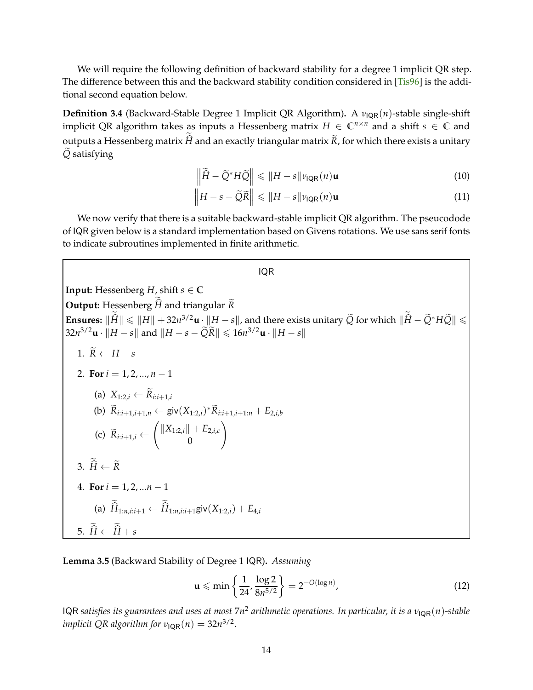<span id="page-13-2"></span>We will require the following definition of backward stability for a degree 1 implicit QR step. The difference between this and the backward stability condition considered in [\[Tis96\]](#page-39-2) is the additional second equation below.

<span id="page-13-1"></span>**Definition 3.4** (Backward-Stable Degree 1 Implicit QR Algorithm). A *ν*<sub>IQR</sub>(*n*)-stable single-shift implicit QR algorithm takes as inputs a Hessenberg matrix  $H \in \mathbb{C}^{n \times n}$  and a shift  $s \in \mathbb{C}$  and outputs a Hessenberg matrix *H* and an exactly triangular matrix *R*, for which there exists a unitary  $\tilde{Q}$  satisfying

$$
\left\|\widetilde{\hat{H}} - \widetilde{Q}^*H\widetilde{Q}\right\| \leqslant \|H - s\|\nu_{\text{IQR}}(n)\mathbf{u}
$$
\n(10)

$$
\left\| H - s - \widetilde{Q}\widetilde{R} \right\| \leqslant \| H - s \| \nu_{\text{IQR}}(n) \mathbf{u}
$$
\n(11)

We now verify that there is a suitable backward-stable implicit QR algorithm. The pseucodode of IQR given below is a standard implementation based on Givens rotations. We use sans serif fonts to indicate subroutines implemented in finite arithmetic.

#### IQR

**Input:** Hessenberg  $H$ , shift  $s \in \mathbb{C}$ **Output:** Hessenberg *H* and triangular *R* **Ensures:**  $\|\hat{H}\| \le \|H\| + 32n^{3/2}u \cdot \|H - s\|$ , and there exists unitary  $\tilde{Q}$  for which  $\|\hat{H} - \tilde{Q}^*H\tilde{Q}\| \le$  $32n^{3/2}$ **u** ·  $||H - s||$  and  $||H - s - \widetilde{Q}R|| \le 16n^{3/2}$ **u** ·  $||H - s||$ 1.  $\widetilde{R} \leftarrow H - s$ 

2. For 
$$
i = 1, 2, ..., n - 1
$$
  
\n(a)  $X_{1:2,i} \leftarrow \widetilde{R}_{i:i+1,i}$   
\n(b)  $\widetilde{R}_{i:i+1,i+1,n} \leftarrow \text{giv}(X_{1:2,i})^* \widetilde{R}_{i:i+1,i+1:n} + E_{2,i,b}$   
\n(c)  $\widetilde{R}_{i:i+1,i} \leftarrow \begin{pmatrix} ||X_{1:2,i}|| + E_{2,i,c} \\ 0 \end{pmatrix}$   
\n3.  $\widetilde{\hat{H}} \leftarrow \widetilde{R}$   
\n4. For  $i = 1, 2, ..., n - 1$   
\n(a)  $\widetilde{\hat{H}}_{1:n,i:i+1} \leftarrow \widetilde{\hat{H}}_{1:n,i:i+1} \text{giv}(X_{1:2,i}) + E_{4,i}$   
\n5.  $\widetilde{\hat{H}} \leftarrow \widetilde{\hat{H}} + s$ 

<span id="page-13-0"></span>**Lemma 3.5** (Backward Stability of Degree 1 IQR)**.** *Assuming*

$$
\mathbf{u} \leqslant \min \left\{ \frac{1}{24}, \frac{\log 2}{8n^{5/2}} \right\} = 2^{-O(\log n)},\tag{12}
$$

IQR *satisfies its guarantees and uses at most* 7*n* 2 *arithmetic operations. In particular, it is a ν*IQR(*n*)*-stable implicit QR algorithm for*  $\nu_{\text{IQR}}(n) = 32n^{3/2}$ *.*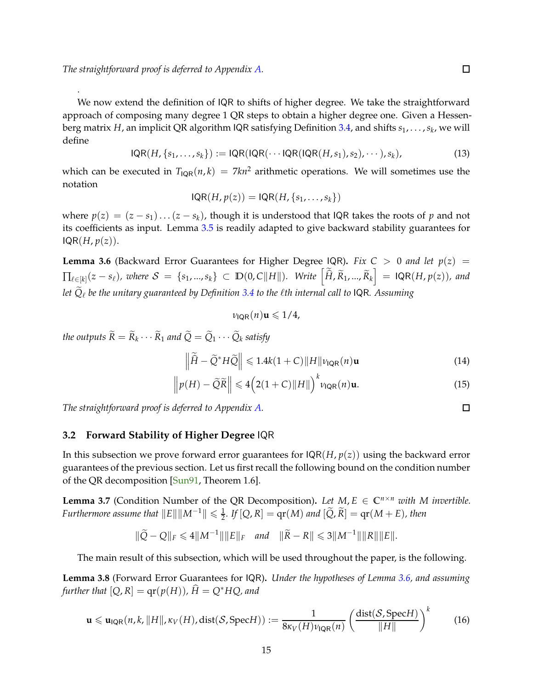<span id="page-14-4"></span>.

We now extend the definition of IQR to shifts of higher degree. We take the straightforward approach of composing many degree 1 QR steps to obtain a higher degree one. Given a Hessenberg matrix *H*, an implicit QR algorithm IQR satisfying Definition [3.4,](#page-13-1) and shifts *s*1, . . . ,*s<sup>k</sup>* , we will define

$$
IQR(H, \{s_1, \ldots, s_k\}) := IQR(IQR(\cdots IQR(IQR(H, s_1), s_2), \cdots), s_k),
$$
\n(13)

which can be executed in  $T_{\text{IQR}}(n,k) = 7kn^2$  arithmetic operations. We will sometimes use the notation

$$
IQR(H, p(z)) = IQR(H, \{s_1, \ldots, s_k\})
$$

where  $p(z) = (z - s_1) \dots (z - s_k)$ , though it is understood that IQR takes the roots of *p* and not its coefficients as input. Lemma [3.5](#page-13-0) is readily adapted to give backward stability guarantees for  $IQR(H,p(z)).$ 

<span id="page-14-1"></span>**Lemma 3.6** (Backward Error Guarantees for Higher Degree IQR). *Fix C* > 0 *and let*  $p(z)$  =  $\Pi_{\ell \in [k]}(z-s_\ell)$ , where  $\mathcal{S} = \{s_1,...,s_k\} \subset \mathbb{D}(0,C||H||)$ . Write  $\left[\widetilde{\hat{H}}, \widetilde{R}_1,..., \widetilde{R}_k\right] = \mathsf{IQR}(H, p(z))$ , and *let Q*e <sup>ℓ</sup> *be the unitary guaranteed by Definition [3.4](#page-13-1) to the* ℓ*th internal call to* IQR*. Assuming*

$$
\nu_{\text{IQR}}(n)\mathbf{u} \leqslant 1/4,
$$

*the outputs*  $R = R_k \cdots R_1$  *and*  $Q = Q_1 \cdots Q_k$  *satisfy* 

$$
\left\|\widetilde{H} - \widetilde{Q}^*H\widetilde{Q}\right\| \leqslant 1.4k(1+C)\|H\|\nu_{\text{IQR}}(n)\mathbf{u}
$$
\n(14)

$$
\left\| p(H) - \widetilde{Q}\widetilde{R} \right\| \leqslant 4 \left( 2(1+C) \|H\| \right)^k \nu_{\text{IQR}}(n) \mathbf{u}.
$$
\n(15)

*The straightforward proof is deferred to Appendix [A.](#page-39-1)*

### <span id="page-14-0"></span>**3.2 Forward Stability of Higher Degree** IQR

In this subsection we prove forward error guarantees for IQR(*H*, *p*(*z*)) using the backward error guarantees of the previous section. Let us first recall the following bound on the condition number of the QR decomposition [\[Sun91,](#page-39-10) Theorem 1.6].

<span id="page-14-2"></span>**Lemma 3.7** (Condition Number of the QR Decomposition). Let  $M$ ,  $E \in \mathbb{C}^{n \times n}$  *with M invertible. Furthermore assume that*  $||E|| ||M^{-1}|| \leq \frac{1}{2}$ . *If*  $[Q, R] = qr(M)$  and  $[\widetilde{Q}, \widetilde{R}] = qr(M + E)$ , then

$$
\|\widetilde{Q} - Q\|_F \leq 4\|M^{-1}\| \|E\|_F \quad \text{and} \quad \|\widetilde{R} - R\| \leq 3\|M^{-1}\| \|R\| \|E\|.
$$

<span id="page-14-3"></span>The main result of this subsection, which will be used throughout the paper, is the following.

**Lemma 3.8** (Forward Error Guarantees for IQR)**.** *Under the hypotheses of Lemma [3.6,](#page-14-1) and assuming further that*  $[Q, R] = \text{qr}(p(H))$ ,  $\hat{H} = Q^* HQ$ , and

$$
\mathbf{u} \leqslant \mathbf{u}_{\mathsf{IQR}}(n,k,\|H\|,\kappa_V(H),\text{dist}(\mathcal{S},\text{Spec}H)) := \frac{1}{8\kappa_V(H)\nu_{\mathsf{IQR}}(n)} \left(\frac{\text{dist}(\mathcal{S},\text{Spec}H)}{\|H\|}\right)^k \tag{16}
$$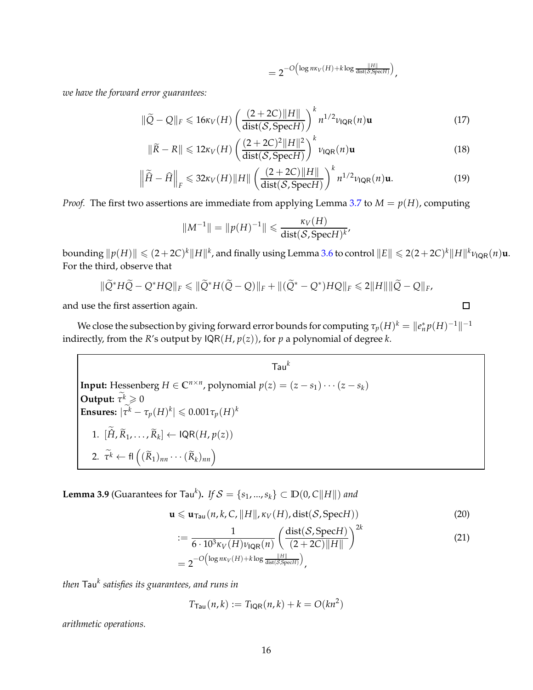$$
=2^{-O\left(\log n\kappa_V(H)+k\log\frac{\|H\|}{\text{dist}(\mathcal{S}, \text{Spec} H)}\right)},
$$

*we have the forward error guarantees:*

$$
\|\widetilde{Q} - Q\|_{F} \leq 16\kappa_V(H) \left(\frac{(2+2C)\|H\|}{\text{dist}(\mathcal{S}, \text{Spec}H)}\right)^{k} n^{1/2} \nu_{\text{IQR}}(n) \mathbf{u}
$$
(17)

$$
\|\widetilde{R} - R\| \leq 12\kappa_V(H) \left(\frac{(2+2C)^2 \|H\|^2}{\text{dist}(\mathcal{S}, \text{Spec} H)}\right)^k \nu_{\text{IQR}}(n) \mathbf{u}
$$
(18)

$$
\left\|\widetilde{\hat{H}} - \widehat{H}\right\|_{F} \leqslant 32\kappa_V(H)\|H\| \left(\frac{(2+2C)\|H\|}{\text{dist}(\mathcal{S}, \text{Spec}H)}\right)^{k} n^{1/2} \nu_{\text{IQR}}(n)\mathbf{u}.\tag{19}
$$

*Proof.* The first two assertions are immediate from applying Lemma [3.7](#page-14-2) to  $M = p(H)$ , computing

$$
||M^{-1}|| = ||p(H)^{-1}|| \leq \frac{\kappa_V(H)}{\text{dist}(\mathcal{S}, \text{Spec} H)^k},
$$

 $\|P(H)\| \leq (2+2C)^k \|H\|^k$ , and finally using Lemma [3.6](#page-14-1) to control  $\|E\| \leq 2(2+2C)^k \|H\|^k$ *V*<sub>IQR</sub> $(n)$ **u**. For the third, observe that

$$
\|\widetilde{Q}^*H\widetilde{Q}-Q^*HQ\|_F\leq \|\widetilde{Q}^*H(\widetilde{Q}-Q)\|_F+\|(\widetilde{Q}^*-Q^*)HQ\|_F\leq 2\|H\|\|\widetilde{Q}-Q\|_F,
$$

and use the first assertion again.

We close the subsection by giving forward error bounds for computing  $\tau_p(H)^k = \|e_n^*p(H)^{-1}\|^{-1}$ indirectly, from the *R*'s output by  $IQR(H, p(z))$ , for *p* a polynomial of degree *k*.

Input: Hessenberg *H* ∈ C<sup>*n*×*n*</sup>, polynomial *p*(*z*) = (*z* − *s*<sub>1</sub>) ··· (*z* − *s*<sub>k</sub>)

\nOutput: 
$$
\tilde{\tau}^k \geq 0
$$

\nEnsures:  $|\tilde{\tau}^k - \tau_p(H)^k| \leq 0.001\tau_p(H)^k$ 

\n1.  $[\tilde{H}, \tilde{R}_1, \ldots, \tilde{R}_k] \leftarrow \text{IQR}(H, p(z))$ 

\n2.  $\tilde{\tau}^k \leftarrow \text{fl}\left((\tilde{R}_1)_{nn} \cdots (\tilde{R}_k)_{nn}\right)$ 

<span id="page-15-1"></span>**Lemma 3.9** (Guarantees for Tau<sup>k</sup>). *If*  $S = \{s_1, ..., s_k\} \subset \mathbb{D}(0, C||H||)$  and

$$
\mathbf{u} \leqslant \mathbf{u}_{\mathsf{Tau}}(n,k,C,\|H\|,\kappa_V(H),\mathrm{dist}(\mathcal{S},\mathrm{Spec}H))
$$
\n(20)

<span id="page-15-0"></span> $2<sub>h</sub>$ 

$$
:=\frac{1}{6 \cdot 10^{3} \kappa_{V}(H) \nu_{\text{IQR}}(n)} \left(\frac{\text{dist}(\mathcal{S}, \text{Spec}H)}{(2+2C) \|H\|}\right)^{2k}
$$
\n
$$
= 2^{-O\left(\log n\kappa_{V}(H) + k \log \frac{\|H\|}{\text{dist}(\mathcal{S}, \text{Spec}H)}\right)},
$$
\n(21)

*then* Tau*<sup>k</sup> satisfies its guarantees, and runs in*

$$
T_{\text{Tau}}(n,k) := T_{\text{IQR}}(n,k) + k = O(kn^2)
$$

*arithmetic operations.*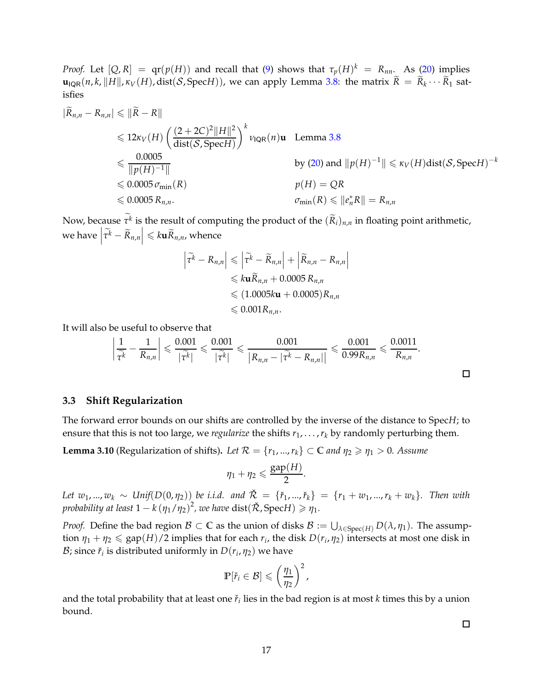*Proof.* Let  $[Q, R] = qr(p(H))$  and recall that [\(9\)](#page-12-4) shows that  $\tau_p(H)^k = R_{nn}$ . As [\(20\)](#page-15-0) implies  $\mathbf{u}_{\mathsf{IQR}}(n, k, \|H\|, \kappa_V(H), \text{dist}(\mathcal{S}, \text{Spec} H))$ , we can apply Lemma [3.8:](#page-14-3) the matrix  $R = R_k \cdots R_1$  satisfies

$$
|\widetilde{R}_{n,n} - R_{n,n}| \leq \|\widetilde{R} - R\|
$$
  
\n
$$
\leq 12\kappa_V(H) \left(\frac{(2+2C)^2 \|H\|^2}{\text{dist}(\mathcal{S}, \text{Spec}H)}\right)^k \nu_{\text{IQR}}(n) \mathbf{u} \quad \text{Lemma 3.8}
$$
  
\n
$$
\leq \frac{0.0005}{\|p(H)^{-1}\|}
$$
  
\n
$$
\leq 0.0005 \sigma_{\min}(R)
$$
  
\n
$$
\leq 0.0005 \sigma_{\min}(R)
$$
  
\n
$$
\leq 0.0005 R_{n,n}.
$$
  
\n
$$
\nu_{\text{IQR}}(H) = QR
$$
  
\n
$$
\sigma_{\min}(R) \leq \|e_n^*R\| = R_{n,n}
$$

Now, because  $\tau^k$  is the result of computing the product of the  $(R_i)_{n,n}$  in floating point arithmetic, we have  $\left|\widetilde{\tau^k} - \widetilde{R}_{n,n}\right| \leqslant k \mathbf{u} \widetilde{R}_{n,n}$ , whence

$$
\left| \tilde{\tau}^k - R_{n,n} \right| \leq \left| \tilde{\tau}^k - \tilde{R}_{n,n} \right| + \left| \tilde{R}_{n,n} - R_{n,n} \right|
$$
  

$$
\leq k \mathbf{u} \tilde{R}_{n,n} + 0.0005 R_{n,n}
$$
  

$$
\leq (1.0005k\mathbf{u} + 0.0005) R_{n,n}
$$
  

$$
\leq 0.001 R_{n,n}.
$$

It will also be useful to observe that

$$
\left|\frac{1}{\widetilde{\tau^k}}-\frac{1}{R_{n,n}}\right|\leqslant \frac{0.001}{|\widetilde{\tau^k}|}\leqslant \frac{0.001}{|\widetilde{\tau^k}|}\leqslant \frac{0.001}{|R_{n,n}-|\widetilde{\tau^k}-R_{n,n}|}\leqslant \frac{0.001}{0.99R_{n,n}}\leqslant \frac{0.0011}{R_{n,n}}.
$$

#### <span id="page-16-0"></span>**3.3 Shift Regularization**

<span id="page-16-1"></span>The forward error bounds on our shifts are controlled by the inverse of the distance to Spec*H*; to ensure that this is not too large, we *regularize* the shifts  $r_1, \ldots, r_k$  by randomly perturbing them.

**Lemma 3.10** (Regularization of shifts). Let  $\mathcal{R} = \{r_1, ..., r_k\} \subset \mathbb{C}$  and  $\eta_2 \geq \eta_1 > 0$ . Assume

$$
\eta_1+\eta_2\leqslant \frac{\text{gap}(H)}{2}.
$$

*Let*  $w_1, ..., w_k$  ∼ *Unif*( $D(0, \eta_2)$ ) *be i.i.d. and*  $\mathcal{R}$  = { $\mathcal{F}_1, ..., \mathcal{F}_k$ } = { $r_1 + w_1, ..., r_k + w_k$ }. Then with *probability at least*  $1 - k (\eta_1/\eta_2)^2$ , we have  $dist(\mathcal{R}, \text{Spec} H) \geq \eta_1$ .

*Proof.* Define the bad region  $\mathcal{B} \subset \mathbb{C}$  as the union of disks  $\mathcal{B} := \bigcup_{\lambda \in \text{Spec}(H)} D(\lambda, \eta_1)$ . The assumption  $\eta_1 + \eta_2 \leq \text{gap}(H)/2$  implies that for each  $r_i$ , the disk  $D(r_i, \eta_2)$  intersects at most one disk in B; since  $\check{r}_i$  is distributed uniformly in  $D(r_i, \eta_2)$  we have

$$
\mathbb{P}[\check{r}_i \in \mathcal{B}] \leqslant \left(\frac{\eta_1}{\eta_2}\right)^2,
$$

and the total probability that at least one  $\check r_i$  lies in the bad region is at most  $k$  times this by a union bound.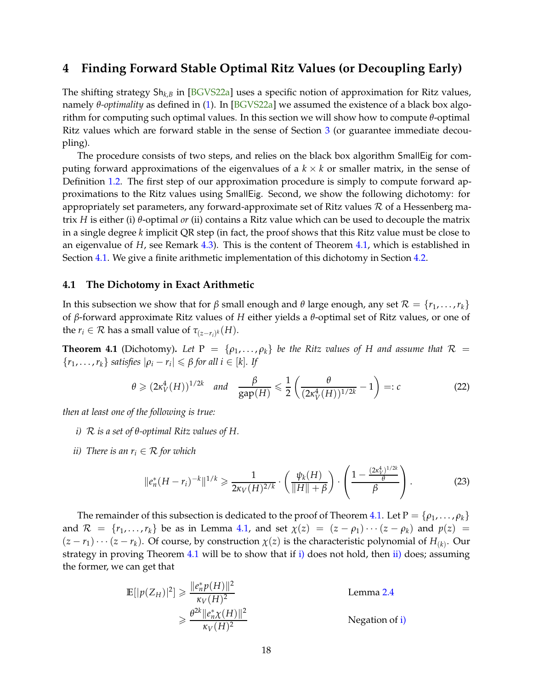### <span id="page-17-6"></span><span id="page-17-0"></span>**4 Finding Forward Stable Optimal Ritz Values (or Decoupling Early)**

The shifting strategy Sh*k*,*<sup>B</sup>* in [\[BGVS22a\]](#page-38-0) uses a specific notion of approximation for Ritz values, namely *θ-optimality* as defined in [\(1\)](#page-2-2). In [\[BGVS22a\]](#page-38-0) we assumed the existence of a black box algorithm for computing such optimal values. In this section we will show how to compute *θ*-optimal Ritz values which are forward stable in the sense of Section [3](#page-11-0) (or guarantee immediate decoupling).

The procedure consists of two steps, and relies on the black box algorithm SmallEig for computing forward approximations of the eigenvalues of a  $k \times k$  or smaller matrix, in the sense of Definition [1.2.](#page-3-0) The first step of our approximation procedure is simply to compute forward approximations to the Ritz values using SmallEig. Second, we show the following dichotomy: for appropriately set parameters, any forward-approximate set of Ritz values  $R$  of a Hessenberg matrix *H* is either (i) *θ*-optimal *or* (ii) contains a Ritz value which can be used to decouple the matrix in a single degree *k* implicit QR step (in fact, the proof shows that this Ritz value must be close to an eigenvalue of *H*, see Remark [4.3\)](#page-19-0). This is the content of Theorem [4.1,](#page-17-2) which is established in Section [4.1.](#page-17-1) We give a finite arithmetic implementation of this dichotomy in Section [4.2.](#page-21-0)

#### <span id="page-17-1"></span>**4.1 The Dichotomy in Exact Arithmetic**

In this subsection we show that for *β* small enough and *θ* large enough, any set  $\mathcal{R} = \{r_1, \ldots, r_k\}$ of *β*-forward approximate Ritz values of *H* either yields a *θ*-optimal set of Ritz values, or one of the  $r_i \in \mathcal{R}$  has a small value of  $\tau_{(z-r_i)^k}(H)$ .

<span id="page-17-2"></span>**Theorem 4.1** (Dichotomy). Let  $P = \{p_1, \ldots, p_k\}$  be the Ritz values of H and assume that  $R =$  $\{r_1, \ldots, r_k\}$  *satisfies*  $|\rho_i - r_i| \leq \beta$  *for all i*  $\in [k]$ *. If* 

<span id="page-17-5"></span>
$$
\theta \geqslant (2\kappa_V^4(H))^{1/2k} \quad \text{and} \quad \frac{\beta}{\text{gap}(H)} \leqslant \frac{1}{2} \left( \frac{\theta}{(2\kappa_V^4(H))^{1/2k}} - 1 \right) =: c \tag{22}
$$

<span id="page-17-3"></span>*then at least one of the following is true:*

- <span id="page-17-4"></span>*i)* R *is a set of θ-optimal Ritz values of H.*
- *ii*) There is an  $r_i \in \mathcal{R}$  for which

$$
\|e_n^*(H-r_i)^{-k}\|^{1/k} \geq \frac{1}{2\kappa_V(H)^{2/k}} \cdot \left(\frac{\psi_k(H)}{\|H\|+\beta}\right) \cdot \left(\frac{1-\frac{(2\kappa_V^4)^{1/2k}}{\theta}}{\beta}\right). \tag{23}
$$

The remainder of this subsection is dedicated to the proof of Theorem [4.1.](#page-17-2) Let  $P = \{\rho_1, \ldots, \rho_k\}$ and  $\mathcal{R} = \{r_1, \ldots, r_k\}$  be as in Lemma [4.1,](#page-17-2) and set  $\chi(z) = (z - \rho_1) \cdots (z - \rho_k)$  and  $p(z) =$  $(z - r_1) \cdots (z - r_k)$ . Of course, by construction  $\chi(z)$  is the characteristic polynomial of  $H_{(k)}$ . Our strategy in proving Theorem [4.1](#page-17-2) will be to show that if [i\)](#page-17-3) does not hold, then [ii\)](#page-17-4) does; assuming the former, we can get that

$$
\mathbb{E}[|p(Z_H)|^2] \ge \frac{\|e_n^* p(H)\|^2}{\kappa_V(H)^2}
$$
 Lemma 2.4  
\n
$$
\ge \frac{\theta^{2k} \|e_n^* \chi(H)\|^2}{\kappa_V(H)^2}
$$
Negation of i)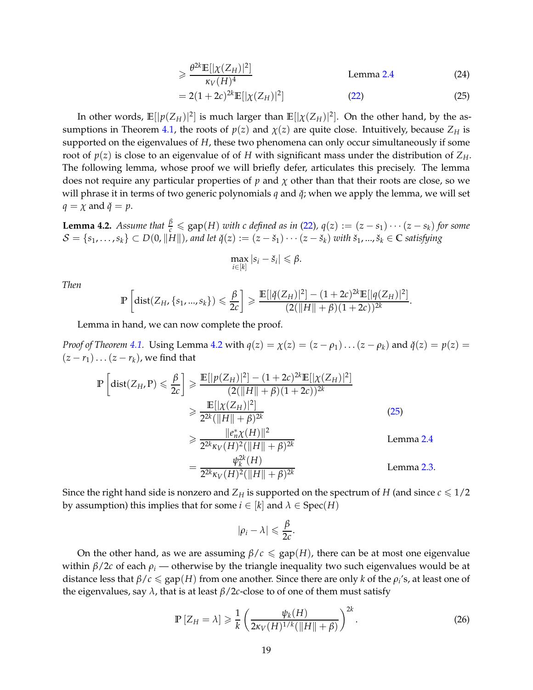$$
\geq \frac{\theta^{2k} \mathbb{E}[\left|\chi(Z_H)\right|^2]}{\kappa_V(H)^4} \tag{24}
$$

<span id="page-18-1"></span>
$$
=2(1+2c)^{2k}\mathbb{E}[|\chi(Z_H)|^2]
$$
 (22) (25)

In other words,  $\mathbb{E}[|p(Z_H)|^2]$  is much larger than  $\mathbb{E}[|\chi(Z_H)|^2]$ . On the other hand, by the as-sumptions in Theorem [4.1,](#page-17-2) the roots of  $p(z)$  and  $\chi(z)$  are quite close. Intuitively, because  $Z_H$  is supported on the eigenvalues of *H*, these two phenomena can only occur simultaneously if some root of  $p(z)$  is close to an eigenvalue of of *H* with significant mass under the distribution of  $Z_H$ . The following lemma, whose proof we will briefly defer, articulates this precisely. The lemma does not require any particular properties of  $p$  and  $\chi$  other than that their roots are close, so we will phrase it in terms of two generic polynomials *q* and  $\check{q}$ ; when we apply the lemma, we will set  $q = \chi$  and  $\check{q} = p$ .

<span id="page-18-0"></span>**Lemma 4.2.** Assume that  $\frac{\beta}{c} \le$  gap(*H*) with c defined as in [\(22\)](#page-17-5),  $q(z) := (z - s_1) \cdots (z - s_k)$  for some  $\mathcal{S} = \{s_1,\ldots,s_k\} \subset D(0, \|H\|)$ , and let  $\check{q}(z) := (z - \check{s}_1) \cdots (z - \check{s}_k)$  with  $\check{s}_1,...,\check{s}_k \in \mathbb{C}$  satisfying

$$
\max_{i\in[k]}|s_i-\check{s}_i|\leq \beta.
$$

*Then*

$$
\mathbb{P}\left[\text{dist}(Z_H,\{s_1,...,s_k\}) \leq \frac{\beta}{2c}\right] \geq \frac{\mathbb{E}[|\check{q}(Z_H)|^2] - (1+2c)^{2k}\mathbb{E}[|q(Z_H)|^2]}{(2(\|H\|+\beta)(1+2c))^{2k}}.
$$

Lemma in hand, we can now complete the proof.

*Proof of Theorem* [4.1.](#page-17-2) Using Lemma [4.2](#page-18-0) with  $q(z) = \chi(z) = (z - \rho_1) \dots (z - \rho_k)$  and  $\check{q}(z) = p(z) =$  $(z - r_1) \dots (z - r_k)$ , we find that

$$
\mathbb{P}\left[\text{dist}(Z_H, P) \leq \frac{\beta}{2c}\right] \geq \frac{\mathbb{E}[|p(Z_H)|^2] - (1 + 2c)^{2k}\mathbb{E}[|\chi(Z_H)|^2]}{(2(||H|| + \beta)(1 + 2c))^{2k}}
$$
  
\n
$$
\geq \frac{\mathbb{E}[|\chi(Z_H)|^2]}{2^{2k}(||H|| + \beta)^{2k}}
$$
(25)  
\n
$$
\geq \frac{||e_n^*\chi(H)||^2}{2^{2k}\kappa_V(H)^2(||H|| + \beta)^{2k}}
$$
 Lemma 2.4  
\n
$$
= \frac{\psi_k^{2k}(H)}{2^{2k}\kappa_V(H)^2(||H|| + \beta)^{2k}}
$$
 Lemma 2.3.

Since the right hand side is nonzero and  $Z_H$  is supported on the spectrum of *H* (and since  $c \leq 1/2$ by assumption) this implies that for some  $i \in [k]$  and  $\lambda \in \text{Spec}(H)$ 

$$
|\rho_i-\lambda|\leqslant \frac{\beta}{2c}.
$$

On the other hand, as we are assuming  $\beta/c \leq \text{gap}(H)$ , there can be at most one eigenvalue within  $\beta/2c$  of each  $\rho_i$  — otherwise by the triangle inequality two such eigenvalues would be at distance less that  $\beta/c \leq \text{gap}(H)$  from one another. Since there are only *k* of the  $\rho_i$ 's, at least one of the eigenvalues, say  $λ$ , that is at least  $β/2c$ -close to of one of them must satisfy

<span id="page-18-2"></span>
$$
\mathbb{P}\left[Z_H = \lambda\right] \geqslant \frac{1}{k} \left(\frac{\psi_k(H)}{2\kappa_V(H)^{1/k}(\|H\| + \beta)}\right)^{2k}.\tag{26}
$$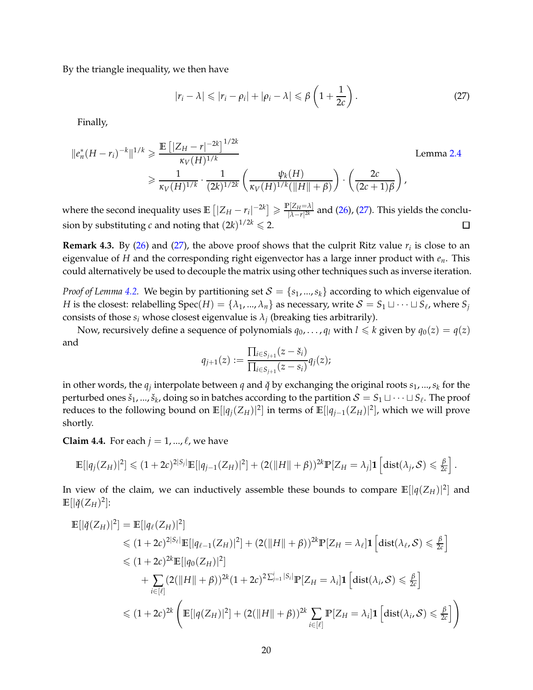By the triangle inequality, we then have

<span id="page-19-1"></span>
$$
|r_i - \lambda| \leqslant |r_i - \rho_i| + |\rho_i - \lambda| \leqslant \beta \left(1 + \frac{1}{2c}\right).
$$
 (27)

Finally,

$$
||e_n^*(H - r_i)^{-k}||^{1/k} \ge \frac{\mathbb{E} [|Z_H - r|^{-2k}]^{1/2k}}{\kappa_V(H)^{1/k}} \ge \frac{1}{\kappa_V(H)^{1/k}} \cdot \frac{1}{(2k)^{1/2k}} \left( \frac{\psi_k(H)}{\kappa_V(H)^{1/k}(\|H\| + \beta)} \right) \cdot \left( \frac{2c}{(2c+1)\beta} \right),
$$

where the second inequality uses  $\mathbb{E}\left[|Z_H - r_i|^{-2k}\right] \geq \frac{\mathbb{P}[Z_H = \lambda]}{|\lambda - r|^{2k}}$  $\frac{|2H-|X|}{|\lambda - r|^{2k}}$  and [\(26\)](#page-18-2), [\(27\)](#page-19-1). This yields the conclusion by substituting *c* and noting that  $(2k)^{1/2k} \leqslant 2$ .  $\Box$ 

<span id="page-19-0"></span>**Remark 4.3.** By [\(26\)](#page-18-2) and [\(27\)](#page-19-1), the above proof shows that the culprit Ritz value  $r_i$  is close to an eigenvalue of *H* and the corresponding right eigenvector has a large inner product with *en*. This could alternatively be used to decouple the matrix using other techniques such as inverse iteration.

*Proof of Lemma* [4.2.](#page-18-0) We begin by partitioning set  $S = \{s_1, ..., s_k\}$  according to which eigenvalue of *H* is the closest: relabelling Spec $(H) = \{\lambda_1, ..., \lambda_n\}$  as necessary, write  $S = S_1 \sqcup \cdots \sqcup S_\ell$ , where  $S_j$ consists of those  $s_i$  whose closest eigenvalue is  $\lambda_j$  (breaking ties arbitrarily).

Now, recursively define a sequence of polynomials  $q_0, \ldots, q_l$  with  $l \leq k$  given by  $q_0(z) = q(z)$ and

$$
q_{j+1}(z) := \frac{\prod_{i \in S_{j+1}} (z - \check{s}_i)}{\prod_{i \in S_{j+1}} (z - s_i)} q_j(z);
$$

in other words, the  $q_j$  interpolate between  $q$  and  $\check{q}$  by exchanging the original roots  $s_1, ..., s_k$  for the perturbed ones  $\check{s}_1,...,\check{s}_k$ , doing so in batches according to the partition  $\mathcal{S} = \mathcal{S}_1 \sqcup \cdots \sqcup \mathcal{S}_\ell$ . The proof reduces to the following bound on  $\mathbb{E}[|q_j(Z_H)|^2]$  in terms of  $\mathbb{E}[|q_{j-1}(Z_H)|^2]$ , which we will prove shortly.

<span id="page-19-2"></span>**Claim 4.4.** For each  $j = 1, ..., \ell$ , we have

$$
\mathbb{E}[|q_j(Z_H)|^2] \leq (1+2c)^{2|S_j|}\mathbb{E}[|q_{j-1}(Z_H)|^2] + (2(||H||+\beta))^{2k}\mathbb{P}[Z_H=\lambda_j]\mathbf{1}\left[\mathrm{dist}(\lambda_j,\mathcal{S})\leq \frac{\beta}{2c}\right].
$$

In view of the claim, we can inductively assemble these bounds to compare  $\mathbb{E}[|q(Z_H)|^2]$  and  $\mathbb{E}[\vert \check{q}(Z_H)^2]$ :

$$
\mathbb{E}\left[|\check{q}(Z_H)|^2\right] = \mathbb{E}\left[|q_{\ell}(Z_H)|^2\right] \n\leq (1+2c)^{2|S_{\ell}|}\mathbb{E}\left[|q_{\ell-1}(Z_H)|^2\right] + (2(\|H\|+\beta))^{2k}\mathbb{P}\left[Z_H = \lambda_{\ell}\right]\mathbf{1}\left[\text{dist}(\lambda_{\ell}, \mathcal{S}) \leq \frac{\beta}{2c}\right] \n\leq (1+2c)^{2k}\mathbb{E}\left[|q_0(Z_H)|^2\right] \n+ \sum_{i \in [\ell]} (2(\|H\|+\beta))^{2k}(1+2c)^{2\sum_{j=1}^{i}|S_j|}\mathbb{P}\left[Z_H = \lambda_i\right]\mathbf{1}\left[\text{dist}(\lambda_i, \mathcal{S}) \leq \frac{\beta}{2c}\right] \n\leq (1+2c)^{2k}\left(\mathbb{E}\left[|q(Z_H)|^2\right] + (2(\|H\|+\beta))^{2k}\sum_{i \in [\ell]} \mathbb{P}\left[Z_H = \lambda_i\right]\mathbf{1}\left[\text{dist}(\lambda_i, \mathcal{S}) \leq \frac{\beta}{2c}\right]\right)
$$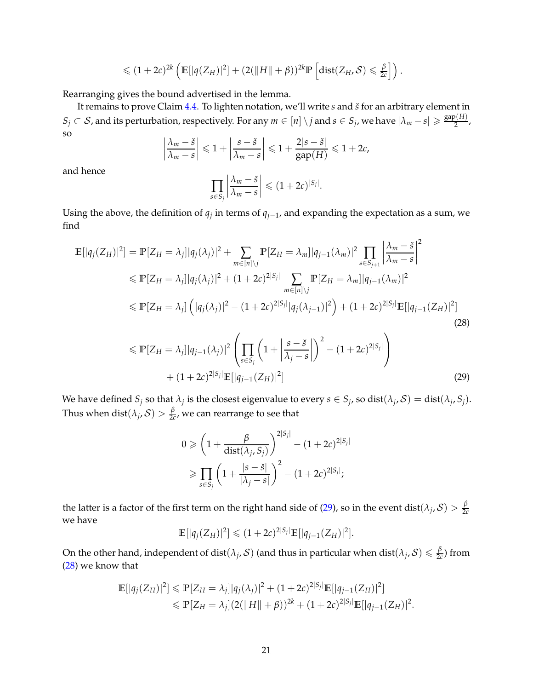$$
\leq (1+2c)^{2k} \left( \mathbb{E}[|q(Z_H)|^2] + (2(||H||+\beta))^{2k} \mathbb{P}\left[\mathrm{dist}(Z_H,\mathcal{S}) \leq \frac{\beta}{2c}\right] \right).
$$

Rearranging gives the bound advertised in the lemma.

It remains to prove Claim [4.4.](#page-19-2) To lighten notation, we'll write *s* and *š* for an arbitrary element in  $S_j \subset S$ , and its perturbation, respectively. For any  $m \in [n] \setminus j$  and  $s \in S_j$ , we have  $|\lambda_m - s| \geqslant \frac{\text{gap}(H)}{2}$  $\frac{2^{(11)}}{2}$ so  $\overline{\phantom{a}}$ 

$$
\left|\frac{\lambda_m-\breve{s}}{\lambda_m-s}\right|\leq 1+\left|\frac{s-\breve{s}}{\lambda_m-s}\right|\leq 1+\frac{2|s-\breve{s}|}{\text{gap}(H)}\leq 1+2c,
$$

and hence

<span id="page-20-1"></span>
$$
\prod_{s\in S_j}\left|\frac{\lambda_m-\breve{s}}{\lambda_m-s}\right|\leq (1+2c)^{|S_j|}.
$$

Using the above, the definition of  $q_j$  in terms of  $q_{j-1}$ , and expanding the expectation as a sum, we find

$$
\mathbb{E}[|q_{j}(Z_{H})|^{2}] = \mathbb{P}[Z_{H} = \lambda_{j}]|q_{j}(\lambda_{j})|^{2} + \sum_{m \in [n] \setminus j} \mathbb{P}[Z_{H} = \lambda_{m}]|q_{j-1}(\lambda_{m})|^{2} \prod_{s \in S_{j+1}} \left| \frac{\lambda_{m} - \check{s}}{\lambda_{m} - s} \right|^{2}
$$
  
\n
$$
\leq \mathbb{P}[Z_{H} = \lambda_{j}]|q_{j}(\lambda_{j})|^{2} + (1 + 2c)^{2|S_{j}|} \sum_{m \in [n] \setminus j} \mathbb{P}[Z_{H} = \lambda_{m}]|q_{j-1}(\lambda_{m})|^{2}
$$
  
\n
$$
\leq \mathbb{P}[Z_{H} = \lambda_{j}] \left( |q_{j}(\lambda_{j})|^{2} - (1 + 2c)^{2|S_{j}|} |q_{j}(\lambda_{j-1})|^{2} \right) + (1 + 2c)^{2|S_{j}|} \mathbb{E}[|q_{j-1}(Z_{H})|^{2}]
$$
  
\n(28)  
\n
$$
\leq \mathbb{P}[Z_{H} = \lambda_{j}]|q_{j-1}(\lambda_{j})|^{2} \left( \prod_{s \in S_{j}} \left( 1 + \left| \frac{s - \check{s}}{\lambda_{j} - s} \right| \right)^{2} - (1 + 2c)^{2|S_{j}|} \right)
$$

 $+(1+2c)^{2|S_j|} \mathbb{E}[|q_{j-1}(Z_H)|^2]$  $\begin{bmatrix} 29 \end{bmatrix}$ 

We have defined  $S_j$  so that  $\lambda_j$  is the closest eigenvalue to every  $s \in S_j$ , so dist $(\lambda_j, S) = \text{dist}(\lambda_j, S_j)$ . Thus when  $\text{dist}(\lambda_j,\mathcal{S}) > \frac{\beta}{2d}$  $\frac{p}{2c}$ , we can rearrange to see that

<span id="page-20-0"></span>
$$
0 \ge \left(1 + \frac{\beta}{\text{dist}(\lambda_j, S_j)}\right)^{2|S_j|} - (1 + 2c)^{2|S_j|}
$$
  
 
$$
\ge \prod_{s \in S_j} \left(1 + \frac{|s - \breve{s}|}{|\lambda_j - s|}\right)^2 - (1 + 2c)^{2|S_j|};
$$

the latter is a factor of the first term on the right hand side of [\(29\)](#page-20-0), so in the event  $dist(\lambda_j, S) > \frac{\beta}{2\alpha}$ 2*c* we have

$$
\mathbb{E}[|q_j(Z_H)|^2] \leq (1+2c)^{2|S_j|} \mathbb{E}[|q_{j-1}(Z_H)|^2].
$$

On the other hand, independent of  $dist(\lambda_j, \mathcal{S})$  (and thus in particular when  $dist(\lambda_j, \mathcal{S}) \leqslant \frac{\beta}{2d}$  $\frac{p}{2c}$ ) from [\(28\)](#page-20-1) we know that

$$
\mathbb{E}[|q_j(Z_H)|^2] \leq \mathbb{P}[Z_H = \lambda_j]|q_j(\lambda_j)|^2 + (1+2c)^{2|S_j|}\mathbb{E}[|q_{j-1}(Z_H)|^2] \leq \mathbb{P}[Z_H = \lambda_j](2(||H|| + \beta))^{2k} + (1+2c)^{2|S_j|}\mathbb{E}[|q_{j-1}(Z_H)|^2].
$$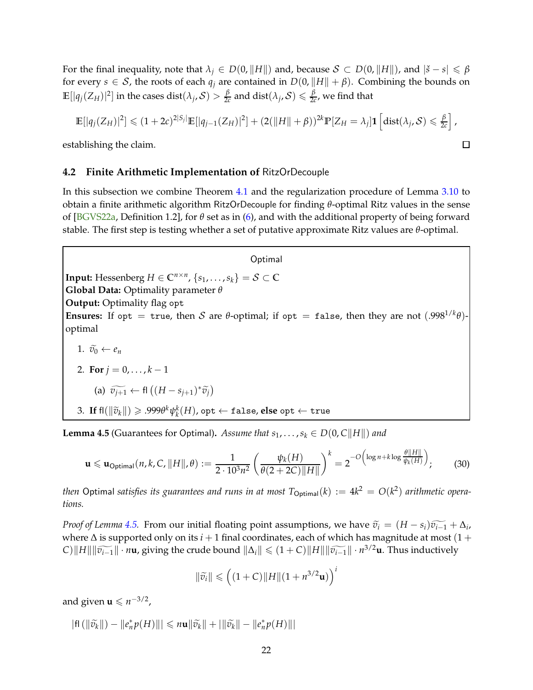<span id="page-21-2"></span>For the final inequality, note that  $\lambda_j \in D(0, \|H\|)$  and, because  $S \subset D(0, \|H\|)$ , and  $|\check{s} - s| \leq \beta$ for every  $s \in S$ , the roots of each  $q_i$  are contained in  $D(0, ||H|| + \beta)$ . Combining the bounds on  $\mathbb{E}[|q_j(Z_H)|^2]$  in the cases  $\mathrm{dist}(\lambda_j,\mathcal{S})>\frac{\beta}{2\alpha}$  $\frac{\beta}{2c}$  and  $\text{dist}(\lambda_j, \mathcal{S}) \leqslant \frac{\beta}{2c}$  $\frac{p}{2c}$ , we find that

$$
\mathbb{E}[|q_j(Z_H)|^2] \leq (1+2c)^{2|S_j|}\mathbb{E}[|q_{j-1}(Z_H)|^2] + (2(||H||+\beta))^{2k}\mathbb{P}[Z_H=\lambda_j]\mathbf{1}\left[\mathrm{dist}(\lambda_j,\mathcal{S})\leq \frac{\beta}{2c}\right],
$$

 $\Box$ 

establishing the claim.

#### <span id="page-21-0"></span>**4.2 Finite Arithmetic Implementation of** RitzOrDecouple

In this subsection we combine Theorem [4.1](#page-17-2) and the regularization procedure of Lemma [3.10](#page-16-1) to obtain a finite arithmetic algorithm RitzOrDecouple for finding *θ*-optimal Ritz values in the sense of [\[BGVS22a,](#page-38-0) Definition 1.2], for *θ* set as in [\(6\)](#page-10-2), and with the additional property of being forward stable. The first step is testing whether a set of putative approximate Ritz values are *θ*-optimal.

#### **Optimal**

**Input:** Hessenberg  $H \in \mathbb{C}^{n \times n}$ ,  $\{s_1, \ldots, s_k\} = \mathcal{S} \subset \mathbb{C}$ **Global Data:** Optimality parameter *θ* **Output:** Optimality flag opt **Ensures:** If opt = true, then S are  $\theta$ -optimal; if opt = false, then they are not  $(.998^{1/k}\theta)$ optimal 1.  $\widetilde{v_0} \leftarrow e_n$ 2. **For**  $j = 0, ..., k - 1$ (a)  $\widetilde{v_{j+1}}$  ← fl  $((H - s_{j+1})^* \widetilde{v_j})$ 

<span id="page-21-1"></span> $3.$  **If**  $f\left(\left\|\widetilde{v}_k\right\|\right) \geqslant .999\theta^k \psi_k^k(H)$ , opt  $\leftarrow$  false, **else** opt  $\leftarrow$  true

**Lemma 4.5** (Guarantees for Optimal). Assume that  $s_1, \ldots, s_k \in D(0, C||H||)$  and

$$
\mathbf{u} \leqslant \mathbf{u}_{\text{Optimal}}(n,k,C,\|H\|,\theta) := \frac{1}{2 \cdot 10^3 n^2} \left(\frac{\psi_k(H)}{\theta(2+2C)\|H\|}\right)^k = 2^{-O\left(\log n + k \log \frac{\theta \|H\|}{\psi_k(H)}\right)};
$$
(30)

*then* Optimal *satisfies its guarantees and runs in at most*  $T_{\text{Optimal}}(k) := 4k^2 = O(k^2)$  *<i>arithmetic operations.*

*Proof of Lemma* [4.5.](#page-21-1) From our initial floating point assumptions, we have  $\tilde{v}_i = (H - s_i)\tilde{v}_{i-1} + \Delta_i$ , where  $\Delta$  is supported only on its *i* + 1 final coordinates, each of which has magnitude at most (1 +  $C$ ) $||H|| ||\widetilde{v_{i-1}}|| \cdot n$ **u**, giving the crude bound  $||\Delta_i|| \leq (1+C)||H|| ||\widetilde{v_{i-1}}|| \cdot n^{3/2}$ **u**. Thus inductively

$$
\|\widetilde{v}_i\| \leqslant \left( (1+C) \|H\| (1+n^{3/2} \mathbf{u}) \right)^i
$$

and given  $\mathbf{u} \leqslant n^{-3/2}$ ,

$$
|\mathsf{fl}\left(\left\|\widetilde{v}_k\right\|\right)-\left\|e_n^*p(H)\right\| \right|\leqslant n\mathbf{u}\|\widetilde{v}_k\|+\left|\left\|\widetilde{v}_k\right\|-\left\|e_n^*p(H)\right\|\right|
$$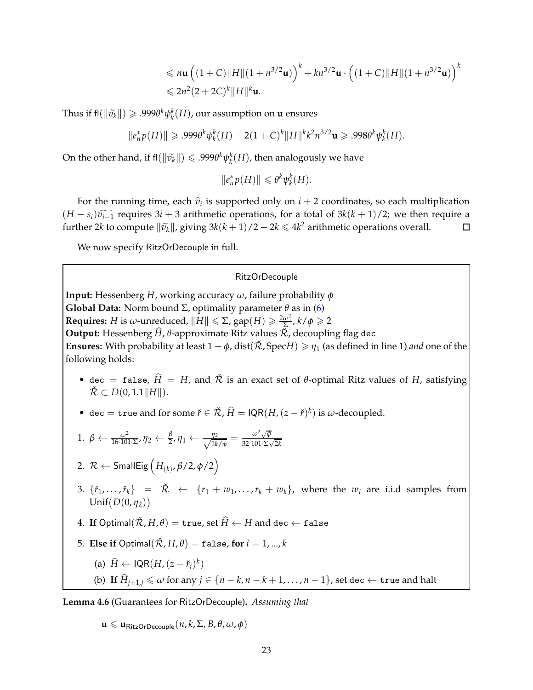$$
\leq n\mathbf{u} \left( (1+C) \|H\| (1+n^{3/2}\mathbf{u}) \right)^k + kn^{3/2}\mathbf{u} \cdot \left( (1+C) \|H\| (1+n^{3/2}\mathbf{u}) \right)^k
$$
  

$$
\leq 2n^2 (2+2C)^k \|H\|^k \mathbf{u}.
$$

Thus if  $\text{fl}(\|\widetilde{v}_k\|) \geqslant .999\theta^k \psi_k^k(H)$ , our assumption on **u** ensures

$$
||e_n^*p(H)|| \geq .999\theta^k \psi_k^k(H) - 2(1+C)^k ||H||^k k^2 n^{3/2} \mathbf{u} \geq .998\theta^k \psi_k^k(H).
$$

On the other hand, if  $\mathsf{fl}(\|\tilde{v}_k\|) \leqslant .999\theta^k \psi_k^k(H)$ , then analogously we have

$$
||e_n^*p(H)|| \leq \theta^k \psi_k^k(H).
$$

For the running time, each  $\tilde{v}_i$  is supported only on  $i + 2$  coordinates, so each multiplication (*H* − *s*<sub>*i*</sub>) $\widetilde{v_{i-1}}$  requires 3*i* + 3 arithmetic operations, for a total of 3*k*(*k* + 1)/2; we then require a further 2*k* to compute  $\|\widetilde{v_k}\|$ , giving 3*k*(*k* + 1)/2 + 2*k* ≤ 4*k*<sup>2</sup> arithmetic operations further 2*k* to compute  $\|\widetilde{v}_k\|$ , giving  $3k(k+1)/2 + 2k \leq 4k^2$  arithmetic operations overall.

We now specify RitzOrDecouple in full.

#### RitzOrDecouple

**Input:** Hessenberg *H*, working accuracy *ω*, failure probability *φ* **Global Data:** Norm bound  $\Sigma$ , optimality parameter  $\theta$  as in [\(6\)](#page-10-2) **Requires:** *H* is *ω*-unreduced,  $\|H\| \leqslant \Sigma$ , gap $(H) \geqslant \frac{2\omega^2}{\Sigma}$ ,  $k/\phi \geqslant 2$ **Output:** Hessenberg  $\hat{H}$ ,  $\theta$ -approximate Ritz values  $\tilde{\mathcal{R}}$ , decoupling flag dec **Ensures:** With probability at least  $1 - \phi$ , dist( $\tilde{\mathcal{R}}$ , SpecH)  $\geq \eta_1$  (as defined in line 1) *and* one of the following holds:

- dec = false,  $\hat{H} = H$ , and  $\check{\mathcal{R}}$  is an exact set of  $\theta$ -optimal Ritz values of *H*, satisfying  $\check{\mathcal{R}} \subset D(0, 1.1||H||).$
- dec = true and for some  $\check{r} \in \check{\mathcal{R}}$ ,  $\hat{H} = \text{IQR}(H,(z \check{r})^k)$  is  $\omega$ -decoupled.

1. 
$$
\beta \leftarrow \frac{\omega^2}{16 \cdot 101 \cdot \Sigma}, \eta_2 \leftarrow \frac{\beta}{2}, \eta_1 \leftarrow \frac{\eta_2}{\sqrt{2k/\phi}} = \frac{\omega^2 \sqrt{\phi}}{32 \cdot 101 \cdot \Sigma \sqrt{2k}}
$$

- 2. R ← SmallEig *H*(*k*) , *<sup>β</sup>*/2, *<sup>φ</sup>*/2
- 3.  $\{\check{r}_1, \ldots, \check{r}_k\}$  =  $\check{\mathcal{R}}$   $\leftarrow$   $\{r_1 + w_1, \ldots, r_k + w_k\}$ , where the  $w_i$  are i.i.d samples from  $Unif(D(0, \eta_2))$
- 4. **If** Optimal $(\check{\mathcal{R}}, H, \theta) =$  true, set  $\hat{H} \leftarrow H$  and dec  $\leftarrow$  false
- 5. **Else if** Optimal $(\tilde{\mathcal{R}}, H, \theta) = \text{false}$ , for  $i = 1, ..., k$

(a) 
$$
\hat{H} \leftarrow \text{IQR}(H, (z - \check{r}_i)^k)
$$

(b) **If**  $\widehat{H}_{j+1,j} \leq \omega$  for any  $j \in \{n-k, n-k+1, \ldots, n-1\}$ , set dec  $\leftarrow$  true and halt

<span id="page-22-0"></span>**Lemma 4.6** (Guarantees for RitzOrDecouple)**.** *Assuming that*

 $\mathbf{u} \leqslant \mathbf{u}_{\text{RitzOrDecouple}}(n, k, \Sigma, B, \theta, \omega, \phi)$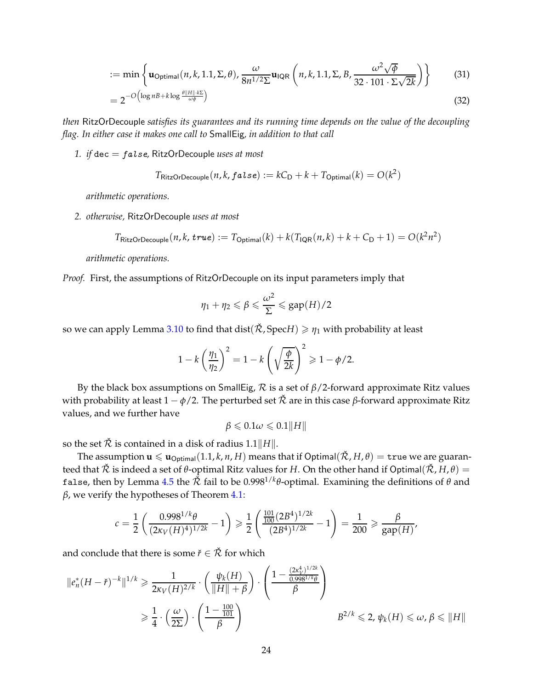$$
:= \min \left\{ \mathbf{u}_{\text{Optimal}}(n, k, 1.1, \Sigma, \theta), \frac{\omega}{8n^{1/2}\Sigma} \mathbf{u}_{\text{IQR}}\left(n, k, 1.1, \Sigma, B, \frac{\omega^2 \sqrt{\phi}}{32 \cdot 101 \cdot \Sigma \sqrt{2k}}\right) \right\}
$$
(31)

$$
=2^{-O\left(\log n + k\log \frac{\theta ||H|| \cdot k \Sigma}{\omega \phi}\right)}
$$
(32)

*then* RitzOrDecouple *satisfies its guarantees and its running time depends on the value of the decoupling flag. In either case it makes one call to* SmallEig*, in addition to that call*

*1. if* dec = false*,* RitzOrDecouple *uses at most*

<span id="page-23-0"></span>
$$
T_{\text{RitzOrDecouple}}(n, k, false) := kC_{\text{D}} + k + T_{\text{Optimal}}(k) = O(k^2)
$$

*arithmetic operations.*

*2. otherwise,* RitzOrDecouple *uses at most*

$$
T_{\text{RitzOrDecouple}}(n,k,\text{true}) := T_{\text{Optimal}}(k) + k(T_{\text{IQR}}(n,k) + k + C_{\text{D}} + 1) = O(k^2n^2)
$$

*arithmetic operations.*

*Proof.* First, the assumptions of RitzOrDecouple on its input parameters imply that

$$
\eta_1 + \eta_2 \leqslant \beta \leqslant \frac{\omega^2}{\Sigma} \leqslant \text{gap}(H)/2
$$

so we can apply Lemma [3.10](#page-16-1) to find that dist( $\tilde{\mathcal{R}}$ , Spec*H*)  $\geq \eta_1$  with probability at least

$$
1 - k \left(\frac{\eta_1}{\eta_2}\right)^2 = 1 - k \left(\sqrt{\frac{\phi}{2k}}\right)^2 \geqslant 1 - \phi/2.
$$

By the black box assumptions on SmallEig, R is a set of *β*/2-forward approximate Ritz values with probability at least  $1 - \phi/2$ . The perturbed set  $\tilde{\mathcal{R}}$  are in this case  $\beta$ -forward approximate Ritz values, and we further have

$$
\beta \leqslant 0.1 \omega \leqslant 0.1 \|H\|
$$

so the set  $\tilde{\mathcal{R}}$  is contained in a disk of radius 1.1 ||*H*||.

The assumption  $\mathbf{u} \leq \mathbf{u}_{\text{Optimal}}(1.1, k, n, H)$  means that if Optimal( $\tilde{\mathcal{R}}$ ,  $H$ ,  $\theta$ ) = true we are guaranteed that  $\tilde{\mathcal{R}}$  is indeed a set of *θ*-optimal Ritz values for *H*. On the other hand if Optimal( $\tilde{\mathcal{R}}$ , *H*, *θ*) = false, then by Lemma  $4.5$  the  $\tilde{\mathcal{R}}$  fail to be  $0.998^{1/k}\theta$ -optimal. Examining the definitions of  $\theta$  and *β*, we verify the hypotheses of Theorem [4.1:](#page-17-2)

$$
c = \frac{1}{2} \left( \frac{0.998^{1/k} \theta}{(2\kappa_V(H)^4)^{1/2k}} - 1 \right) \ge \frac{1}{2} \left( \frac{\frac{101}{100} (2B^4)^{1/2k}}{(2B^4)^{1/2k}} - 1 \right) = \frac{1}{200} \ge \frac{\beta}{\text{gap}(H)},
$$

and conclude that there is some  $\check{r} \in \check{\mathcal{R}}$  for which

$$
\begin{aligned} \|e_n^*(H-\check{r})^{-k}\|^{1/k} &\geq \frac{1}{2\kappa_V(H)^{2/k}}\cdot\left(\frac{\psi_k(H)}{\|H\|+\beta}\right)\cdot\left(\frac{1-\frac{(2\kappa_V^4)^{1/2k}}{0.998^{1/k}\theta}}{\beta}\right) \\ &\geq \frac{1}{4}\cdot\left(\frac{\omega}{2\Sigma}\right)\cdot\left(\frac{1-\frac{100}{101}}{\beta}\right) \end{aligned} \qquad B^{2/k} \leq 2, \psi_k(H) \leq \omega, \beta \leq \|H\|
$$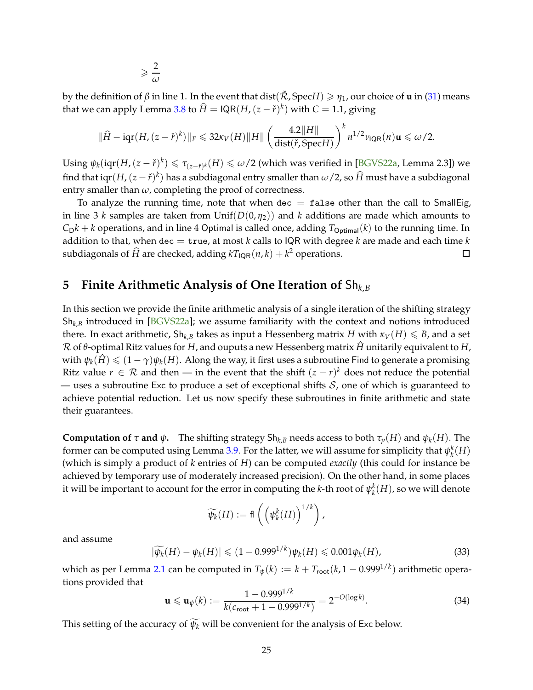$$
\geqslant \frac{2}{\omega}
$$

<span id="page-24-2"></span>by the definition of *β* in line 1. In the event that dist( $\tilde{\mathcal{R}}$ , Spec*H*)  $\geq \eta_1$ , our choice of **u** in [\(31\)](#page-23-0) means that we can apply Lemma [3.8](#page-14-3) to  $\widehat{H} = \mathsf{IQR}(H,(z-\check{r})^k)$  with  $C = 1.1$ , giving

$$
\|\widehat{H} - \mathrm{iqr}(H,(z-\check{r})^k)\|_F \leq 32\kappa_V(H)\|H\| \left(\frac{4.2\|H\|}{\mathrm{dist}(\check{r},\mathrm{Spec}H)}\right)^k n^{1/2} \nu_{\mathrm{IQR}}(n)\mathbf{u} \leq \omega/2.
$$

Using  $\psi_k(\text{iqr}(H,(z-\check{r})^k) \leq \tau_{(z-\check{r})^k}(H) \leq \omega/2$  (which was verified in [\[BGVS22a,](#page-38-0) Lemma 2.3]) we find that  $\text{iqr}(H,(z-\check{r})^k)$  has a subdiagonal entry smaller than  $\omega/2$ , so  $\widehat{H}$  must have a subdiagonal entry smaller than  $\omega$ , completing the proof of correctness.

To analyze the running time, note that when dec  $=$  false other than the call to SmallEig, in line 3 *k* samples are taken from Unif( $D(0, \eta_2)$ ) and *k* additions are made which amounts to  $C_D k + k$  operations, and in line 4 Optimal is called once, adding  $T_{\text{Optimal}}(k)$  to the running time. In addition to that, when dec = true, at most *k* calls to IQR with degree *k* are made and each time *k* subdiagonals of  $\widehat{H}$  are checked, adding  $kT_{\mathsf{IQR}}(n, k) + k^2$  operations. 口

# <span id="page-24-0"></span>**5 Finite Arithmetic Analysis of One Iteration of** Sh*<sup>k</sup>*,*<sup>B</sup>*

In this section we provide the finite arithmetic analysis of a single iteration of the shifting strategy  $Sh_{k,B}$  introduced in [\[BGVS22a\]](#page-38-0); we assume familiarity with the context and notions introduced there. In exact arithmetic,  $\mathsf{Sh}_{k,B}$  takes as input a Hessenberg matrix *H* with  $\kappa_V(H) \leq B$ , and a set <sup>R</sup> of *<sup>θ</sup>*-optimal Ritz values for *<sup>H</sup>*, and ouputs a new Hessenberg matrix *<sup>H</sup>*<sup>ˆ</sup> unitarily equivalent to *<sup>H</sup>*, with  $\psi_k(\hat{H}) \leq (1 - \gamma)\psi_k(H)$ . Along the way, it first uses a subroutine Find to generate a promising Ritz value  $r \in \mathcal{R}$  and then — in the event that the shift  $(z - r)^k$  does not reduce the potential — uses a subroutine Exc to produce a set of exceptional shifts  $S$ , one of which is guaranteed to achieve potential reduction. Let us now specify these subroutines in finite arithmetic and state their guarantees.

**Computation of** *τ* **and**  $\psi$ . The shifting strategy Sh<sub>k,B</sub> needs access to both  $\tau_p(H)$  and  $\psi_k(H)$ . The former can be computed using Lemma [3.9.](#page-15-1) For the latter, we will assume for simplicity that  $\psi_k^k(H)$ (which is simply a product of *k* entries of *H*) can be computed *exactly* (this could for instance be achieved by temporary use of moderately increased precision). On the other hand, in some places it will be important to account for the error in computing the *k*-th root of  $\psi_k^k(H)$ , so we will denote

$$
\widetilde{\psi_k}(H) := \operatorname{fl}\left(\left(\psi_k^k(H)\right)^{1/k}\right),
$$

and assume

<span id="page-24-1"></span>
$$
|\widetilde{\psi_k}(H) - \psi_k(H)| \leq (1 - 0.999^{1/k}) \psi_k(H) \leq 0.001 \psi_k(H), \tag{33}
$$

which as per Lemma [2.1](#page-8-2) can be computed in  $T_{\psi}(k) := k + T_{\text{root}}(k, 1 - 0.999^{1/k})$  arithmetic operations provided that

$$
\mathbf{u} \leqslant \mathbf{u}_{\psi}(k) := \frac{1 - 0.999^{1/k}}{k(c_{\text{root}} + 1 - 0.999^{1/k})} = 2^{-O(\log k)}.
$$
 (34)

This setting of the accuracy of  $\widetilde{\psi_k}$  will be convenient for the analysis of Exc below.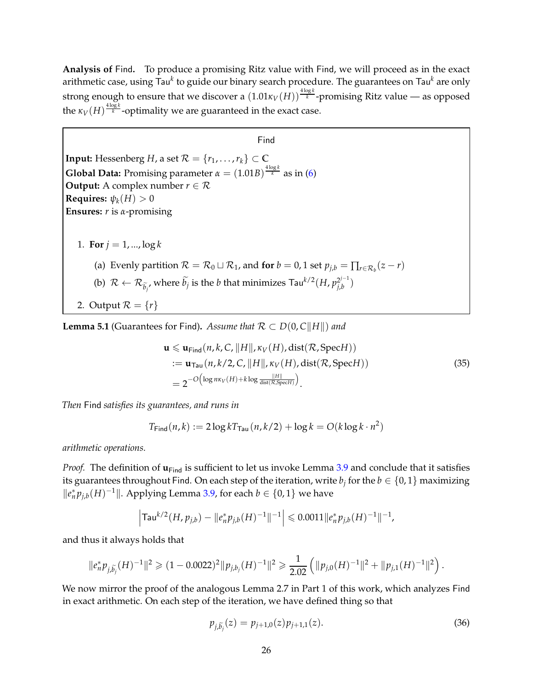**Analysis of** Find**.** To produce a promising Ritz value with Find, we will proceed as in the exact arithmetic case, using Tau<sup>k</sup> to guide our binary search procedure. The guarantees on Tau<sup>k</sup> are only strong enough to ensure that we discover a  $(1.01\kappa_V(H))^{\frac{4\log k}{k}}$ -promising Ritz value — as opposed the  $\kappa_V(H)^{\frac{4\log k}{k}}$ -optimality we are guaranteed in the exact case.

Find **Input:** Hessenberg *H*, a set  $\mathcal{R} = \{r_1, \ldots, r_k\} \subset \mathbb{C}$ **Global Data:** Promising parameter  $\alpha = (1.01B)^{\frac{4\log k}{k}}$  as in [\(6\)](#page-10-2) **Output:** A complex number  $r \in \mathcal{R}$ **Requires:**  $\psi_k(H) > 0$ **Ensures:** *r* is *α*-promising 1. **For**  $j = 1, ..., \log k$ (a) Evenly partition  $\mathcal{R} = \mathcal{R}_0 \sqcup \mathcal{R}_1$ , and for  $b = 0$ , 1 set  $p_{j,b} = \prod_{r \in \mathcal{R}_b} (z - r)$ (b)  $\mathcal{R} \leftarrow \mathcal{R}_{\widetilde{b}_j}$ , where  $\widetilde{b}_j$  is the  $b$  that minimizes  $\mathsf{Tau}^{k/2}(H,p_{j,b}^{2^{j-1}})$  $\binom{2^{j-1}}{j,b}$ 2. Output  $\mathcal{R} = \{r\}$ 

**Lemma 5.1** (Guarantees for Find). Assume that  $R \subset D(0, C||H||)$  and

$$
\mathbf{u} \leq \mathbf{u}_{\text{Find}}(n, k, C, ||H||, \kappa_V(H), \text{dist}(\mathcal{R}, \text{Spec} H))
$$
  
:= 
$$
\mathbf{u}_{\text{Tau}}(n, k/2, C, ||H||, \kappa_V(H), \text{dist}(\mathcal{R}, \text{Spec} H))
$$
  
= 
$$
2^{-O\left(\log n\kappa_V(H) + k\log \frac{||H||}{\text{dist}(\mathcal{R}, \text{Spec} H)}\right)}.
$$
 (35)

*Then* Find *satisfies its guarantees, and runs in*

$$
T_{\text{Find}}(n,k) := 2\log k T_{\text{Tau}}(n,k/2) + \log k = O(k\log k \cdot n^2)
$$

*arithmetic operations.*

*Proof.* The definition of  $\mathbf{u}_{\text{Find}}$  is sufficient to let us invoke Lemma [3.9](#page-15-1) and conclude that it satisfies its guarantees throughout Find. On each step of the iteration, write  $b_j$  for the  $b \in \{0,1\}$  maximizing  $||e_n^* p_{j,b}(H)^{-1}||$ . Applying Lemma [3.9,](#page-15-1) for each *b* ∈ {0, 1} we have

$$
\left|\mathsf{Tau}^{k/2}(H,p_{j,b})-\|e_n^*p_{j,b}(H)^{-1}\|^{-1}\right|\leqslant 0.0011\|e_n^*p_{j,b}(H)^{-1}\|^{-1},
$$

and thus it always holds that

$$
\|e_n^* p_{j,\widetilde{b}_j}(H)^{-1}\|^2 \geq (1 - 0.0022)^2 \|p_{j,b_j}(H)^{-1}\|^2 \geq \frac{1}{2.02} \left( \|p_{j,0}(H)^{-1}\|^2 + \|p_{j,1}(H)^{-1}\|^2 \right).
$$

We now mirror the proof of the analogous Lemma 2.7 in Part 1 of this work, which analyzes Find in exact arithmetic. On each step of the iteration, we have defined thing so that

<span id="page-25-0"></span>
$$
p_{j,\tilde{b}_j}(z) = p_{j+1,0}(z)p_{j+1,1}(z). \tag{36}
$$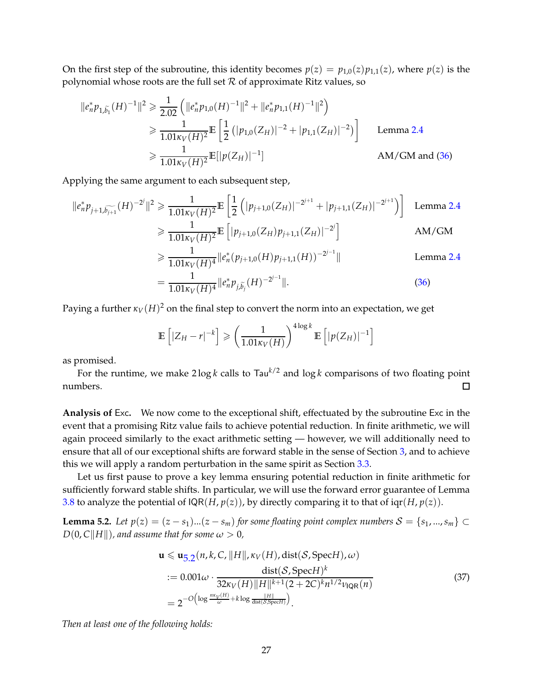On the first step of the subroutine, this identity becomes  $p(z) = p_{1,0}(z)p_{1,1}(z)$ , where  $p(z)$  is the polynomial whose roots are the full set  $R$  of approximate Ritz values, so

$$
\begin{aligned}\n\|e_n^* p_{1,\tilde{b_1}}(H)^{-1}\|^2 &\geq \frac{1}{2.02} \left( \|e_n^* p_{1,0}(H)^{-1}\|^2 + \|e_n^* p_{1,1}(H)^{-1}\|^2 \right) \\
&\geq \frac{1}{1.01\kappa_V(H)^2} \mathbb{E} \left[ \frac{1}{2} \left( |p_{1,0}(Z_H)|^{-2} + |p_{1,1}(Z_H)|^{-2} \right) \right] \qquad \text{Lemma 2.4} \\
&\geq \frac{1}{1.01\kappa_V(H)^2} \mathbb{E} [|p(Z_H)|^{-1}] \qquad \text{AM/GM and (36)}\n\end{aligned}
$$

Applying the same argument to each subsequent step,

$$
||e_n^* p_{j+1,\widetilde{b_{j+1}}}(H)^{-2^j}||^2 \ge \frac{1}{1.01\kappa_V(H)^2} \mathbb{E}\left[\frac{1}{2}\left(|p_{j+1,0}(Z_H)|^{-2^{j+1}} + |p_{j+1,1}(Z_H)|^{-2^{j+1}}\right)\right]
$$
 Lemma 2.4
$$
\ge \frac{1}{1.01\kappa_V(H)^2} \mathbb{E}\left[|p_{j+1,0}(Z_H)p_{j+1,1}(Z_H)|^{-2^j}\right]
$$
AM/GM

$$
\geq \frac{1}{1.01\kappa_V(H)^4} \|e_n^*(p_{j+1,0}(H)p_{j+1,1}(H))^{-2^{j-1}}\|
$$
 Lemma 2.4

$$
= \frac{1}{1.01\kappa_V(H)^4} \|e_n^* p_{j,\tilde{b}_j}(H)^{-2^{j-1}}\|.
$$
\n(36)

Paying a further  $\kappa_V(H)^2$  on the final step to convert the norm into an expectation, we get

$$
\mathbb{E}\left[|Z_H - r|^{-k}\right] \geqslant \left(\frac{1}{1.01\kappa_V(H)}\right)^{4\log k} \mathbb{E}\left[|p(Z_H)|^{-1}\right]
$$

as promised.

For the runtime, we make  $2 \log k$  calls to  $\text{Tau}^{k/2}$  and  $\log k$  comparisons of two floating point numbers.  $\Box$ 

**Analysis of** Exc**.** We now come to the exceptional shift, effectuated by the subroutine Exc in the event that a promising Ritz value fails to achieve potential reduction. In finite arithmetic, we will again proceed similarly to the exact arithmetic setting — however, we will additionally need to ensure that all of our exceptional shifts are forward stable in the sense of Section [3,](#page-11-0) and to achieve this we will apply a random perturbation in the same spirit as Section [3.3.](#page-16-0)

Let us first pause to prove a key lemma ensuring potential reduction in finite arithmetic for sufficiently forward stable shifts. In particular, we will use the forward error guarantee of Lemma [3.8](#page-14-3) to analyze the potential of  $IQR(H, p(z))$ , by directly comparing it to that of  $iqr(H, p(z))$ .

<span id="page-26-0"></span>**Lemma 5.2.** *Let*  $p(z) = (z - s_1)...(z - s_m)$  *for some floating point complex numbers*  $S = \{s_1, ..., s_m\}$  ⊂  $D(0, C||H||)$ *, and assume that for some*  $\omega > 0$ *,* 

$$
\mathbf{u} \leq \mathbf{u}_{5,2}(n,k,C,\|H\|, \kappa_V(H),\text{dist}(\mathcal{S},\text{Spec}H),\omega)
$$
  
:=  $0.001\omega \cdot \frac{\text{dist}(\mathcal{S},\text{Spec}H)^k}{32\kappa_V(H)\|H\|^{k+1}(2+2C)^k n^{1/2} \nu_{\text{IQR}}(n)}$  (37)  
=  $2^{-O\left(\log \frac{n\kappa_V(H)}{\omega} + k \log \frac{\|H\|}{\text{dist}(\mathcal{S},\text{Spec}H)}\right)}$ .

*Then at least one of the following holds:*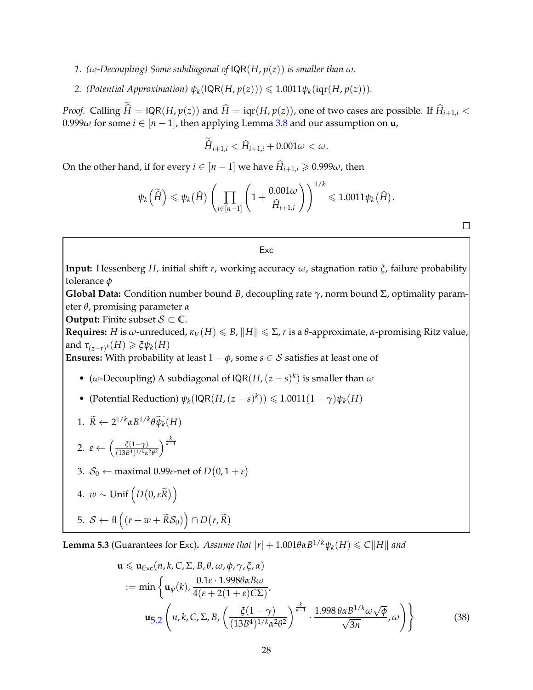*1.* ( $\omega$ -Decoupling) Some subdiagonal of  $\text{IQR}(H, p(z))$  is smaller than  $\omega$ .

*2.* (Potential Approximation)  $\psi_k(\text{IQR}(H, p(z))) \leq 1.0011 \psi_k(\text{iqr}(H, p(z))).$ 

*Proof.* Calling  $\widehat{H} = \text{IQR}(H, p(z))$  and  $\widehat{H} = \text{iqr}(H, p(z))$ , one of two cases are possible. If  $\widehat{H}_{i+1,i}$  < 0.999 $\omega$  for some  $i \in [n-1]$ , then applying Lemma [3.8](#page-14-3) and our assumption on **u**,

$$
\hat{H}_{i+1,i} < \hat{H}_{i+1,i} + 0.001\omega < \omega.
$$

On the other hand, if for every  $i \in [n-1]$  we have  $\widehat{H}_{i+1,i} \geq 0.999\omega$ , then

$$
\psi_k\left(\widetilde{\hat{H}}\right) \leqslant \psi_k\left(\widehat{H}\right) \left(\prod_{i \in [n-1]} \left(1 + \frac{0.001\omega}{\widehat{H}_{i+1,i}}\right)\right)^{1/k} \leqslant 1.0011\psi_k\left(\widehat{H}\right).
$$

 $\Box$ 

#### Exc

**Input:** Hessenberg *H*, initial shift *r*, working accuracy *ω*, stagnation ratio *ξ*, failure probability tolerance *φ*

**Global Data:** Condition number bound *B*, decoupling rate *γ*, norm bound Σ, optimality parameter *θ*, promising parameter *α*

**Output:** Finite subset  $S \subset \mathbb{C}$ .

**Requires:** *H* is *ω*-unreduced,  $\kappa_V(H) \le B$ ,  $\|H\| \le \Sigma$ , *r* is a  $\theta$ -approximate, *α*-promising Ritz value, and  $\tau_{(z-r)^k}(H) \geq \xi \psi_k(H)$ 

**Ensures:** With probability at least  $1 - \phi$ , some  $s \in S$  satisfies at least one of

- (*ω*-Decoupling) A subdiagonal of  $IQR(H, (z s)^k)$  is smaller than *ω*
- (Potential Reduction)  $\psi_k(\text{IQR}(H,(z-s)^k)) \leq 1.0011(1-\gamma)\psi_k(H)$

<span id="page-27-0"></span>1. 
$$
\widetilde{R} \leftarrow 2^{1/k} \alpha B^{1/k} \theta \widetilde{\psi_k}(H)
$$

2. 
$$
\varepsilon \leftarrow \left(\frac{\xi(1-\gamma)}{(13B^4)^{1/k}\alpha^2\theta^2}\right)^{\frac{k}{k-1}}
$$

3. *S*<sup>0</sup> ← maximal 0.99*ε*-net of *D*(0, 1 + *ε*)

4. 
$$
w \sim \text{Unif}\left(D(0, \varepsilon \widetilde{R})\right)
$$

5. 
$$
S \leftarrow \text{fl}\left((r+w+\widetilde{R}S_0)\right) \cap D(r,\widetilde{R})
$$

<span id="page-27-1"></span>**Lemma 5.3** (Guarantees for Exc). *Assume that*  $|r| + 1.001\theta\alpha B^{1/k}\psi_k(H) \leq C||H||$  and

$$
\mathbf{u} \leq \mathbf{u}_{\text{Exc}}(n, k, C, \Sigma, B, \theta, \omega, \phi, \gamma, \xi, \alpha)
$$
  
:= min  $\left\{ \mathbf{u}_{\psi}(k), \frac{0.1 \varepsilon \cdot 1.998 \theta \alpha B \omega}{4(\varepsilon + 2(1 + \varepsilon) C \Sigma)}, \right\}$   

$$
\mathbf{u}_{\text{5.2}}\left(n, k, C, \Sigma, B, \left(\frac{\xi(1 - \gamma)}{(13B^4)^{1/k} \alpha^2 \theta^2}\right)^{\frac{k}{k-1}} \cdot \frac{1.998 \theta \alpha B^{1/k} \omega \sqrt{\phi}}{\sqrt{3n}}, \omega \right) \right\}
$$
(38)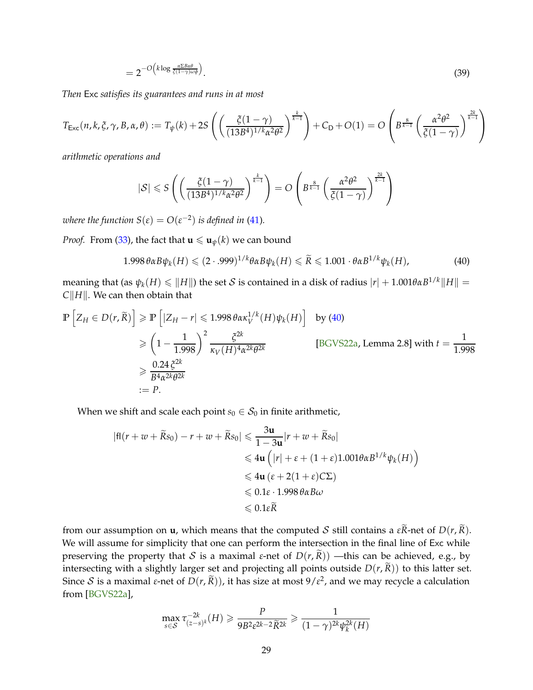$$
=2^{-O\left(k\log\frac{n\Sigma B\alpha\theta}{\zeta(1-\gamma)\omega\phi}\right)}.\tag{39}
$$

<span id="page-28-1"></span>*Then* Exc *satisfies its guarantees and runs in at most*

$$
T_{\text{Exc}}(n,k,\xi,\gamma,B,\alpha,\theta) := T_{\psi}(k) + 2S\left( \left( \frac{\xi(1-\gamma)}{(13B^4)^{1/k}\alpha^2\theta^2} \right)^{\frac{k}{k-1}} \right) + C_D + O(1) = O\left( B^{\frac{8}{k-1}} \left( \frac{\alpha^2\theta^2}{\xi(1-\gamma)} \right)^{\frac{2k}{k-1}} \right)
$$

*arithmetic operations and*

$$
|\mathcal{S}| \leqslant S\left( \left( \frac{\xi(1-\gamma)}{(13B^4)^{1/k}\alpha^2\theta^2} \right)^{\frac{k}{k-1}} \right) = O\left( B^{\frac{8}{k-1}} \left( \frac{\alpha^2\theta^2}{\xi(1-\gamma)} \right)^{\frac{2k}{k-1}} \right)
$$

*where the function*  $S(\varepsilon) = O(\varepsilon^{-2})$  *is defined in* [\(41\)](#page-29-0).

*Proof.* From [\(33\)](#page-24-1), the fact that  $\mathbf{u} \leq \mathbf{u}_{\psi}(k)$  we can bound

<span id="page-28-0"></span>
$$
1.998 \,\theta \alpha B \psi_k(H) \leqslant (2 \cdot .999)^{1/k} \theta \alpha B \psi_k(H) \leqslant \widetilde{R} \leqslant 1.001 \cdot \theta \alpha B^{1/k} \psi_k(H), \tag{40}
$$

 $\text{meaning that (as } \psi_k(H) \leq \|H\| \text{) the set } \mathcal{S} \text{ is contained in a disk of radius } |r| + 1.001 \theta \alpha B^{1/k} \|H\| = 1.001 \theta B^{1/k} \|H\|$ *C* $\Vert$ *H* $\Vert$ . We can then obtain that

$$
\mathbb{P}\left[Z_H \in D(r,\widetilde{R})\right] \ge \mathbb{P}\left[|Z_H - r| \le 1.998 \theta \alpha \kappa_V^{1/k}(H)\psi_k(H)\right] \text{ by (40)}
$$
\n
$$
\ge \left(1 - \frac{1}{1.998}\right)^2 \frac{\zeta^{2k}}{\kappa_V(H)^4 \alpha^{2k} \theta^{2k}} \qquad \text{[BGV S22a, Lemma 2.8] with } t = \frac{1}{1.998}
$$
\n
$$
\ge \frac{0.24 \, \xi^{2k}}{B^4 \alpha^{2k} \theta^{2k}}
$$
\n
$$
:= P.
$$

When we shift and scale each point  $s_0 \in S_0$  in finite arithmetic,

$$
|f|(r+w+\widetilde{R}s_0) - r+w+\widetilde{R}s_0| \leq \frac{3\mathbf{u}}{1-3\mathbf{u}}|r+w+\widetilde{R}s_0|
$$
  
\n
$$
\leq 4\mathbf{u} \left( |r| + \varepsilon + (1+\varepsilon)1.001\theta\alpha B^{1/k}\psi_k(H) \right)
$$
  
\n
$$
\leq 4\mathbf{u} (\varepsilon + 2(1+\varepsilon)C\Sigma)
$$
  
\n
$$
\leq 0.1\varepsilon \cdot 1.998 \theta\alpha B\omega
$$
  
\n
$$
\leq 0.1\varepsilon \widetilde{R}
$$

from our assumption on **u**, which means that the computed S still contains a  $\epsilon \tilde{R}$ -net of  $D(r, \tilde{R})$ . We will assume for simplicity that one can perform the intersection in the final line of Exc while preserving the property that S is a maximal *ε*-net of  $D(r, \tilde{R})$  —this can be achieved, e.g., by intersecting with a slightly larger set and projecting all points outside  $D(r, \tilde{R})$ ) to this latter set. Since  $S$  is a maximal *ε*-net of  $D(r, \tilde{R})$ ), it has size at most  $9/\varepsilon^2$ , and we may recycle a calculation from [\[BGVS22a\]](#page-38-0),

$$
\max_{s \in \mathcal{S}} \tau_{(z-s)^k}^{-2k}(H) \geq \frac{P}{9B^2 \varepsilon^{2k-2} \widetilde{R}^{2k}} \geq \frac{1}{(1-\gamma)^{2k} \psi_k^{2k}(H)}
$$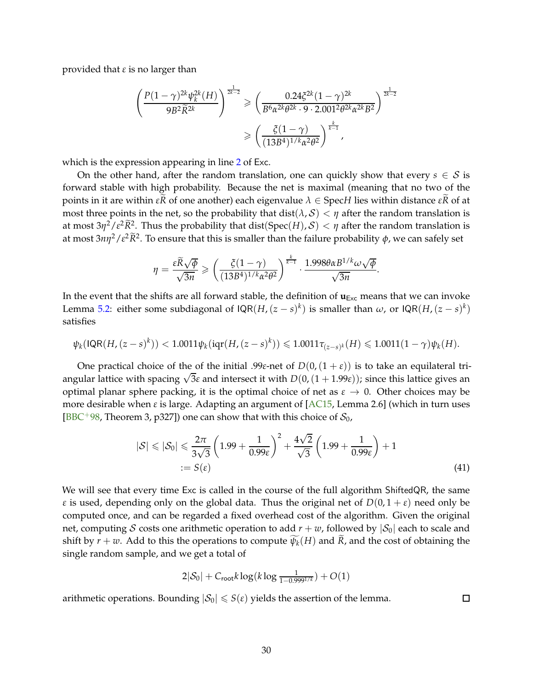<span id="page-29-1"></span>provided that *ε* is no larger than

$$
\left(\frac{P(1-\gamma)^{2k}\psi_k^{2k}(H)}{9B^2\widetilde{R}^{2k}}\right)^{\frac{1}{2k-2}} \ge \left(\frac{0.24\xi^{2k}(1-\gamma)^{2k}}{B^6\alpha^{2k}\theta^{2k} \cdot 9 \cdot 2.001^2\theta^{2k}\alpha^{2k}B^2}\right)^{\frac{1}{2k-2}}
$$

$$
\ge \left(\frac{\xi(1-\gamma)}{(13B^4)^{1/k}\alpha^2\theta^2}\right)^{\frac{k}{k-1}},
$$

which is the expression appearing in line [2](#page-27-0) of Exc.

On the other hand, after the random translation, one can quickly show that every  $s \in S$  is forward stable with high probability. Because the net is maximal (meaning that no two of the **points in it are within** *εR* of one another) each eigenvalue  $λ ∈$  Spec*H* lies within distance *εR* of at most three points in the net, so the probability that  $dist(\lambda, S) < \eta$  after the random translation is at most  $3\eta^2/\varepsilon^2 \widetilde{R}^2$ . Thus the probability that  $dist(Spec(H), \mathcal{S}) < \eta$  after the random translation is at most  $3n\eta^2/\varepsilon^2\widetilde{R}^2$ . To ensure that this is smaller than the failure probability  $\phi$ , we can safely set

$$
\eta = \frac{\varepsilon \widetilde{R}\sqrt{\phi}}{\sqrt{3n}} \geqslant \left(\frac{\zeta(1-\gamma)}{(13B^4)^{1/k}\alpha^2\theta^2}\right)^{\frac{k}{k-1}} \cdot \frac{1.998\theta\alpha B^{1/k}\omega\sqrt{\phi}}{\sqrt{3n}}.
$$

In the event that the shifts are all forward stable, the definition of  $\mathbf{u}_{Exc}$  means that we can invoke Lemma [5.2:](#page-26-0) either some subdiagonal of  $IQR(H,(z-s)^k)$  is smaller than  $\omega$ , or  $IQR(H,(z-s)^k)$ satisfies

$$
\psi_k(\mathsf{IQR}(H,(z-s)^k)) < 1.0011\psi_k(\mathsf{iqr}(H,(z-s)^k)) \leq 1.0011\tau_{(z-s)^k}(H) \leq 1.0011(1-\gamma)\psi_k(H).
$$

One practical choice of the of the initial .99*ε*-net of  $D(0,(1+\varepsilon))$  is to take an equilateral triangular lattice with spacing <sup>√</sup> 3*ε* and intersect it with *D*(0,(1 + 1.99*ε*)); since this lattice gives an optimal planar sphere packing, it is the optimal choice of net as  $\varepsilon \to 0$ . Other choices may be more desirable when *ε* is large. Adapting an argument of [\[AC15,](#page-38-12) Lemma 2.6] (which in turn uses [\[BBC](#page-38-13)<sup>+98</sup>, Theorem 3, p327]) one can show that with this choice of  $S_0$ ,

$$
|\mathcal{S}| \leqslant |\mathcal{S}_0| \leqslant \frac{2\pi}{3\sqrt{3}} \left( 1.99 + \frac{1}{0.99\epsilon} \right)^2 + \frac{4\sqrt{2}}{\sqrt{3}} \left( 1.99 + \frac{1}{0.99\epsilon} \right) + 1
$$
\n
$$
:= S(\epsilon) \tag{41}
$$

We will see that every time Exc is called in the course of the full algorithm ShiftedQR, the same *ε* is used, depending only on the global data. Thus the original net of  $D(0, 1 + \varepsilon)$  need only be computed once, and can be regarded a fixed overhead cost of the algorithm. Given the original net, computing S costs one arithmetic operation to add  $r + w$ , followed by  $|S_0|$  each to scale and shift by  $r + w$ . Add to this the operations to compute  $\psi_k(H)$  and  $\overline{R}$ , and the cost of obtaining the single random sample, and we get a total of

<span id="page-29-0"></span>
$$
2|\mathcal{S}_0| + C_{\text{root}}k \log(k \log \frac{1}{1 - 0.9991/k}) + O(1)
$$

arithmetic operations. Bounding  $|S_0| \leq S(\varepsilon)$  yields the assertion of the lemma.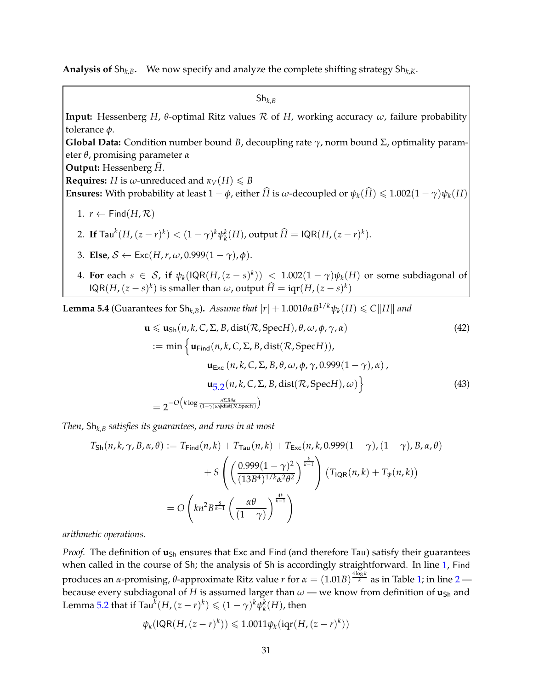**Analysis of** Sh*k*,*B***.** We now specify and analyze the complete shifting strategy Sh*k*,*K*.

Sh*k*,*<sup>B</sup>*

**Input:** Hessenberg *H*, *θ*-optimal Ritz values R of *H*, working accuracy *ω*, failure probability tolerance *φ*.

**Global Data:** Condition number bound *B*, decoupling rate *γ*, norm bound Σ, optimality parameter *θ*, promising parameter *α*

**Output:** Hessenberg  $\hat{H}$ .

**Requires:** *H* is *ω*-unreduced and  $\kappa_V(H) \leq B$ 

<span id="page-30-0"></span>**Ensures:** With probability at least  $1 - \phi$ , either  $\hat{H}$  is *ω*-decoupled or  $\psi_k(\hat{H}) \leq 1.002(1 - \gamma)\psi_k(H)$ 

<span id="page-30-1"></span>1. 
$$
r \leftarrow \text{Find}(H, \mathcal{R})
$$

2. If 
$$
\text{Tau}^k(H, (z-r)^k) < (1-\gamma)^k \psi_k^k(H)
$$
, output  $\widehat{H} = \text{IQR}(H, (z-r)^k)$ .

- 3. **Else**,  $S \leftarrow \text{Exc}(H,r,\omega,0.999(1-\gamma),\phi).$
- 4. For each  $s \in S$ , if  $\psi_k(\text{IQR}(H,(z-s)^k)) \leq 1.002(1-\gamma)\psi_k(H)$  or some subdiagonal of  $IQR(H,(z-s)^k)$  is smaller than  $\omega$ , output  $\widehat{H} = iqr(H,(z-s)^k)$

<span id="page-30-2"></span>**Lemma 5.4** (Guarantees for Sh<sub>k,*B*</sub>). *Assume that*  $|r| + 1.001\theta\alpha B^{1/k}\psi_k(H) \leq C||H||$  and

$$
\mathbf{u} \leq \mathbf{u}_{\text{Sh}}(n,k,C,\Sigma,B,\text{dist}(\mathcal{R},\text{Spec}H),\theta,\omega,\phi,\gamma,\alpha)
$$
(42)  
:= min  $\left\{\mathbf{u}_{\text{Find}}(n,k,C,\Sigma,B,\text{dist}(\mathcal{R},\text{Spec}H)),\right.$   

$$
\mathbf{u}_{\text{Exc}}(n,k,C,\Sigma,B,\theta,\omega,\phi,\gamma,0.999(1-\gamma),\alpha),\right.
$$
  

$$
\mathbf{u}_{\text{5.2}}(n,k,C,\Sigma,B,\text{dist}(\mathcal{R},\text{Spec}H),\omega)\right\}
$$
(43)  

$$
= 2^{-O\left(k\log\frac{n\Sigma\theta\alpha}{(1-\gamma)\omega\phi\text{dist}(\mathcal{R},\text{Spec}H)}\right)}
$$

*Then,* Sh*k*,*<sup>B</sup> satisfies its guarantees, and runs in at most*

$$
T_{\text{Sh}}(n,k,\gamma,B,\alpha,\theta) := T_{\text{Find}}(n,k) + T_{\text{Tau}}(n,k) + T_{\text{Exc}}(n,k,0.999(1-\gamma),(1-\gamma),B,\alpha,\theta)
$$

$$
+ S\left(\left(\frac{0.999(1-\gamma)^2}{(13B^4)^{1/k}\alpha^2\theta^2}\right)^{\frac{k}{k-1}}\right) \left(T_{\text{IQR}}(n,k) + T_{\psi}(n,k)\right)
$$

$$
= O\left(kn^2B^{\frac{8}{k-1}}\left(\frac{\alpha\theta}{(1-\gamma)}\right)^{\frac{4k}{k-1}}\right)
$$

*arithmetic operations.*

*Proof.* The definition of **u**<sub>Sh</sub> ensures that Exc and Find (and therefore Tau) satisfy their guarantees when called in the course of Sh; the analysis of Sh is accordingly straightforward. In line [1,](#page-30-0) Find produces an *α-*promising, θ-approximate Ritz value *r* for  $\alpha = (1.01B)^{\frac{4\log k}{k}}$  as in Table [1;](#page-10-3) in line [2](#page-30-1) because every subdiagonal of *H* is assumed larger than  $\omega$  — we know from definition of  $\mathbf{u}_{\text{Sh}}$  and Lemma [5.2](#page-26-0) that if  $\textsf{Tau}^k(H,(z-r)^k) \leq (1-\gamma)^k \psi_k^k(H)$ , then

$$
\psi_k(\textsf{IQR}(H,(z-r)^k))\leqslant 1.0011\psi_k(\textsf{iqr}(H,(z-r)^k))
$$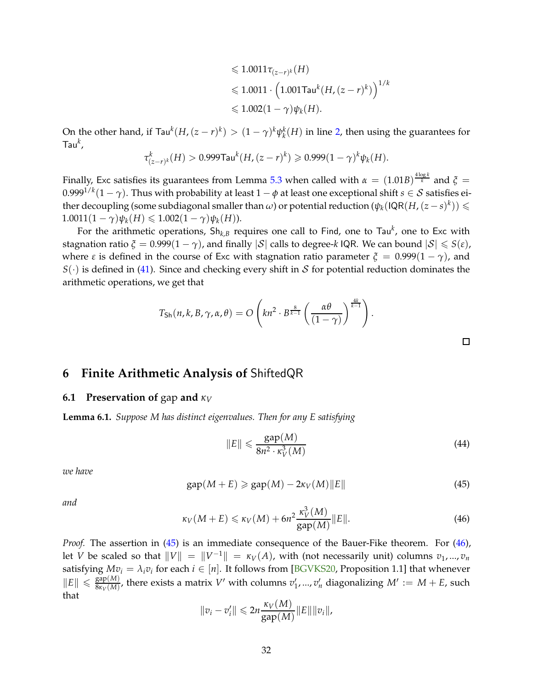$$
\leq 1.0011 \tau_{(z-r)^k}(H)
$$
  

$$
\leq 1.0011 \cdot \left(1.001 \text{Tau}^k(H, (z-r)^k)\right)^{1/k}
$$
  

$$
\leq 1.002(1-\gamma)\psi_k(H).
$$

<span id="page-31-6"></span>On the other hand, if  $\text{Tau}^k(H,(z-r)^k) > (1-\gamma)^k \psi_k^k(H)$  in line [2,](#page-30-1) then using the guarantees for Tau*<sup>k</sup>* ,

$$
\tau_{(z-r)^k}^k(H) > 0.999 \text{Tau}^k(H, (z-r)^k) \geq 0.999(1-\gamma)^k \psi_k(H).
$$

Finally, Exc satisfies its guarantees from Lemma [5.3](#page-27-1) when called with  $\alpha\,=\,(1.01B)^{\frac{4\log k}{k}}$  and  $\xi\,=$  $0.999^{1/k}(1-\gamma)$ . Thus with probability at least  $1-\phi$  at least one exceptional shift  $s \in \mathcal{S}$  satisfies either decoupling (some subdiagonal smaller than  $\omega$ ) or potential reduction  $(\psi_k(\mathsf{IQR}(H,(z-s)^k))\leqslant$  $1.0011(1 - \gamma)\psi_k(H) \leq 1.002(1 - \gamma)\psi_k(H)$ .

For the arithmetic operations, Sh*k*,*<sup>B</sup>* requires one call to Find, one to Tau*<sup>k</sup>* , one to Exc with stagnation ratio  $\zeta = 0.999(1 - \gamma)$ , and finally  $|\mathcal{S}|$  calls to degree-*k* IQR. We can bound  $|\mathcal{S}| \leq \zeta(\varepsilon)$ , where *ε* is defined in the course of Exc with stagnation ratio parameter  $\xi = 0.999(1 - \gamma)$ , and  $S(\cdot)$  is defined in [\(41\)](#page-29-0). Since and checking every shift in S for potential reduction dominates the arithmetic operations, we get that

$$
T_{\mathsf{Sh}}(n,k,B,\gamma,\alpha,\theta) = O\left(kn^2 \cdot B^{\frac{8}{k-1}}\left(\frac{\alpha\theta}{(1-\gamma)}\right)^{\frac{4k}{k-1}}\right)
$$

<span id="page-31-0"></span>**6 Finite Arithmetic Analysis of** ShiftedQR

### <span id="page-31-5"></span><span id="page-31-1"></span>**6.1 Preservation of** gap **and** *κ<sup>V</sup>*

**Lemma 6.1.** *Suppose M has distinct eigenvalues. Then for any E satisfying*

<span id="page-31-4"></span>
$$
||E|| \leqslant \frac{\text{gap}(M)}{8n^2 \cdot \kappa_V^3(M)}\tag{44}
$$

.

 $\Box$ 

*we have*

<span id="page-31-2"></span>
$$
gap(M + E) \geq gap(M) - 2\kappa_V(M) ||E|| \tag{45}
$$

*and*

<span id="page-31-3"></span>
$$
\kappa_V(M+E) \le \kappa_V(M) + 6n^2 \frac{\kappa_V^3(M)}{\text{gap}(M)} \|E\|.
$$
 (46)

*Proof.* The assertion in [\(45\)](#page-31-2) is an immediate consequence of the Bauer-Fike theorem. For [\(46\)](#page-31-3), let *V* be scaled so that  $||V|| = ||V^{-1}|| = \kappa_V(A)$ , with (not necessarily unit) columns  $v_1, ..., v_n$ satisfying  $Mv_i = \lambda_i v_i$  for each  $i \in [n]$ . It follows from [\[BGVKS20,](#page-38-2) Proposition 1.1] that whenever  $\|E\| \leq \frac{\text{gap}(M)}{8\kappa_V(M)}$  $\frac{gap(M)}{g_{kV}(M)}$ , there exists a matrix *V'* with columns  $v'_1, ..., v'_n$  diagonalizing  $M' := M + E$ , such that

$$
||v_i - v'_i|| \leq 2n \frac{\kappa_V(M)}{\text{gap}(M)} ||E|| ||v_i||,
$$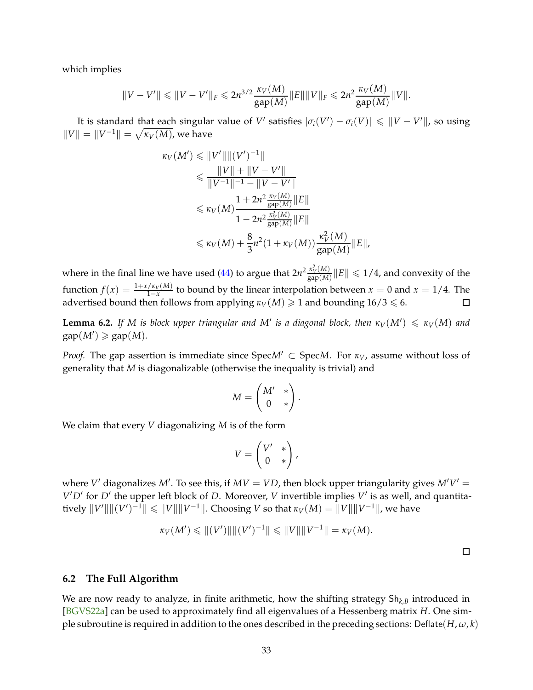<span id="page-32-1"></span>which implies

$$
||V - V'|| \le ||V - V'||_F \le 2n^{3/2} \frac{\kappa_V(M)}{\text{gap}(M)} ||E|| ||V||_F \le 2n^2 \frac{\kappa_V(M)}{\text{gap}(M)} ||V||.
$$

It is standard that each singular value of *V'* satisfies  $|\sigma_i(V) - \sigma_i(V)| \leq ||V - V'||$ , so using  $\|V\| = \|V^{-1}\| = \sqrt{\kappa_V(M)}$ , we have

$$
\kappa_V(M') \leq \|V'\| \|(V')^{-1}\|
$$
  
\n
$$
\leq \frac{\|V\| + \|V - V'\|}{\|V^{-1}\|^{-1} - \|V - V'\|}
$$
  
\n
$$
\leq \kappa_V(M) \frac{1 + 2n^2 \frac{\kappa_V(M)}{\text{gap}(M)} \|E\|}{1 - 2n^2 \frac{\kappa_V^2(M)}{\text{gap}(M)} \|E\|}
$$
  
\n
$$
\leq \kappa_V(M) + \frac{8}{3}n^2(1 + \kappa_V(M)) \frac{\kappa_V^2(M)}{\text{gap}(M)} \|E\|,
$$

where in the final line we have used [\(44\)](#page-31-4) to argue that  $2n^2 \frac{\kappa_V^2(M)}{2n^2(M)}$  $\frac{\kappa^{\perp}_{V}(M)}{\mathrm{gap}(M)}\|E\| \leqslant 1/4$ , and convexity of the function  $f(x) = \frac{1+x/\kappa_V(M)}{1-x}$  to bound by the linear interpolation between  $x = 0$  and  $x = 1/4$ . The advertised bound then follows from applying  $\kappa_V(M) \geq 1$  and bounding  $16/3 \leq 6$ .  $\Box$ 

**Lemma 6.2.** If M is block upper triangular and M' is a diagonal block, then  $\kappa_V(M') \leqslant \kappa_V(M)$  and  $gap(M') \geq$   $gap(M)$ *.* 

*Proof.* The gap assertion is immediate since  $Spec M' \subset Spec M$ . For  $\kappa_V$ , assume without loss of generality that *M* is diagonalizable (otherwise the inequality is trivial) and

$$
M = \begin{pmatrix} M' & * \\ 0 & * \end{pmatrix}.
$$

We claim that every *V* diagonalizing *M* is of the form

$$
V = \begin{pmatrix} V' & * \\ 0 & * \end{pmatrix},
$$

where  $V'$  diagonalizes  $M'$ . To see this, if  $MV = VD$ , then block upper triangularity gives  $M'V' =$ *V* ′*D*′ for *D*′ the upper left block of *D*. Moreover, *V* invertible implies *V* ′ is as well, and quantita- $\|V'\| \| (V')^{-1} \| \leq \|V\| \|V^{-1}\|.$  Choosing *V* so that  $\kappa_V(M) = \|V\| \|V^{-1}\|$ , we have

$$
\kappa_V(M') \leq ||(V')|| ||(V')^{-1}|| \leq ||V|| ||V^{-1}|| = \kappa_V(M).
$$

 $\Box$ 

#### <span id="page-32-0"></span>**6.2 The Full Algorithm**

We are now ready to analyze, in finite arithmetic, how the shifting strategy Sh*k*,*<sup>B</sup>* introduced in [\[BGVS22a\]](#page-38-0) can be used to approximately find all eigenvalues of a Hessenberg matrix *H*. One simple subroutine is required in addition to the ones described in the preceding sections: Deflate( $H, \omega, k$ )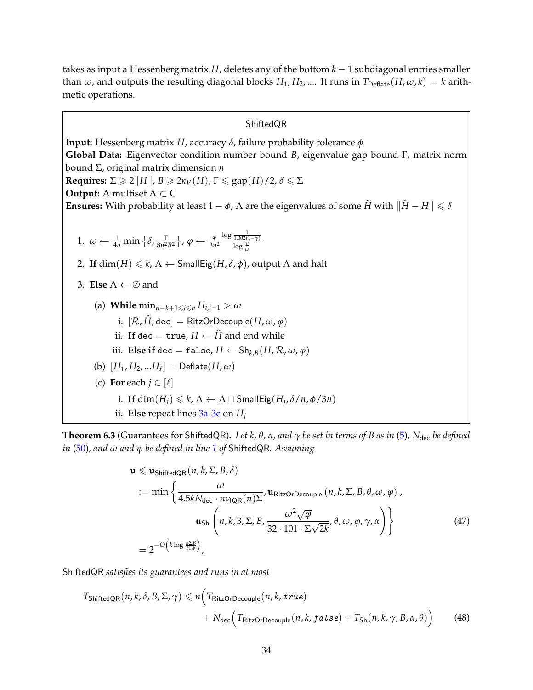takes as input a Hessenberg matrix *H*, deletes any of the bottom *k* − 1 subdiagonal entries smaller than  $\omega$ , and outputs the resulting diagonal blocks  $H_1, H_2, ...$  It runs in  $T_{\text{Deflate}}(H, \omega, k) = k$  arithmetic operations.

#### ShiftedQR

<span id="page-33-8"></span><span id="page-33-4"></span>**Input:** Hessenberg matrix *H*, accuracy *δ*, failure probability tolerance *φ* **Global Data:** Eigenvector condition number bound *B*, eigenvalue gap bound Γ, matrix norm bound Σ, original matrix dimension *n* **Requires:**  $\Sigma \ge 2||H||$ ,  $B \ge 2\kappa_V(H)$ ,  $\Gamma \le \text{gap}(H)/2$ ,  $\delta \le \Sigma$ **Output:** A multiset <sup>Λ</sup> <sup>⊂</sup> **<sup>C</sup> Ensures:** With probability at least  $1 - \phi$ ,  $\Lambda$  are the eigenvalues of some  $\widetilde{H}$  with  $\|\widetilde{H} - H\| \leq \delta$ 1.  $\omega \leftarrow \frac{1}{4n} \min \left\{ \delta, \frac{\Gamma}{8n^2} \right\}$  $\frac{\Gamma}{8n^2B^2}\}, \varphi \leftarrow \frac{\phi}{3n^2}$ log <sup>1</sup> 1.002(1−*γ*) log <sup>Σ</sup> *ω* 2. If  $\dim(H) \leq k$ ,  $\Lambda \leftarrow$  SmallEig(*H*,  $\delta$ ,  $\phi$ ), output  $\Lambda$  and halt 3. **Else** <sup>Λ</sup> ← <sup>∅</sup> and (a) **While**  $\min_{n-k+1 \leq i \leq n} H_{i,i-1} > \omega$ i.  $[\mathcal{R}, \hat{H}, \text{dec}] = \text{RitzOrDecouple}(H, \omega, \varphi)$ ii. If dec = true,  $H \leftarrow \widehat{H}$  and end while iii. **Else if** dec = false,  $H \leftarrow Sh_{k,B}(H,\mathcal{R},\omega,\varphi)$  $(\mathsf{b}) \; [H_1, H_2, ... H_\ell] = \mathsf{Deflate}(H, \omega)$ (c) **For** each  $j \in [\ell]$ i. If  $dim(H_j) \leq k$ ,  $\Lambda \leftarrow \Lambda \sqcup SmallEig(H_j, \delta/n, \phi/3n)$ ii. **Else** repeat lines  $3a-3c$  $3a-3c$  on  $H_i$ 

<span id="page-33-7"></span><span id="page-33-6"></span><span id="page-33-5"></span><span id="page-33-3"></span><span id="page-33-2"></span>**Theorem 6.3** (Guarantees for ShiftedQR). Let k,  $\theta$ ,  $\alpha$ , and  $\gamma$  be set in terms of B as in [\(5\)](#page-10-1), N<sub>dec</sub> be defined *in* [\(50\)](#page-35-0)*, and ω and ϕ be defined in line [1](#page-33-4) of* ShiftedQR*. Assuming*

<span id="page-33-1"></span><span id="page-33-0"></span>
$$
\mathbf{u} \leq \mathbf{u}_{\text{ShiftedQR}}(n, k, \Sigma, B, \delta)
$$
  
\n:= min  $\left\{ \frac{\omega}{4.5kN_{\text{dec}} \cdot n\nu_{\text{IQR}}(n)\Sigma}, \mathbf{u}_{\text{RitzOrDecouple}}(n, k, \Sigma, B, \theta, \omega, \varphi), \mathbf{u}_{\text{Sh}}\left(n, k, 3, \Sigma, B, \frac{\omega^2 \sqrt{\varphi}}{32 \cdot 101 \cdot \Sigma \sqrt{2k}}, \theta, \omega, \varphi, \gamma, \alpha \right) \right\}$   
\n=  $2^{-O\left(k \log \frac{n\Sigma B}{\delta T \varphi}\right)}$ , (47)

ShiftedQR *satisfies its guarantees and runs in at most*

$$
T_{\text{ShiftedQR}}(n, k, \delta, B, \Sigma, \gamma) \le n \Big( T_{\text{RitzOrDecouple}}(n, k, \text{true}) + N_{\text{dec}} \Big( T_{\text{RitzOrDecouple}}(n, k, \text{false}) + T_{\text{Sh}}(n, k, \gamma, B, \alpha, \theta) \Big) \tag{48}
$$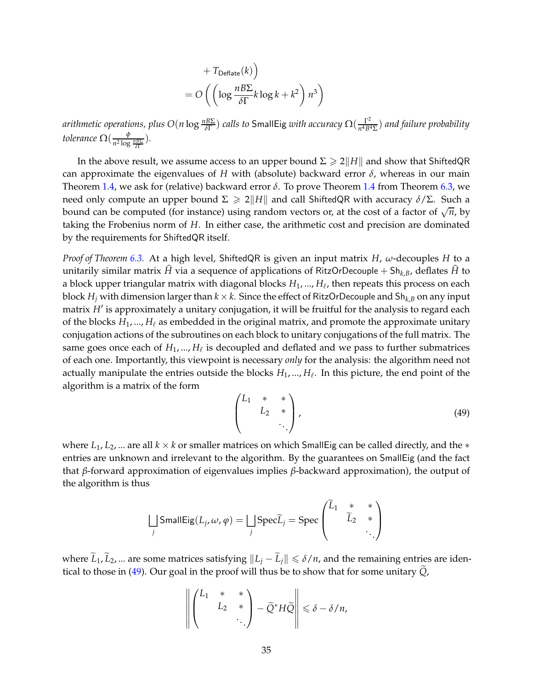+ 
$$
T_{\text{Deflate}}(k)
$$
  
=  $O\left(\left(\log \frac{nB\Sigma}{\delta\Gamma}k\log k + k^2\right)n^3\right)$ 

*arithmetic operations, plus O*(*n* log  $\frac{nB\Sigma}{\delta\Gamma}$ ) calls to <code>SmallEig</code> with accuracy  $\Omega(\frac{\Gamma^2}{n^4B^4})$ *n* <sup>4</sup>*B*4Σ ) *and failure probability tolerance*  $\Omega(\frac{\phi}{n^2 \log n})$  $\frac{\varphi}{n^2 \log \frac{n \overline{B} \Sigma}{\delta \Gamma}}$ ).

In the above result, we assume access to an upper bound  $\Sigma \geq 2||H||$  and show that ShiftedQR can approximate the eigenvalues of *H* with (absolute) backward error *δ*, whereas in our main Theorem [1.4,](#page-4-2) we ask for (relative) backward error  $\delta$ . To prove Theorem [1.4](#page-4-2) from Theorem [6.3,](#page-33-5) we need only compute an upper bound  $\Sigma \ge 2||H||$  and call ShiftedQR with accuracy  $\delta/\Sigma$ . Such a bound can be computed (for instance) using random vectors or, at the cost of a factor of  $\sqrt{n}$ , by taking the Frobenius norm of *H*. In either case, the arithmetic cost and precision are dominated by the requirements for ShiftedQR itself.

*Proof of Theorem [6.3.](#page-33-5)* At a high level, ShiftedQR is given an input matrix *H*, *ω*-decouples *H* to a unitarily similar matrix  $\hat{H}$  via a sequence of applications of RitzOrDecouple + Sh<sub>k,*B*</sub>, deflates  $\hat{H}$  to a block upper triangular matrix with diagonal blocks *H*1, ..., *H*<sup>ℓ</sup> , then repeats this process on each block  $H_i$  with dimension larger than  $k \times k$ . Since the effect of RitzOrDecouple and Sh<sub>k,*B*</sub> on any input matrix *H*′ is approximately a unitary conjugation, it will be fruitful for the analysis to regard each of the blocks  $H_1, ..., H_\ell$  as embedded in the original matrix, and promote the approximate unitary conjugation actions of the subroutines on each block to unitary conjugations of the full matrix. The same goes once each of  $H_1,...,H_\ell$  is decoupled and deflated and we pass to further submatrices of each one. Importantly, this viewpoint is necessary *only* for the analysis: the algorithm need not actually manipulate the entries outside the blocks *H*1, ..., *H*<sup>ℓ</sup> . In this picture, the end point of the algorithm is a matrix of the form

<span id="page-34-0"></span>
$$
\begin{pmatrix} L_1 & * & * \\ & L_2 & * \\ & & \ddots \end{pmatrix}, \tag{49}
$$

where  $L_1, L_2, ...$  are all  $k \times k$  or smaller matrices on which SmallEig can be called directly, and the  $*$ entries are unknown and irrelevant to the algorithm. By the guarantees on SmallEig (and the fact that *β*-forward approximation of eigenvalues implies *β*-backward approximation), the output of the algorithm is thus

$$
\bigsqcup_j \text{SmallEig}(L_j, \omega, \varphi) = \bigsqcup_j \text{Spec } \widetilde{L}_j = \text{Spec } \left( \begin{matrix} \widetilde{L}_1 & * & * \\ & \widetilde{L}_2 & * \\ & & \ddots \end{matrix} \right)
$$

where  $\widetilde{L}_1$ ,  $\widetilde{L}_2$ , ... are some matrices satisfying  $||L_i - \widetilde{L}_i|| \le \delta/n$ , and the remaining entries are iden-tical to those in [\(49\)](#page-34-0). Our goal in the proof will thus be to show that for some unitary  $\tilde{Q}_t$ ,

$$
\left\| \begin{pmatrix} L_1 & * & * \\ & L_2 & * \\ & & \ddots \end{pmatrix} - \widetilde{Q}^* H \widetilde{Q} \right\| \leq \delta - \delta/n,
$$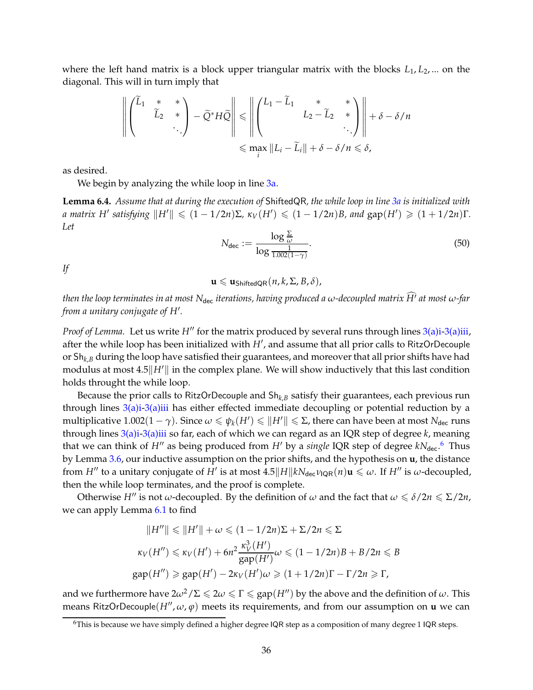where the left hand matrix is a block upper triangular matrix with the blocks *L*1, *L*2, ... on the diagonal. This will in turn imply that

$$
\left\| \begin{pmatrix} \widetilde{L}_1 & * & * \\ & \widetilde{L}_2 & * \\ & & \ddots \end{pmatrix} - \widetilde{Q}^* H \widetilde{Q} \right\| \leq \left\| \begin{pmatrix} L_1 - \widetilde{L}_1 & * & * \\ & L_2 - \widetilde{L}_2 & * \\ & & \ddots \end{pmatrix} \right\| + \delta - \delta/n
$$
  

$$
\leq \max_i ||L_i - \widetilde{L}_i|| + \delta - \delta/n \leq \delta,
$$

<span id="page-35-2"></span>as desired.

We begin by analyzing the while loop in line [3a.](#page-33-2)

**Lemma 6.4.** *Assume that at during the execution of* ShiftedQR*, the while loop in line [3a](#page-33-2) is initialized with a* matrix  $H'$  satisfying  $||H'|| \leq (1 - 1/2n)\Sigma$ ,  $\kappa_V(H') \leq (1 - 1/2n)B$ , and  $\text{gap}(H') \geq (1 + 1/2n)\Gamma$ . *Let*

<span id="page-35-0"></span>
$$
N_{\text{dec}} := \frac{\log \frac{\Sigma}{\omega}}{\log \frac{1}{1.002(1-\gamma)}}.
$$
\n(50)

*If*

 $\mathbf{u} \leqslant \mathbf{u}_{\text{ShiftedOR}}(n, k, \Sigma, B, \delta),$ 

*then the loop terminates in at most*  $N_{\text{dec}}$  *iterations, having produced a*  $\omega$ *-decoupled matrix*  $\widehat{H}'$  *at most*  $\omega$ -far *from a unitary conjugate of H*′ *.*

*Proof of Lemma.* Let us write *H*<sup>*''*</sup> for the matrix produced by several runs through lines [3\(a\)i](#page-33-6)[-3\(a\)iii,](#page-33-7) after the while loop has been initialized with *H*′ , and assume that all prior calls to RitzOrDecouple or Sh<sub>k,B</sub> during the loop have satisfied their guarantees, and moreover that all prior shifts have had modulus at most  $4.5\|H'\|$  in the complex plane. We will show inductively that this last condition holds throught the while loop.

Because the prior calls to RitzOrDecouple and Sh*k*,*<sup>B</sup>* satisfy their guarantees, each previous run through lines  $3(a)$ i-[3\(a\)i](#page-33-6)ii has either effected immediate decoupling or potential reduction by a  $multiplicative 1.002(1 − γ).$  Since  $ω ≤ ψ_k(H') ≤ ||H'|| ≤ Σ$ , there can have been at most  $N_{dec}$  runs through lines [3\(a\)i](#page-33-6)[-3\(a\)iii](#page-33-7) so far, each of which we can regard as an IQR step of degree *k*, meaning that we can think of *H''* as being produced from *H'* by a *single* IQR step of degree  $kN_{\text{dec}}$ .<sup>[6](#page-35-1)</sup> Thus by Lemma [3.6,](#page-14-1) our inductive assumption on the prior shifts, and the hypothesis on **u**, the distance from  $H''$  to a unitary conjugate of  $H'$  is at most  $4.5||H||kN_{\text{dec}}\nu_{\text{IQR}}(n)\mathbf{u} \leq \omega$ . If  $H''$  is  $\omega$ -decoupled, then the while loop terminates, and the proof is complete.

Otherwise *H*<sup>*''*</sup> is not *ω*-decoupled. By the definition of *ω* and the fact that  $\omega \le \delta/2n \le \Sigma/2n$ , we can apply Lemma [6.1](#page-31-5) to find

$$
||H''|| \le ||H'|| + \omega \le (1 - 1/2n)\Sigma + \Sigma/2n \le \Sigma
$$
  

$$
\kappa_V(H'') \le \kappa_V(H') + 6n^2 \frac{\kappa_V^3(H')}{\text{gap}(H')} \omega \le (1 - 1/2n)B + B/2n \le B
$$
  

$$
\text{gap}(H'') \ge \text{gap}(H') - 2\kappa_V(H')\omega \ge (1 + 1/2n)\Gamma - \Gamma/2n \ge \Gamma,
$$

and we furthermore have  $2\omega^2/\Sigma \leq 2\omega \leq \Gamma \leq \text{gap}(H'')$  by the above and the definition of  $\omega$ . This means RitzOrDecouple(*H*′′ , *ω*, *ϕ*) meets its requirements, and from our assumption on **u** we can

<span id="page-35-1"></span> $6$ This is because we have simply defined a higher degree IQR step as a composition of many degree 1 IQR steps.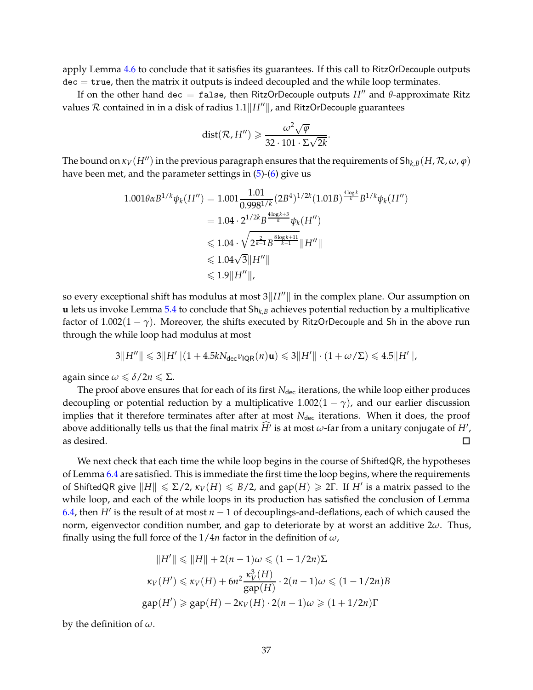apply Lemma [4.6](#page-22-0) to conclude that it satisfies its guarantees. If this call to RitzOrDecouple outputs  $\text{dec} = \text{true}$ , then the matrix it outputs is indeed decoupled and the while loop terminates.

If on the other hand dec = false, then RitzOrDecouple outputs *H*′′ and *θ*-approximate Ritz values  $R$  contained in in a disk of radius  $1.1$  $\|H''\|$ , and RitzOrDecouple guarantees

$$
dist(\mathcal{R}, H'') \geqslant \frac{\omega^2 \sqrt{\varphi}}{32 \cdot 101 \cdot \Sigma \sqrt{2k}}
$$

.

The bound on  $\kappa_V(H'')$  in the previous paragraph ensures that the requirements of  $\text{Sh}_{k,B}(H,\mathcal{R},\omega,\varphi)$ have been met, and the parameter settings in [\(5\)](#page-10-1)-[\(6\)](#page-10-2) give us

$$
1.001\theta\alpha B^{1/k}\psi_k(H'') = 1.001 \frac{1.01}{0.998^{1/k}} (2B^4)^{1/2k} (1.01B)^{\frac{4\log k}{k}} B^{1/k}\psi_k(H'')
$$
  
= 1.04 \cdot 2^{1/2k} B^{\frac{4\log k+3}{k}} \psi\_k(H'')  
 $\leq 1.04 \cdot \sqrt{2^{\frac{2}{k-1}} B^{\frac{8\log k+11}{k-1}}} \|H''\|$   
 $\leq 1.04\sqrt{3} \|H''\|$   
 $\leq 1.9 \|H''\|$ ,

so every exceptional shift has modulus at most  $3||H''||$  in the complex plane. Our assumption on **u** lets us invoke Lemma [5.4](#page-30-2) to conclude that Sh*k*,*<sup>B</sup>* achieves potential reduction by a multiplicative factor of  $1.002(1 - \gamma)$ . Moreover, the shifts executed by RitzOrDecouple and Sh in the above run through the while loop had modulus at most

$$
3||H''|| \leq 3||H'||(1 + 4.5kN_{\text{dec}}\nu_{\text{IQR}}(n)\mathbf{u}) \leq 3||H'|| \cdot (1 + \omega/\Sigma) \leq 4.5||H'||,
$$

again since  $\omega \leq \delta/2n \leq \Sigma$ .

The proof above ensures that for each of its first N<sub>dec</sub> iterations, the while loop either produces decoupling or potential reduction by a multiplicative  $1.002(1 - \gamma)$ , and our earlier discussion implies that it therefore terminates after after at most N<sub>dec</sub> iterations. When it does, the proof above additionally tells us that the final matrix  $H'$  is at most  $\omega$ -far from a unitary conjugate of  $H'$  , as desired.  $\Box$ 

We next check that each time the while loop begins in the course of ShiftedQR, the hypotheses of Lemma [6.4](#page-35-2) are satisfied. This is immediate the first time the loop begins, where the requirements of ShiftedQR give  $||H|| \leq \Sigma/2$ ,  $\kappa_V(H) \leq B/2$ , and gap $(H) \geq 2\Gamma$ . If  $H'$  is a matrix passed to the while loop, and each of the while loops in its production has satisfied the conclusion of Lemma [6.4,](#page-35-2) then *H*′ is the result of at most *n* − 1 of decouplings-and-deflations, each of which caused the norm, eigenvector condition number, and gap to deteriorate by at worst an additive 2*ω*. Thus, finally using the full force of the 1/4*n* factor in the definition of *ω*,

$$
||H'|| \le ||H|| + 2(n-1)\omega \le (1 - 1/2n)\Sigma
$$
  

$$
\kappa_V(H') \le \kappa_V(H) + 6n^2 \frac{\kappa_V^3(H)}{\text{gap}(H)} \cdot 2(n-1)\omega \le (1 - 1/2n)B
$$
  
gap(H')  $\ge \text{gap}(H) - 2\kappa_V(H) \cdot 2(n-1)\omega \ge (1 + 1/2n)\Gamma$ 

by the definition of *ω*.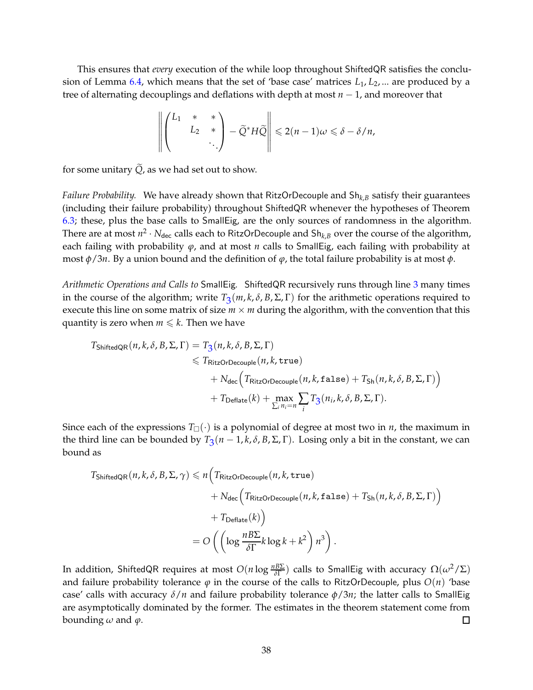This ensures that *every* execution of the while loop throughout ShiftedQR satisfies the conclusion of Lemma [6.4,](#page-35-2) which means that the set of 'base case' matrices *L*1, *L*2, ... are produced by a tree of alternating decouplings and deflations with depth at most *n* − 1, and moreover that

$$
\left\| \begin{pmatrix} L_1 & * & * \\ & L_2 & * \\ & & \ddots \end{pmatrix} - \widetilde{Q}^* H \widetilde{Q} \right\| \leq 2(n-1)\omega \leq \delta - \delta/n,
$$

for some unitary  $\widetilde{Q}$ , as we had set out to show.

*Failure Probability.* We have already shown that RitzOrDecouple and Sh*k*,*<sup>B</sup>* satisfy their guarantees (including their failure probability) throughout ShiftedQR whenever the hypotheses of Theorem [6.3;](#page-33-5) these, plus the base calls to SmallEig, are the only sources of randomness in the algorithm. There are at most  $n^2 \cdot N_{\text{dec}}$  calls each to RitzOrDecouple and  $\text{Sh}_{k,B}$  over the course of the algorithm, each failing with probability *ϕ*, and at most *n* calls to SmallEig, each failing with probability at most *φ*/3*n*. By a union bound and the definition of *ϕ*, the total failure probability is at most *φ*.

*Arithmetic Operations and Calls to* SmallEig*.* ShiftedQR recursively runs through line [3](#page-33-8) many times in the course of the algorithm; write  $T_3(m, k, \delta, B, \Sigma, \Gamma)$  $T_3(m, k, \delta, B, \Sigma, \Gamma)$  $T_3(m, k, \delta, B, \Sigma, \Gamma)$  for the arithmetic operations required to execute this line on some matrix of size  $m \times m$  during the algorithm, with the convention that this quantity is zero when  $m \leq k$ . Then we have

$$
T_{\text{ShiftedQR}}(n, k, \delta, B, \Sigma, \Gamma) = T_3(n, k, \delta, B, \Sigma, \Gamma)
$$
  
\n
$$
\leq T_{\text{RitzOrDecouple}}(n, k, \text{true})
$$
  
\n
$$
+ N_{\text{dec}} \Big( T_{\text{RitzOrDecouple}}(n, k, \text{false}) + T_{\text{Sh}}(n, k, \delta, B, \Sigma, \Gamma) \Big)
$$
  
\n
$$
+ T_{\text{Deflate}}(k) + \max_{\sum_{i} n_i = n} \sum_{i} T_3(n_i, k, \delta, B, \Sigma, \Gamma).
$$

Since each of the expressions  $T_{\Box}(\cdot)$  is a polynomial of degree at most two in *n*, the maximum in the third line can be bounded by  $T_3(n-1,k,\delta,B,\Sigma,\Gamma)$  $T_3(n-1,k,\delta,B,\Sigma,\Gamma)$  $T_3(n-1,k,\delta,B,\Sigma,\Gamma)$ . Losing only a bit in the constant, we can bound as

$$
T_{\text{ShiftedQR}}(n, k, \delta, B, \Sigma, \gamma) \le n \Big( T_{\text{RitzOrDecouple}}(n, k, \text{true})
$$
  
+  $N_{\text{dec}} \Big( T_{\text{RitzOrDecouple}}(n, k, \text{false}) + T_{\text{Sh}}(n, k, \delta, B, \Sigma, \Gamma) \Big)$   
+  $T_{\text{Deflate}}(k) \Big)$   
=  $O \Big( \Big( \log \frac{n B \Sigma}{\delta \Gamma} k \log k + k^2 \Big) n^3 \Big).$ 

In addition, ShiftedQR requires at most  $O(n\log\frac{nB\Sigma}{\delta\Gamma})$  calls to SmallEig with accuracy  $\Omega(\omega^2/\Sigma)$ and failure probability tolerance  $\varphi$  in the course of the calls to RitzOrDecouple, plus  $O(n)$  'base case' calls with accuracy *δ*/*n* and failure probability tolerance *φ*/3*n*; the latter calls to SmallEig are asymptotically dominated by the former. The estimates in the theorem statement come from bounding  $\omega$  and  $\varphi$ .  $\Box$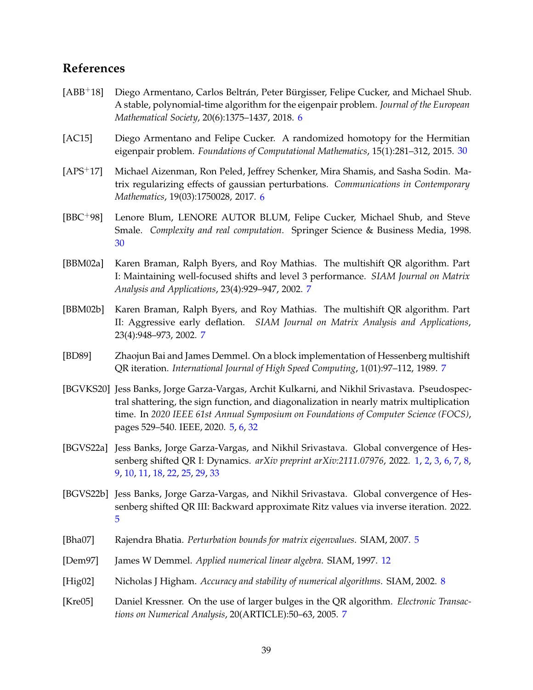# **References**

- <span id="page-38-4"></span>[ABB<sup>+</sup>18] Diego Armentano, Carlos Beltrán, Peter Bürgisser, Felipe Cucker, and Michael Shub. A stable, polynomial-time algorithm for the eigenpair problem. *Journal of the European Mathematical Society*, 20(6):1375–1437, 2018. [6](#page-5-2)
- <span id="page-38-12"></span>[AC15] Diego Armentano and Felipe Cucker. A randomized homotopy for the Hermitian eigenpair problem. *Foundations of Computational Mathematics*, 15(1):281–312, 2015. [30](#page-29-1)
- <span id="page-38-5"></span>[APS+17] Michael Aizenman, Ron Peled, Jeffrey Schenker, Mira Shamis, and Sasha Sodin. Matrix regularizing effects of gaussian perturbations. *Communications in Contemporary Mathematics*, 19(03):1750028, 2017. [6](#page-5-2)
- <span id="page-38-13"></span>[BBC+98] Lenore Blum, LENORE AUTOR BLUM, Felipe Cucker, Michael Shub, and Steve Smale. *Complexity and real computation*. Springer Science & Business Media, 1998. [30](#page-29-1)
- <span id="page-38-6"></span>[BBM02a] Karen Braman, Ralph Byers, and Roy Mathias. The multishift QR algorithm. Part I: Maintaining well-focused shifts and level 3 performance. *SIAM Journal on Matrix Analysis and Applications*, 23(4):929–947, 2002. [7](#page-6-0)
- <span id="page-38-7"></span>[BBM02b] Karen Braman, Ralph Byers, and Roy Mathias. The multishift QR algorithm. Part II: Aggressive early deflation. *SIAM Journal on Matrix Analysis and Applications*, 23(4):948–973, 2002. [7](#page-6-0)
- <span id="page-38-8"></span>[BD89] Zhaojun Bai and James Demmel. On a block implementation of Hessenberg multishift QR iteration. *International Journal of High Speed Computing*, 1(01):97–112, 1989. [7](#page-6-0)
- <span id="page-38-2"></span>[BGVKS20] Jess Banks, Jorge Garza-Vargas, Archit Kulkarni, and Nikhil Srivastava. Pseudospectral shattering, the sign function, and diagonalization in nearly matrix multiplication time. In *2020 IEEE 61st Annual Symposium on Foundations of Computer Science (FOCS)*, pages 529–540. IEEE, 2020. [5,](#page-4-3) [6,](#page-5-2) [32](#page-31-6)
- <span id="page-38-0"></span>[BGVS22a] Jess Banks, Jorge Garza-Vargas, and Nikhil Srivastava. Global convergence of Hessenberg shifted QR I: Dynamics. *arXiv preprint arXiv:2111.07976*, 2022. [1,](#page-0-0) [2,](#page-1-2) [3,](#page-2-3) [6,](#page-5-2) [7,](#page-6-0) [8,](#page-7-2) [9,](#page-8-3) [10,](#page-9-4) [11,](#page-10-4) [18,](#page-17-6) [22,](#page-21-2) [25,](#page-24-2) [29,](#page-28-1) [33](#page-32-1)
- <span id="page-38-1"></span>[BGVS22b] Jess Banks, Jorge Garza-Vargas, and Nikhil Srivastava. Global convergence of Hessenberg shifted QR III: Backward approximate Ritz values via inverse iteration. 2022. [5](#page-4-3)
- <span id="page-38-3"></span>[Bha07] Rajendra Bhatia. *Perturbation bounds for matrix eigenvalues*. SIAM, 2007. [5](#page-4-3)
- <span id="page-38-11"></span>[Dem97] James W Demmel. *Applied numerical linear algebra*. SIAM, 1997. [12](#page-11-4)
- <span id="page-38-10"></span>[Hig02] Nicholas J Higham. *Accuracy and stability of numerical algorithms*. SIAM, 2002. [8](#page-7-2)
- <span id="page-38-9"></span>[Kre05] Daniel Kressner. On the use of larger bulges in the QR algorithm. *Electronic Transactions on Numerical Analysis*, 20(ARTICLE):50–63, 2005. [7](#page-6-0)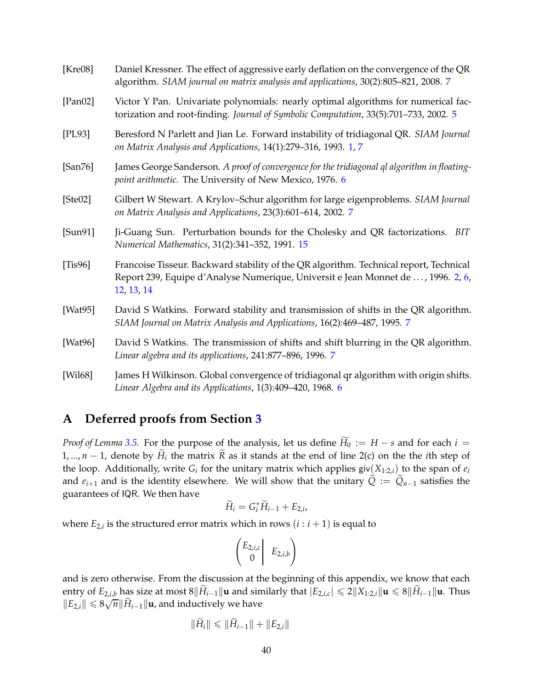<span id="page-39-10"></span><span id="page-39-8"></span><span id="page-39-7"></span><span id="page-39-4"></span><span id="page-39-3"></span><span id="page-39-0"></span>

| [Kre08]     | Daniel Kressner. The effect of aggressive early deflation on the convergence of the QR<br>algorithm. SIAM journal on matrix analysis and applications, 30(2):805-821, 2008. 7            |
|-------------|------------------------------------------------------------------------------------------------------------------------------------------------------------------------------------------|
| [Pan02]     | Victor Y Pan. Univariate polynomials: nearly optimal algorithms for numerical fac-<br>torization and root-finding. Journal of Symbolic Computation, 33(5):701-733, 2002. 5               |
| [PL93]      | Beresford N Parlett and Jian Le. Forward instability of tridiagonal QR. SIAM Journal<br>on Matrix Analysis and Applications, 14(1):279-316, 1993. 1, 7                                   |
| [San76]     | James George Sanderson. A proof of convergence for the tridiagonal ql algorithm in floating-<br>point arithmetic. The University of New Mexico, 1976. 6                                  |
| [Ste02]     | Gilbert W Stewart. A Krylov-Schur algorithm for large eigenproblems. SIAM Journal<br>on Matrix Analysis and Applications, 23(3):601-614, 2002. 7                                         |
| [Sun91]     | Ji-Guang Sun. Perturbation bounds for the Cholesky and QR factorizations. BIT<br>Numerical Mathematics, 31(2):341-352, 1991. 15                                                          |
| [Tis96]     | Francoise Tisseur. Backward stability of the QR algorithm. Technical report, Technical<br>Report 239, Equipe d'Analyse Numerique, Universit e Jean Monnet de , 1996. 2, 6,<br>12, 13, 14 |
| [ $Wat95$ ] | David S Watkins. Forward stability and transmission of shifts in the QR algorithm.<br>SIAM Journal on Matrix Analysis and Applications, 16(2):469-487, 1995. 7                           |
| [ $Wat96$ ] | David S Watkins. The transmission of shifts and shift blurring in the QR algorithm.<br>Linear algebra and its applications, 241:877-896, 1996. 7                                         |
| [Wil68]     | James H Wilkinson. Global convergence of tridiagonal qr algorithm with origin shifts.<br>Linear Algebra and its Applications, 1(3):409-420, 1968. 6                                      |

# <span id="page-39-9"></span><span id="page-39-6"></span><span id="page-39-5"></span><span id="page-39-2"></span><span id="page-39-1"></span>**A Deferred proofs from Section [3](#page-11-0)**

*Proof of Lemma* [3.5.](#page-13-0) For the purpose of the analysis, let us define  $\widetilde{H}_0 := H - s$  and for each  $i =$ 1, ..., *n* − 1, denote by  $H_i$  the matrix *R* as it stands at the end of line 2(c) on the the *i*th step of the loop. Additionally, write  $G_i$  for the unitary matrix which applies giv $(X_{1:2,i})$  to the span of  $e_i$ and  $e_{i+1}$  and is the identity elsewhere. We will show that the unitary  $\tilde{Q} := \tilde{Q}_{n-1}$  satisfies the guarantees of IQR. We then have

$$
\widetilde{H}_i = G_i^* \widetilde{H}_{i-1} + E_{2,i},
$$

where  $E_{2,i}$  is the structured error matrix which in rows  $(i:i+1)$  is equal to

$$
\begin{pmatrix} E_{2,i,c} \\ 0 \end{pmatrix} \ E_{2,i,b}
$$

and is zero otherwise. From the discussion at the beginning of this appendix, we know that each entry of *E*<sub>2,*i*,*b*</sub> has size at most 8 $||\tilde{H}_{i-1}||$ **u** and similarly that  $|E_{2,i,c}| ≤ 2||X_{1:2,i}||$ **u** ≤ 8 $||\tilde{H}_{i-1}||$ **u**. Thus  $||E_{2,i}||$  ≤  $8\sqrt{n}$   $||\widetilde{H}_{i-1}||$ **u**, and inductively we have

$$
\|\widetilde{H}_i\| \le \|\widetilde{H}_{i-1}\| + \|E_{2,i}\|
$$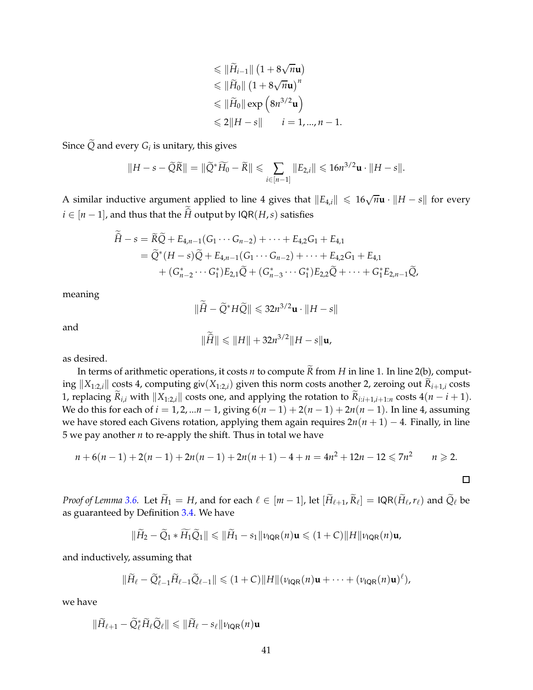$$
\leq \|\widetilde{H}_{i-1}\| (1 + 8\sqrt{n}\mathbf{u})
$$
  
\n
$$
\leq \|\widetilde{H}_0\| (1 + 8\sqrt{n}\mathbf{u})^n
$$
  
\n
$$
\leq \|\widetilde{H}_0\| \exp\left(8n^{3/2}\mathbf{u}\right)
$$
  
\n
$$
\leq 2\|H - s\| \qquad i = 1, ..., n - 1.
$$

Since  $Q$  and every  $G_i$  is unitary, this gives

$$
||H - s - \widetilde{Q}\widetilde{R}|| = ||\widetilde{Q}^*\widetilde{H_0} - \widetilde{R}|| \leqslant \sum_{i \in [n-1]} ||E_{2,i}|| \leqslant 16n^{3/2}\mathbf{u} \cdot ||H - s||.
$$

A similar inductive argument applied to line 4 gives that  $||E_{4,i}|| \leq 16\sqrt{n}$ **u** ·  $||H - s||$  for every *i* ∈  $[n-1]$ , and thus that the *H* output by  $\mathsf{IQR}(H,s)$  satisfies

$$
\hat{H} - s = \tilde{R}\tilde{Q} + E_{4,n-1}(G_1 \cdots G_{n-2}) + \cdots + E_{4,2}G_1 + E_{4,1}
$$
  
=  $\tilde{Q}^*(H - s)\tilde{Q} + E_{4,n-1}(G_1 \cdots G_{n-2}) + \cdots + E_{4,2}G_1 + E_{4,1}$   
+  $(G_{n-2}^* \cdots G_1^*)E_{2,1}\tilde{Q} + (G_{n-3}^* \cdots G_1^*)E_{2,2}\tilde{Q} + \cdots + G_1^*E_{2,n-1}\tilde{Q},$ 

meaning

$$
\|\widehat{H} - \widetilde{Q}^* H \widetilde{Q}\| \leqslant 32 n^{3/2} \mathbf{u} \cdot \|H - s\|
$$

and

$$
\|\widehat{H}\| \leq \|H\| + 32n^{3/2} \|H - s\| \mathbf{u},
$$

as desired.

In terms of arithmetic operations, it costs *n* to compute  $\widetilde{R}$  from *H* in line 1. In line 2(b), computing  $||X_{1:2,i}||$  costs 4, computing giv $(X_{1:2,i})$  given this norm costs another 2, zeroing out  $\widetilde{R}_{i+1,i}$  costs 1, replacing  $\widetilde{R}_{i,i}$  with  $||X_{1:2,i}||$  costs one, and applying the rotation to  $\widetilde{R}_{i:i+1,i+1:n}$  costs  $4(n-i+1)$ . We do this for each of *i* = 1, 2, ...*n* − 1, giving  $6(n - 1) + 2(n - 1) + 2n(n - 1)$ . In line 4, assuming we have stored each Givens rotation, applying them again requires 2*n*(*n* + 1) − 4. Finally, in line 5 we pay another *n* to re-apply the shift. Thus in total we have

$$
n + 6(n - 1) + 2(n - 1) + 2n(n - 1) + 2n(n + 1) - 4 + n = 4n^2 + 12n - 12 \le 7n^2 \qquad n \ge 2.
$$

*Proof of Lemma* [3.6.](#page-14-1) Let  $\widetilde{H}_1 = H$ , and for each  $\ell \in [m-1]$ , let  $[\widetilde{H}_{\ell+1}, \widetilde{R}_{\ell}] = IQR(\widetilde{H}_{\ell}, r_{\ell})$  and  $\widetilde{Q}_{\ell}$  be as guaranteed by Definition [3.4.](#page-13-1) We have

$$
\|\widetilde{H}_2-\widetilde{Q}_1*\widetilde{H}_1\widetilde{Q}_1\|\leqslant \|\widetilde{H}_1-s_1\|\nu_{\mathsf{IQR}}(n)\mathbf{u}\leqslant (1+C)\|H\|\nu_{\mathsf{IQR}}(n)\mathbf{u},
$$

and inductively, assuming that

$$
\|\widetilde{H}_{\ell}-\widetilde{Q}_{\ell-1}^*\widetilde{H}_{\ell-1}\widetilde{Q}_{\ell-1}\|\leqslant (1+C)\|H\|(\nu_{\mathsf{IQR}}(n)\mathbf{u}+\cdots+(\nu_{\mathsf{IQR}}(n)\mathbf{u})^{\ell}),
$$

we have

$$
\|\widetilde{H}_{\ell+1} - \widetilde{Q}_{\ell}^* \widetilde{H}_{\ell} \widetilde{Q}_{\ell}\| \leqslant \|\widetilde{H}_{\ell} - s_{\ell}\| \nu_{\mathsf{IQR}}(n)\mathbf{u}
$$